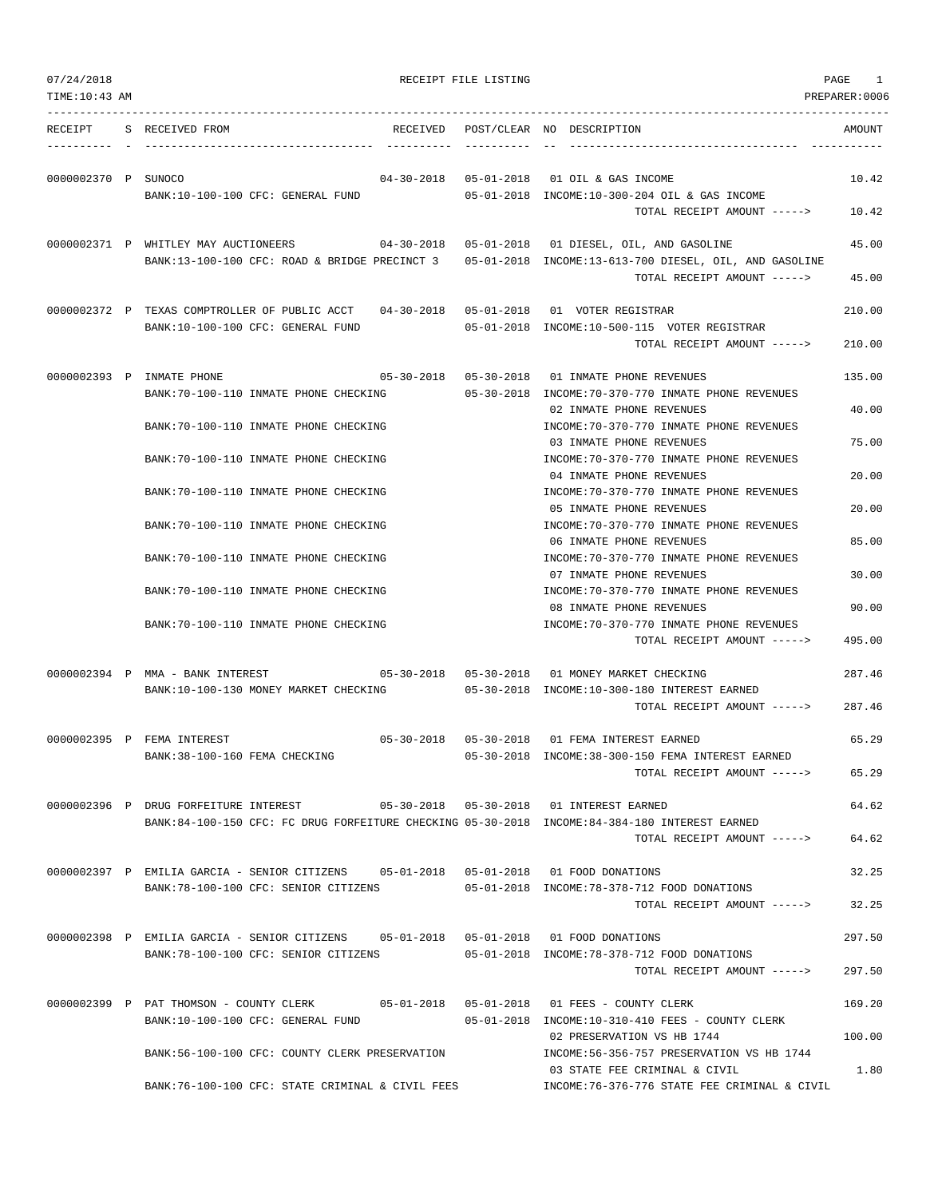| TIME: 10:43 AM      |                                                                                               |                                   |                                                                                                                            | PREPARER:0006    |
|---------------------|-----------------------------------------------------------------------------------------------|-----------------------------------|----------------------------------------------------------------------------------------------------------------------------|------------------|
| RECEIPT             | S RECEIVED FROM<br>RECEIVED                                                                   |                                   | POST/CLEAR NO DESCRIPTION                                                                                                  | AMOUNT           |
| 0000002370 P SUNOCO | BANK:10-100-100 CFC: GENERAL FUND                                                             |                                   | 04-30-2018  05-01-2018  01 OIL & GAS INCOME<br>05-01-2018 INCOME:10-300-204 OIL & GAS INCOME                               | 10.42            |
|                     |                                                                                               |                                   | TOTAL RECEIPT AMOUNT ----->                                                                                                | 10.42            |
|                     | 0000002371 P WHITLEY MAY AUCTIONEERS<br>BANK:13-100-100 CFC: ROAD & BRIDGE PRECINCT 3         |                                   | 04-30-2018  05-01-2018  01 DIESEL, OIL, AND GASOLINE<br>05-01-2018 INCOME:13-613-700 DIESEL, OIL, AND GASOLINE             | 45.00            |
|                     |                                                                                               |                                   | TOTAL RECEIPT AMOUNT ----->                                                                                                | 45.00            |
|                     | 0000002372 P TEXAS COMPTROLLER OF PUBLIC ACCT<br>BANK:10-100-100 CFC: GENERAL FUND            |                                   | 04-30-2018  05-01-2018  01  VOTER REGISTRAR<br>05-01-2018 INCOME:10-500-115 VOTER REGISTRAR<br>TOTAL RECEIPT AMOUNT -----> | 210.00<br>210.00 |
|                     |                                                                                               |                                   |                                                                                                                            |                  |
|                     | 0000002393 P INMATE PHONE<br>BANK:70-100-110 INMATE PHONE CHECKING                            |                                   | 05-30-2018  05-30-2018  01 INMATE PHONE REVENUES<br>05-30-2018 INCOME:70-370-770 INMATE PHONE REVENUES                     | 135.00           |
|                     | BANK: 70-100-110 INMATE PHONE CHECKING                                                        |                                   | 02 INMATE PHONE REVENUES<br>INCOME: 70-370-770 INMATE PHONE REVENUES                                                       | 40.00            |
|                     | BANK: 70-100-110 INMATE PHONE CHECKING                                                        |                                   | 03 INMATE PHONE REVENUES<br>INCOME: 70-370-770 INMATE PHONE REVENUES                                                       | 75.00            |
|                     | BANK:70-100-110 INMATE PHONE CHECKING                                                         |                                   | 04 INMATE PHONE REVENUES<br>INCOME: 70-370-770 INMATE PHONE REVENUES                                                       | 20.00            |
|                     | BANK: 70-100-110 INMATE PHONE CHECKING                                                        |                                   | 05 INMATE PHONE REVENUES<br>INCOME: 70-370-770 INMATE PHONE REVENUES                                                       | 20.00            |
|                     | BANK:70-100-110 INMATE PHONE CHECKING                                                         |                                   | 06 INMATE PHONE REVENUES<br>INCOME: 70-370-770 INMATE PHONE REVENUES                                                       | 85.00            |
|                     |                                                                                               |                                   | 07 INMATE PHONE REVENUES                                                                                                   | 30.00            |
|                     | BANK:70-100-110 INMATE PHONE CHECKING                                                         |                                   | INCOME: 70-370-770 INMATE PHONE REVENUES<br>08 INMATE PHONE REVENUES                                                       | 90.00            |
|                     | BANK: 70-100-110 INMATE PHONE CHECKING                                                        |                                   | INCOME: 70-370-770 INMATE PHONE REVENUES<br>TOTAL RECEIPT AMOUNT ----->                                                    | 495.00           |
|                     | 0000002394 P MMA - BANK INTEREST 605-30-2018 05-30-2018 01 MONEY MARKET CHECKING              |                                   |                                                                                                                            | 287.46           |
|                     | BANK:10-100-130 MONEY MARKET CHECKING                                                         |                                   | 05-30-2018 INCOME:10-300-180 INTEREST EARNED<br>TOTAL RECEIPT AMOUNT ----->                                                | 287.46           |
|                     | 0000002395 P FEMA INTEREST                                                                    | $05 - 30 - 2018$ $05 - 30 - 2018$ | 01 FEMA INTEREST EARNED                                                                                                    | 65.29            |
|                     | BANK: 38-100-160 FEMA CHECKING                                                                |                                   | 05-30-2018 INCOME:38-300-150 FEMA INTEREST EARNED<br>TOTAL RECEIPT AMOUNT ----->                                           | 65.29            |
|                     | 0000002396 P DRUG FORFEITURE INTEREST                                                         |                                   | 05-30-2018  05-30-2018  01 INTEREST EARNED                                                                                 | 64.62            |
|                     | BANK:84-100-150 CFC: FC DRUG FORFEITURE CHECKING 05-30-2018 INCOME:84-384-180 INTEREST EARNED |                                   | TOTAL RECEIPT AMOUNT ----->                                                                                                | 64.62            |
|                     | 0000002397 P EMILIA GARCIA - SENIOR CITIZENS 05-01-2018 05-01-2018 01 FOOD DONATIONS          |                                   |                                                                                                                            | 32.25            |
|                     | BANK:78-100-100 CFC: SENIOR CITIZENS                                                          |                                   | 05-01-2018 INCOME:78-378-712 FOOD DONATIONS<br>TOTAL RECEIPT AMOUNT ----->                                                 | 32.25            |
|                     | 0000002398 P EMILIA GARCIA - SENIOR CITIZENS 05-01-2018 05-01-2018 01 FOOD DONATIONS          |                                   |                                                                                                                            | 297.50           |
|                     | BANK:78-100-100 CFC: SENIOR CITIZENS                                                          |                                   | 05-01-2018 INCOME: 78-378-712 FOOD DONATIONS<br>TOTAL RECEIPT AMOUNT ----->                                                | 297.50           |
|                     | 0000002399 P PAT THOMSON - COUNTY CLERK                                                       |                                   |                                                                                                                            | 169.20           |
|                     | BANK:10-100-100 CFC: GENERAL FUND                                                             |                                   | 05-01-2018 INCOME:10-310-410 FEES - COUNTY CLERK<br>02 PRESERVATION VS HB 1744                                             | 100.00           |
|                     | BANK:56-100-100 CFC: COUNTY CLERK PRESERVATION                                                |                                   | INCOME: 56-356-757 PRESERVATION VS HB 1744<br>03 STATE FEE CRIMINAL & CIVIL                                                | 1.80             |
|                     | BANK:76-100-100 CFC: STATE CRIMINAL & CIVIL FEES                                              |                                   | INCOME:76-376-776 STATE FEE CRIMINAL & CIVIL                                                                               |                  |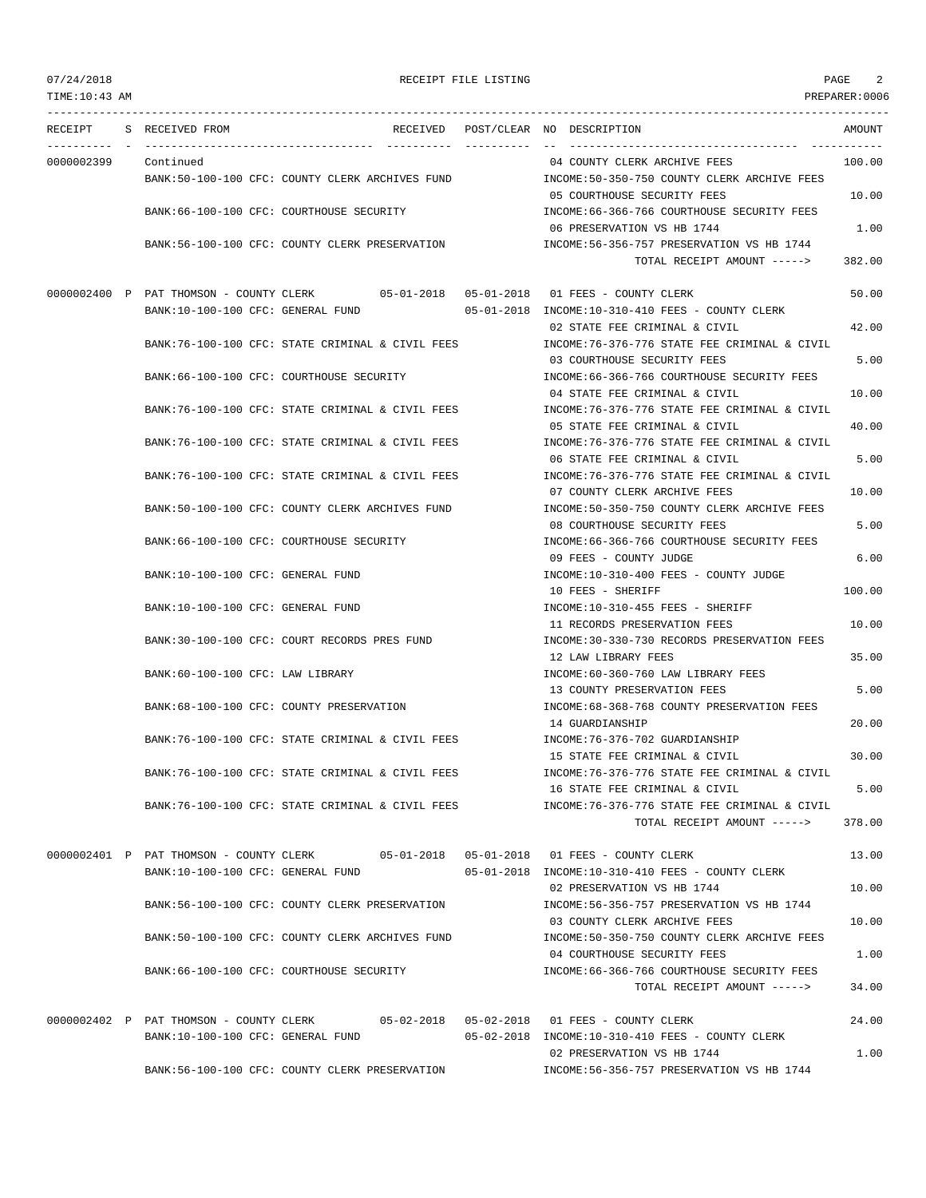# 07/24/2018 RECEIPT FILE LISTING PAGE 2

--------------------------------------------------------------------------------------------------------------------------------- RECEIPT S RECEIVED FROM THE RECEIVED POST/CLEAR NO DESCRIPTION THE RECEIVED AMOUNT ---------- - ----------------------------------- ---------- ---------- -- ----------------------------------- ----------- 0000002399 Continued 04 COUNTY CLERK ARCHIVE FEES 100.00 BANK:50-100-100 CFC: COUNTY CLERK ARCHIVES FUND INCOME:50-350-750 COUNTY CLERK ARCHIVE FEES 05 COURTHOUSE SECURITY FEES 10.00 BANK:66-100-100 CFC: COURTHOUSE SECURITY INCOME:66-366-766 COURTHOUSE SECURITY FEES 06 PRESERVATION VS HB 1744 2002 1.00 BANK:56-100-100 CFC: COUNTY CLERK PRESERVATION INCOME:56-356-757 PRESERVATION VS HB 1744 TOTAL RECEIPT AMOUNT -----> 382.00 0000002400 P PAT THOMSON - COUNTY CLERK 05-01-2018 05-01-2018 01 FEES - COUNTY CLERK 50.00 BANK:10-100-100 CFC: GENERAL FUND 05-01-2018 INCOME:10-310-410 FEES - COUNTY CLERK 02 STATE FEE CRIMINAL & CIVIL 42.00 BANK:76-100-100 CFC: STATE CRIMINAL & CIVIL FEES INCOME:76-376-776 STATE FEE CRIMINAL & CIVIL 03 COURTHOUSE SECURITY FEES 5.00 BANK:66-100-100 CFC: COURTHOUSE SECURITY INCOME:66-366-766 COURTHOUSE SECURITY FEES 04 STATE FEE CRIMINAL & CIVIL 10.00 BANK:76-100-100 CFC: STATE CRIMINAL & CIVIL FEES INCOME:76-376-776 STATE FEE CRIMINAL & CIVIL 05 STATE FEE CRIMINAL & CIVIL 40.00 BANK:76-100-100 CFC: STATE CRIMINAL & CIVIL FEES INCOME:76-376-776 STATE FEE CRIMINAL & CIVIL 06 STATE FEE CRIMINAL & CIVIL 6 5.00 BANK:76-100-100 CFC: STATE CRIMINAL & CIVIL FEES INCOME:76-376-776 STATE FEE CRIMINAL & CIVIL 07 COUNTY CLERK ARCHIVE FEES 10.00 BANK:50-100-100 CFC: COUNTY CLERK ARCHIVES FUND INCOME:50-350-750 COUNTY CLERK ARCHIVE FEES 08 COURTHOUSE SECURITY FEES 5.00 BANK:66-100-100 CFC: COURTHOUSE SECURITY **INCOME:66-366-766 COURTHOUSE SECURITY FEES** 09 FEES - COUNTY JUDGE 6.00 BANK:10-100-100 CFC: GENERAL FUND INCOME:10-310-400 FEES - COUNTY JUDGE 10 FEES - SHERIFF 100.00 BANK:10-100-100 CFC: GENERAL FUND **INCOME:10-310-455 FEES - SHERIFF** 11 RECORDS PRESERVATION FEES 10.00 BANK:30-100-100 CFC: COURT RECORDS PRES FUND INCOME:30-330-730 RECORDS PRESERVATION FEES 12 LAW LIBRARY FEES 35.00 BANK:60-100-100 CFC: LAW LIBRARY **INCOME:60-360-760 LAW LIBRARY FEES** 13 COUNTY PRESERVATION FEES 5.00 BANK:68-100-100 CFC: COUNTY PRESERVATION INCOME:68-368-768 COUNTY PRESERVATION FEES 14 GUARDIANSHIP 20.00 BANK:76-100-100 CFC: STATE CRIMINAL & CIVIL FEES INCOME:76-376-702 GUARDIANSHIP 15 STATE FEE CRIMINAL & CIVIL 30.00 BANK:76-100-100 CFC: STATE CRIMINAL & CIVIL FEES INCOME:76-376-776 STATE FEE CRIMINAL & CIVIL 16 STATE FEE CRIMINAL & CIVIL 5.00 BANK:76-100-100 CFC: STATE CRIMINAL & CIVIL FEES INCOME:76-376-776 STATE FEE CRIMINAL & CIVIL TOTAL RECEIPT AMOUNT -----> 378.00 0000002401 P PAT THOMSON - COUNTY CLERK 05-01-2018 05-01-2018 01 FEES - COUNTY CLERK 13.00 BANK:10-100-100 CFC: GENERAL FUND 05-01-2018 INCOME:10-310-410 FEES - COUNTY CLERK 02 PRESERVATION VS HB 1744 10.00 BANK:56-100-100 CFC: COUNTY CLERK PRESERVATION INCOME:56-356-757 PRESERVATION VS HB 1744 03 COUNTY CLERK ARCHIVE FEES 10.00 BANK:50-100-100 CFC: COUNTY CLERK ARCHIVES FUND INCOME:50-350-750 COUNTY CLERK ARCHIVE FEES 04 COURTHOUSE SECURITY FEES 1.00 BANK:66-100-100 CFC: COURTHOUSE SECURITY INCOME:66-366-766 COURTHOUSE SECURITY FEES TOTAL RECEIPT AMOUNT -----> 34.00 0000002402 P PAT THOMSON - COUNTY CLERK 05-02-2018 05-02-2018 01 FEES - COUNTY CLERK 24.00 BANK:10-100-100 CFC: GENERAL FUND 05-02-2018 INCOME:10-310-410 FEES - COUNTY CLERK 02 PRESERVATION VS HB 1744 1.00 BANK:56-100-100 CFC: COUNTY CLERK PRESERVATION INCOME:56-356-757 PRESERVATION VS HB 1744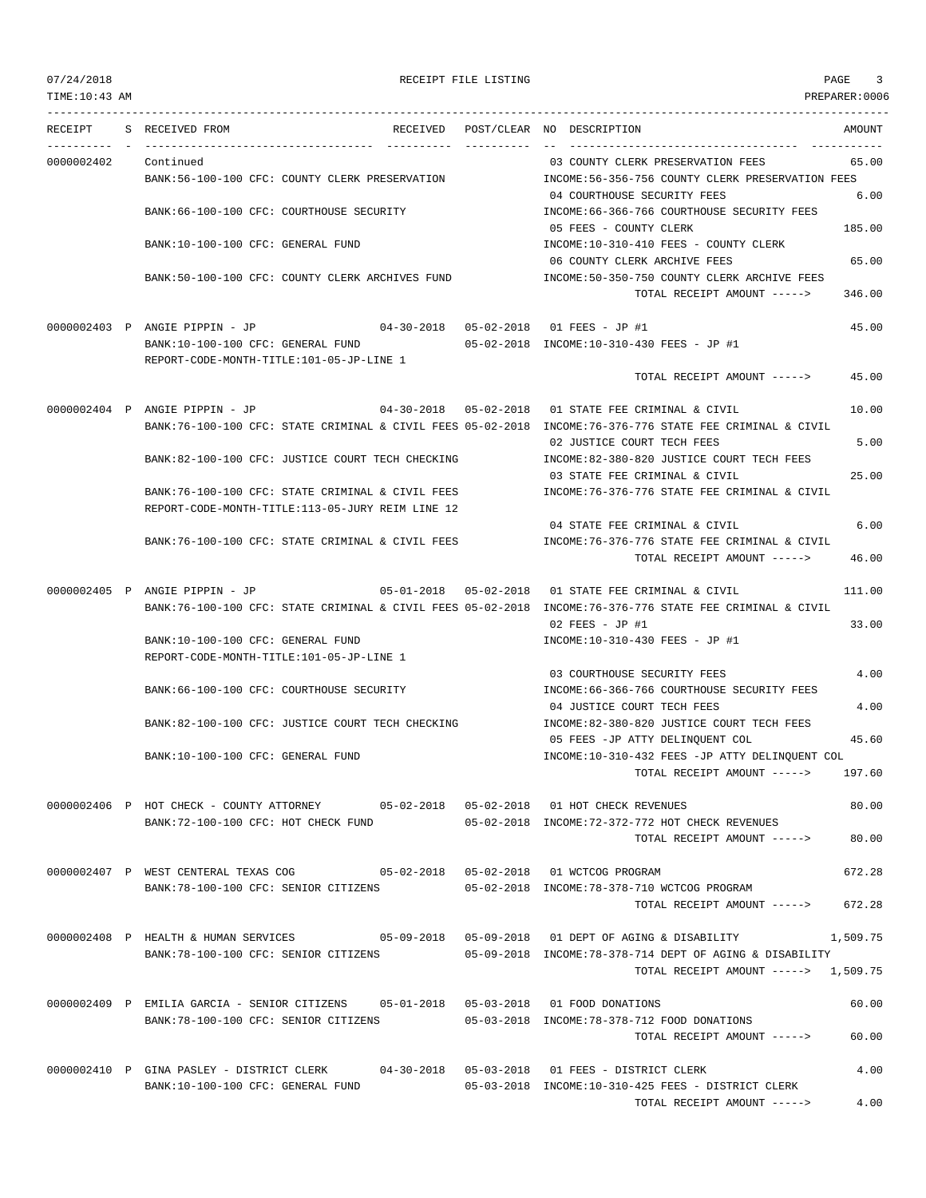TIME:10:43 AM PREPARER:0006 --------------------------------------------------------------------------------------------------------------------------------- RECEIPT S RECEIVED FROM THE RECEIVED POST/CLEAR NO DESCRIPTION THE SECRET AMOUNT ---------- - ----------------------------------- ---------- ---------- -- ----------------------------------- ----------- 0000002402 Continued 03 COUNTY CLERK PRESERVATION FEES 65.00 BANK:56-100-100 CFC: COUNTY CLERK PRESERVATION INCOME:56-356-756 COUNTY CLERK PRESERVATION FEES 04 COURTHOUSE SECURITY FEES 6.00 BANK:66-100-100 CFC: COURTHOUSE SECURITY INCOME:66-366-766 COURTHOUSE SECURITY FEES 05 FEES - COUNTY CLERK 185.00 BANK:10-100-100 CFC: GENERAL FUND **INCOME:10-310-410 FEES - COUNTY CLERK** 06 COUNTY CLERK ARCHIVE FEES 65.00 BANK:50-100-100 CFC: COUNTY CLERK ARCHIVES FUND INCOME:50-350-750 COUNTY CLERK ARCHIVE FEES TOTAL RECEIPT AMOUNT -----> 346.00 0000002403 P ANGIE PIPPIN - JP 04-30-2018 05-02-2018 01 FEES - JP #1 45.00 BANK:10-100-100 CFC: GENERAL FUND 05-02-2018 INCOME:10-310-430 FEES - JP #1 REPORT-CODE-MONTH-TITLE:101-05-JP-LINE 1 TOTAL RECEIPT AMOUNT -----> 45.00 0000002404 P ANGIE PIPPIN - JP 04-30-2018 05-02-2018 01 STATE FEE CRIMINAL & CIVIL 10.00 BANK:76-100-100 CFC: STATE CRIMINAL & CIVIL FEES 05-02-2018 INCOME:76-376-776 STATE FEE CRIMINAL & CIVIL 02 JUSTICE COURT TECH FEES 5.00 BANK:82-100-100 CFC: JUSTICE COURT TECH CHECKING  $\qquad \qquad \text{INCOME:82-380-820}$  JUSTICE COURT TECH FEES 03 STATE FEE CRIMINAL & CIVIL 25.00 BANK:76-100-100 CFC: STATE CRIMINAL & CIVIL FEES INCOME:76-376-776 STATE FEE CRIMINAL & CIVIL REPORT-CODE-MONTH-TITLE:113-05-JURY REIM LINE 12 04 STATE FEE CRIMINAL & CIVIL 6.00 BANK:76-100-100 CFC: STATE CRIMINAL & CIVIL FEES INCOME:76-376-776 STATE FEE CRIMINAL & CIVIL TOTAL RECEIPT AMOUNT -----> 46.00 0000002405 P ANGIE PIPPIN - JP 05-01-2018 05-02-2018 01 STATE FEE CRIMINAL & CIVIL 111.00 BANK:76-100-100 CFC: STATE CRIMINAL & CIVIL FEES 05-02-2018 INCOME:76-376-776 STATE FEE CRIMINAL & CIVIL 02 FEES - JP #1 33.00 BANK:10-100-100 CFC: GENERAL FUND INCOME:10-310-430 FEES - JP #1 REPORT-CODE-MONTH-TITLE:101-05-JP-LINE 1 03 COURTHOUSE SECURITY FEES 4.00 BANK:66-100-100 CFC: COURTHOUSE SECURITY INCOME:66-366-766 COURTHOUSE SECURITY FEES 04 JUSTICE COURT TECH FEES 4.00 BANK:82-100-100 CFC: JUSTICE COURT TECH CHECKING INCOME:82-380-820 JUSTICE COURT TECH FEES 05 FEES -JP ATTY DELINQUENT COL 45.60 BANK:10-100-100 CFC: GENERAL FUND INCOME:10-310-432 FEES -JP ATTY DELINQUENT COL TOTAL RECEIPT AMOUNT -----> 197.60 0000002406 P HOT CHECK - COUNTY ATTORNEY 05-02-2018 05-02-2018 01 HOT CHECK REVENUES 80.00 BANK:72-100-100 CFC: HOT CHECK FUND 05-02-2018 INCOME:72-372-772 HOT CHECK REVENUES TOTAL RECEIPT AMOUNT -----> 80.00 0000002407 P WEST CENTERAL TEXAS COG 05-02-2018 05-02-2018 01 WCTCOG PROGRAM 672.28 BANK:78-100-100 CFC: SENIOR CITIZENS 05-02-2018 INCOME:78-378-710 WCTCOG PROGRAM TOTAL RECEIPT AMOUNT -----> 672.28 0000002408 P HEALTH & HUMAN SERVICES 05-09-2018 05-09-2018 01 DEPT OF AGING & DISABILITY 1,509.75 BANK:78-100-100 CFC: SENIOR CITIZENS 05-09-2018 INCOME:78-378-714 DEPT OF AGING & DISABILITY TOTAL RECEIPT AMOUNT -----> 1,509.75 0000002409 P EMILIA GARCIA - SENIOR CITIZENS 05-01-2018 05-03-2018 01 FOOD DONATIONS 60.00 BANK:78-100-100 CFC: SENIOR CITIZENS 05-03-2018 INCOME:78-378-712 FOOD DONATIONS TOTAL RECEIPT AMOUNT -----> 60.00 0000002410 P GINA PASLEY - DISTRICT CLERK 04-30-2018 05-03-2018 01 FEES - DISTRICT CLERK 4.00 BANK:10-100-100 CFC: GENERAL FUND 05-03-2018 INCOME:10-310-425 FEES - DISTRICT CLERK TOTAL RECEIPT AMOUNT -----> 4.00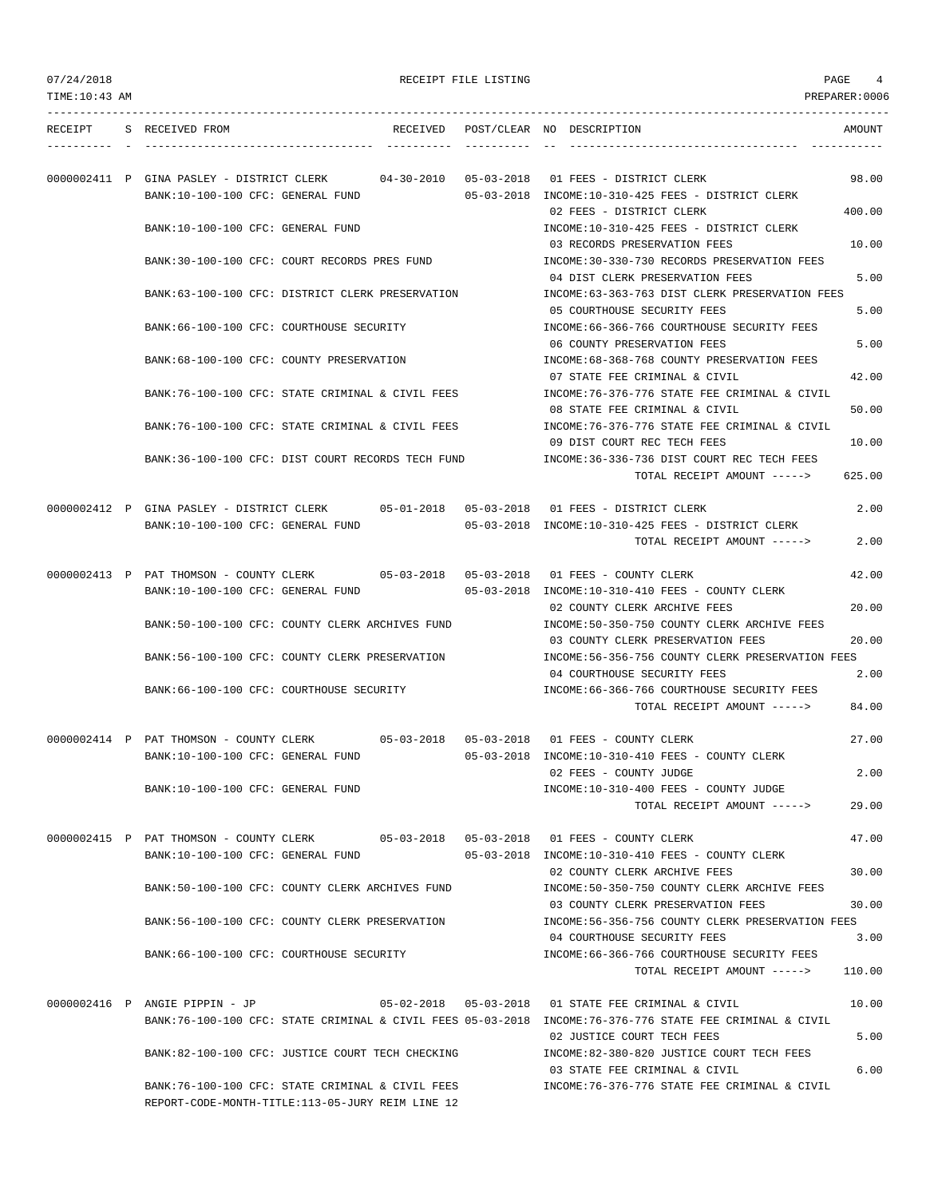| 07/24/2018     |                                                                                                                           |                                   | RECEIPT FILE LISTING |                                                                                                                                                                     | PAGE<br>4       |
|----------------|---------------------------------------------------------------------------------------------------------------------------|-----------------------------------|----------------------|---------------------------------------------------------------------------------------------------------------------------------------------------------------------|-----------------|
| TIME: 10:43 AM |                                                                                                                           |                                   |                      |                                                                                                                                                                     | PREPARER:0006   |
|                | RECEIPT S RECEIVED FROM                                                                                                   |                                   |                      | RECEIVED POST/CLEAR NO DESCRIPTION                                                                                                                                  | AMOUNT          |
|                | 0000002411 P GINA PASLEY - DISTRICT CLERK<br>BANK:10-100-100 CFC: GENERAL FUND                                            | $04 - 30 - 2010$ $05 - 03 - 2018$ |                      | 01 FEES - DISTRICT CLERK<br>05-03-2018 INCOME:10-310-425 FEES - DISTRICT CLERK                                                                                      | 98.00           |
|                | BANK:10-100-100 CFC: GENERAL FUND                                                                                         |                                   |                      | 02 FEES - DISTRICT CLERK<br>INCOME:10-310-425 FEES - DISTRICT CLERK<br>03 RECORDS PRESERVATION FEES                                                                 | 400.00<br>10.00 |
|                | BANK:30-100-100 CFC: COURT RECORDS PRES FUND                                                                              |                                   |                      | INCOME: 30-330-730 RECORDS PRESERVATION FEES<br>04 DIST CLERK PRESERVATION FEES                                                                                     | 5.00            |
|                | BANK:63-100-100 CFC: DISTRICT CLERK PRESERVATION                                                                          |                                   |                      | INCOME:63-363-763 DIST CLERK PRESERVATION FEES<br>05 COURTHOUSE SECURITY FEES                                                                                       | 5.00            |
|                | BANK:66-100-100 CFC: COURTHOUSE SECURITY                                                                                  |                                   |                      | INCOME: 66-366-766 COURTHOUSE SECURITY FEES<br>06 COUNTY PRESERVATION FEES                                                                                          | 5.00            |
|                | BANK:68-100-100 CFC: COUNTY PRESERVATION<br>BANK:76-100-100 CFC: STATE CRIMINAL & CIVIL FEES                              |                                   |                      | INCOME: 68-368-768 COUNTY PRESERVATION FEES<br>07 STATE FEE CRIMINAL & CIVIL<br>INCOME:76-376-776 STATE FEE CRIMINAL & CIVIL                                        | 42.00           |
|                | BANK:76-100-100 CFC: STATE CRIMINAL & CIVIL FEES                                                                          |                                   |                      | 08 STATE FEE CRIMINAL & CIVIL<br>INCOME:76-376-776 STATE FEE CRIMINAL & CIVIL                                                                                       | 50.00           |
|                | BANK:36-100-100 CFC: DIST COURT RECORDS TECH FUND                                                                         |                                   |                      | 09 DIST COURT REC TECH FEES<br>INCOME: 36-336-736 DIST COURT REC TECH FEES                                                                                          | 10.00           |
|                |                                                                                                                           |                                   |                      | TOTAL RECEIPT AMOUNT ----->                                                                                                                                         | 625.00          |
|                | 0000002412 P GINA PASLEY - DISTRICT CLERK<br>BANK:10-100-100 CFC: GENERAL FUND                                            |                                   |                      | 05-03-2018 INCOME:10-310-425 FEES - DISTRICT CLERK                                                                                                                  | 2.00            |
|                |                                                                                                                           |                                   |                      | TOTAL RECEIPT AMOUNT ----->                                                                                                                                         | 2.00            |
|                | 0000002413 P PAT THOMSON - COUNTY CLERK 05-03-2018 05-03-2018 01 FEES - COUNTY CLERK<br>BANK:10-100-100 CFC: GENERAL FUND |                                   |                      | $05-03-2018$ INCOME:10-310-410 FEES - COUNTY CLERK                                                                                                                  | 42.00           |
|                | BANK:50-100-100 CFC: COUNTY CLERK ARCHIVES FUND                                                                           |                                   |                      | 02 COUNTY CLERK ARCHIVE FEES<br>INCOME: 50-350-750 COUNTY CLERK ARCHIVE FEES                                                                                        | 20.00           |
|                | BANK:56-100-100 CFC: COUNTY CLERK PRESERVATION                                                                            |                                   |                      | 03 COUNTY CLERK PRESERVATION FEES<br>INCOME:56-356-756 COUNTY CLERK PRESERVATION FEES<br>04 COURTHOUSE SECURITY FEES                                                | 20.00<br>2.00   |
|                | BANK: 66-100-100 CFC: COURTHOUSE SECURITY                                                                                 |                                   |                      | INCOME: 66-366-766 COURTHOUSE SECURITY FEES<br>TOTAL RECEIPT AMOUNT ----->                                                                                          | 84.00           |
|                | 0000002414 P PAT THOMSON - COUNTY CLERK                                                                                   |                                   |                      | 05-03-2018  05-03-2018  01 FEES - COUNTY CLERK                                                                                                                      | 27.00           |
|                | BANK:10-100-100 CFC: GENERAL FUND<br>BANK:10-100-100 CFC: GENERAL FUND                                                    |                                   |                      | 05-03-2018 INCOME:10-310-410 FEES - COUNTY CLERK<br>02 FEES - COUNTY JUDGE<br>INCOME:10-310-400 FEES - COUNTY JUDGE                                                 | 2.00            |
|                |                                                                                                                           |                                   |                      | TOTAL RECEIPT AMOUNT ----->                                                                                                                                         | 29.00           |
|                | 0000002415 P PAT THOMSON - COUNTY CLERK 05-03-2018 05-03-2018 01 FEES - COUNTY CLERK<br>BANK:10-100-100 CFC: GENERAL FUND |                                   |                      | 05-03-2018 INCOME:10-310-410 FEES - COUNTY CLERK                                                                                                                    | 47.00           |
|                | BANK:50-100-100 CFC: COUNTY CLERK ARCHIVES FUND                                                                           |                                   |                      | 02 COUNTY CLERK ARCHIVE FEES<br>INCOME:50-350-750 COUNTY CLERK ARCHIVE FEES                                                                                         | 30.00           |
|                | BANK:56-100-100 CFC: COUNTY CLERK PRESERVATION                                                                            |                                   |                      | 03 COUNTY CLERK PRESERVATION FEES<br>INCOME:56-356-756 COUNTY CLERK PRESERVATION FEES                                                                               | 30.00           |
|                | BANK:66-100-100 CFC: COURTHOUSE SECURITY                                                                                  |                                   |                      | 04 COURTHOUSE SECURITY FEES<br>INCOME:66-366-766 COURTHOUSE SECURITY FEES                                                                                           | 3.00            |
|                |                                                                                                                           |                                   |                      | TOTAL RECEIPT AMOUNT ----->                                                                                                                                         | 110.00          |
|                | 0000002416 P ANGIE PIPPIN - JP                                                                                            |                                   |                      | $05-02-2018$ $05-03-2018$ 01 STATE FEE CRIMINAL & CIVIL<br>BANK:76-100-100 CFC: STATE CRIMINAL & CIVIL FEES 05-03-2018 INCOME:76-376-776 STATE FEE CRIMINAL & CIVIL | 10.00           |
|                | BANK:82-100-100 CFC: JUSTICE COURT TECH CHECKING                                                                          |                                   |                      | 02 JUSTICE COURT TECH FEES<br>INCOME:82-380-820 JUSTICE COURT TECH FEES                                                                                             | 5.00            |
|                | BANK:76-100-100 CFC: STATE CRIMINAL & CIVIL FEES<br>REPORT-CODE-MONTH-TITLE:113-05-JURY REIM LINE 12                      |                                   |                      | 03 STATE FEE CRIMINAL & CIVIL<br>INCOME: 76-376-776 STATE FEE CRIMINAL & CIVIL                                                                                      | 6.00            |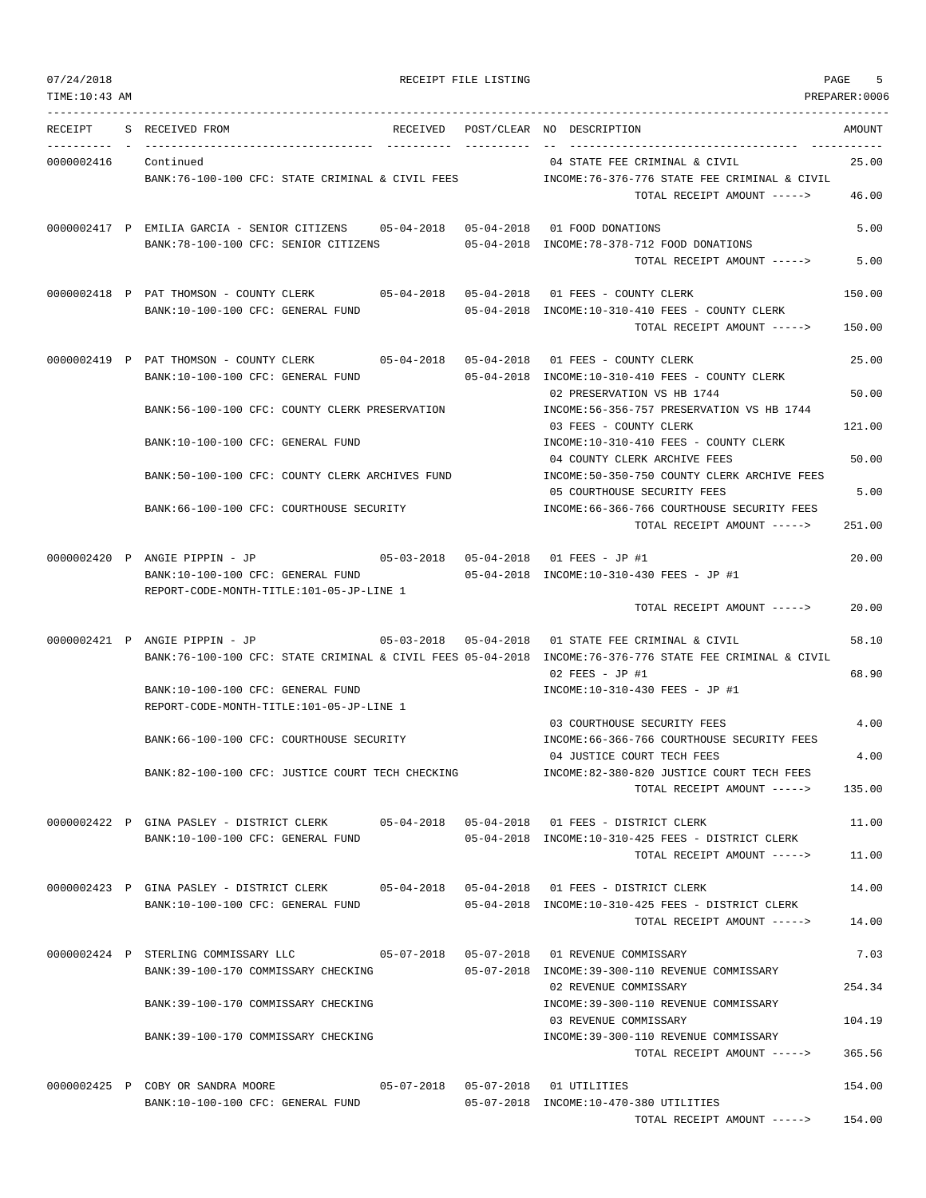TOTAL RECEIPT AMOUNT -----> 154.00

TIME:10:43 AM PREPARER:0006 --------------------------------------------------------------------------------------------------------------------------------- RECEIPT S RECEIVED FROM THE RECEIVED POST/CLEAR NO DESCRIPTION THE SECRET AMOUNT ---------- - ----------------------------------- ---------- ---------- -- ----------------------------------- ----------- 0000002416 Continued 04 STATE FEE CRIMINAL & CIVIL 25.00 BANK:76-100-100 CFC: STATE CRIMINAL & CIVIL FEES INCOME:76-376-776 STATE FEE CRIMINAL & CIVIL TOTAL RECEIPT AMOUNT -----> 46.00 0000002417 P EMILIA GARCIA - SENIOR CITIZENS 05-04-2018 05-04-2018 01 FOOD DONATIONS 5.00 BANK:78-100-100 CFC: SENIOR CITIZENS 05-04-2018 INCOME:78-378-712 FOOD DONATIONS TOTAL RECEIPT AMOUNT -----> 5.00 0000002418 P PAT THOMSON - COUNTY CLERK 05-04-2018 05-04-2018 01 FEES - COUNTY CLERK 150.00 BANK:10-100-100 CFC: GENERAL FUND 05-04-2018 INCOME:10-310-410 FEES - COUNTY CLERK TOTAL RECEIPT AMOUNT -----> 150.00 0000002419 P PAT THOMSON - COUNTY CLERK 05-04-2018 05-04-2018 01 FEES - COUNTY CLERK 25.00 BANK:10-100-100 CFC: GENERAL FUND 05-04-2018 INCOME:10-310-410 FEES - COUNTY CLERK 02 PRESERVATION VS HB 1744 50.00 BANK:56-100-100 CFC: COUNTY CLERK PRESERVATION INCOME:56-356-757 PRESERVATION VS HB 1744 03 FEES - COUNTY CLERK 121.00 BANK:10-100-100 CFC: GENERAL FUND INCOME:10-310-410 FEES - COUNTY CLERK 04 COUNTY CLERK ARCHIVE FEES 50.00 BANK:50-100-100 CFC: COUNTY CLERK ARCHIVES FUND INCOME:50-350-750 COUNTY CLERK ARCHIVE FEES 05 COURTHOUSE SECURITY FEES 5.00 BANK:66-100-100 CFC: COURTHOUSE SECURITY INCOME:66-366-766 COURTHOUSE SECURITY FEES TOTAL RECEIPT AMOUNT -----> 251.00 0000002420 P ANGIE PIPPIN - JP 05-03-2018 05-04-2018 01 FEES - JP #1 20.00 BANK:10-100-100 CFC: GENERAL FUND 05-04-2018 INCOME:10-310-430 FEES - JP #1 REPORT-CODE-MONTH-TITLE:101-05-JP-LINE 1 TOTAL RECEIPT AMOUNT -----> 20.00 0000002421 P ANGIE PIPPIN - JP 05-03-2018 05-04-2018 01 STATE FEE CRIMINAL & CIVIL 58.10 BANK:76-100-100 CFC: STATE CRIMINAL & CIVIL FEES 05-04-2018 INCOME:76-376-776 STATE FEE CRIMINAL & CIVIL 02 FEES - JP #1 68.90 BANK:10-100-100 CFC: GENERAL FUND INCOME:10-310-430 FEES - JP #1 REPORT-CODE-MONTH-TITLE:101-05-JP-LINE 1 03 COURTHOUSE SECURITY FEES 4.00 BANK:66-100-100 CFC: COURTHOUSE SECURITY **INCOME:66-366-766 COURTHOUSE SECURITY FEES** 04 JUSTICE COURT TECH FEES 4.00 BANK:82-100-100 CFC: JUSTICE COURT TECH CHECKING INCOME:82-380-820 JUSTICE COURT TECH FEES TOTAL RECEIPT AMOUNT -----> 135.00 0000002422 P GINA PASLEY - DISTRICT CLERK 05-04-2018 05-04-2018 01 FEES - DISTRICT CLERK 11.00 BANK:10-100-100 CFC: GENERAL FUND 05-04-2018 INCOME:10-310-425 FEES - DISTRICT CLERK TOTAL RECEIPT AMOUNT -----> 11.00 0000002423 P GINA PASLEY - DISTRICT CLERK 05-04-2018 05-04-2018 01 FEES - DISTRICT CLERK 14.00 BANK:10-100-100 CFC: GENERAL FUND 05-04-2018 INCOME:10-310-425 FEES - DISTRICT CLERK TOTAL RECEIPT AMOUNT -----> 14.00 0000002424 P STERLING COMMISSARY LLC 05-07-2018 05-07-2018 01 REVENUE COMMISSARY 7.03 BANK:39-100-170 COMMISSARY CHECKING 05-07-2018 INCOME:39-300-110 REVENUE COMMISSARY 02 REVENUE COMMISSARY 254.34 BANK:39-100-170 COMMISSARY CHECKING INCOME:39-300-110 REVENUE COMMISSARY 03 REVENUE COMMISSARY 104.19 BANK:39-100-170 COMMISSARY CHECKING INCOME:39-300-110 REVENUE COMMISSARY TOTAL RECEIPT AMOUNT -----> 365.56 0000002425 P COBY OR SANDRA MOORE 05-07-2018 05-07-2018 01 UTILITIES 154.00 BANK:10-100-100 CFC: GENERAL FUND 05-07-2018 INCOME:10-470-380 UTILITIES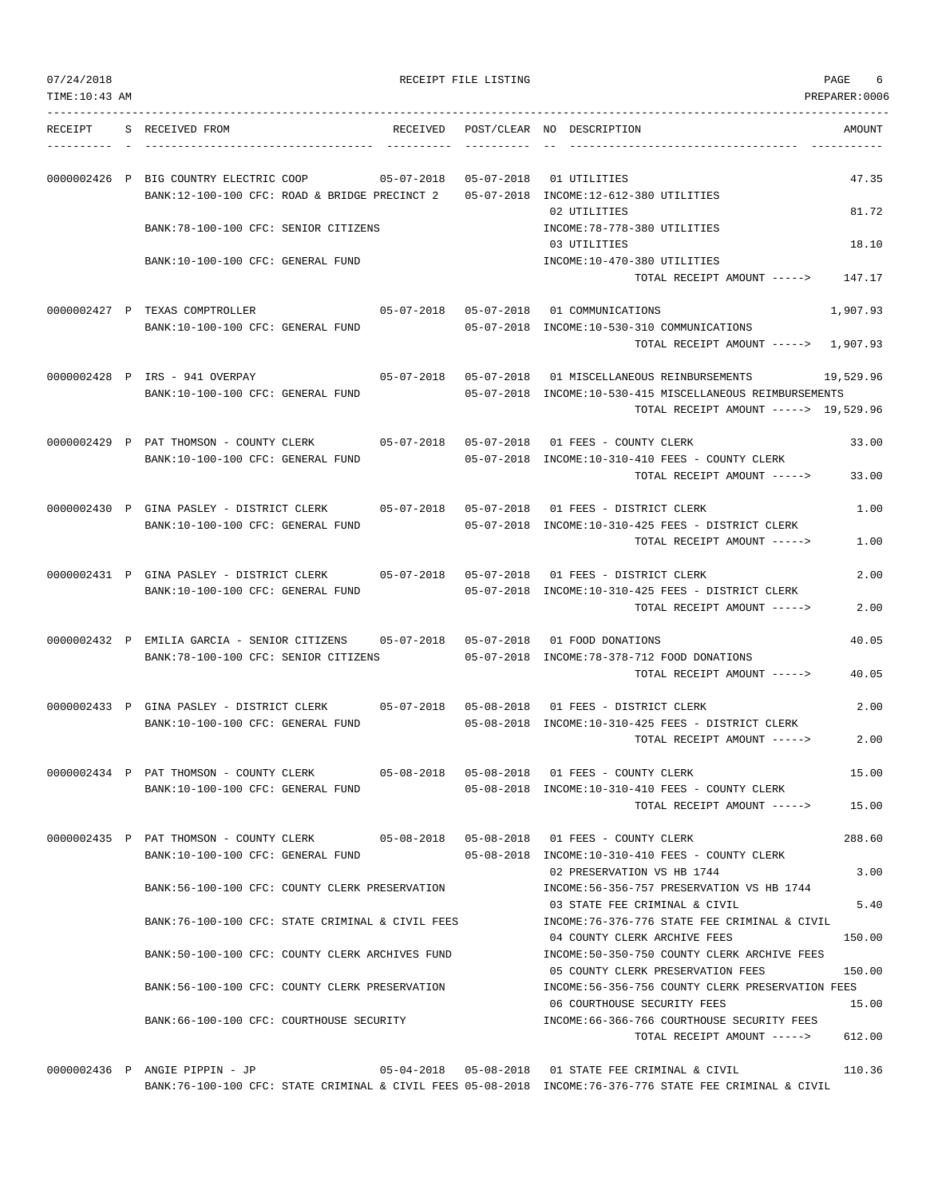TIME:10:43 AM PREPARER:0006 --------------------------------------------------------------------------------------------------------------------------------- RECEIPT S RECEIVED FROM THE RECEIVED POST/CLEAR NO DESCRIPTION THE RECEIVED AMOUNT ---------- - ----------------------------------- ---------- ---------- -- ----------------------------------- ----------- 0000002426 P BIG COUNTRY ELECTRIC COOP 05-07-2018 05-07-2018 01 UTILITIES 47.35 BANK:12-100-100 CFC: ROAD & BRIDGE PRECINCT 2 05-07-2018 INCOME:12-612-380 UTILITIES 02 UTILITIES 81.72 BANK:78-100-100 CFC: SENIOR CITIZENS INCOME:78-778-380 UTILITIES 03 UTILITIES 18.10 BANK:10-100-100 CFC: GENERAL FUND INCOME:10-470-380 UTILITIES TOTAL RECEIPT AMOUNT -----> 147.17 0000002427 P TEXAS COMPTROLLER 05-07-2018 05-07-2018 01 COMMUNICATIONS 1,907.93 BANK:10-100-100 CFC: GENERAL FUND 05-07-2018 INCOME:10-530-310 COMMUNICATIONS TOTAL RECEIPT AMOUNT -----> 1,907.93 0000002428 P IRS - 941 OVERPAY 05-07-2018 05-07-2018 01 MISCELLANEOUS REINBURSEMENTS 19,529.96 BANK:10-100-100 CFC: GENERAL FUND 05-07-2018 INCOME:10-530-415 MISCELLANEOUS REIMBURSEMENTS TOTAL RECEIPT AMOUNT -----> 19,529.96 0000002429 P PAT THOMSON - COUNTY CLERK 05-07-2018 05-07-2018 01 FEES - COUNTY CLERK 33.00 BANK:10-100-100 CFC: GENERAL FUND 05-07-2018 INCOME:10-310-410 FEES - COUNTY CLERK TOTAL RECEIPT AMOUNT -----> 33.00 0000002430 P GINA PASLEY - DISTRICT CLERK 05-07-2018 05-07-2018 01 FEES - DISTRICT CLERK 1.00 BANK:10-100-100 CFC: GENERAL FUND 05-07-2018 INCOME:10-310-425 FEES - DISTRICT CLERK TOTAL RECEIPT AMOUNT -----> 1.00 0000002431 P GINA PASLEY - DISTRICT CLERK 05-07-2018 05-07-2018 01 FEES - DISTRICT CLERK 2.00 BANK:10-100-100 CFC: GENERAL FUND 05-07-2018 INCOME:10-310-425 FEES - DISTRICT CLERK TOTAL RECEIPT AMOUNT -----> 2.00 0000002432 P EMILIA GARCIA - SENIOR CITIZENS 05-07-2018 05-07-2018 01 FOOD DONATIONS 40.05 BANK:78-100-100 CFC: SENIOR CITIZENS 05-07-2018 INCOME:78-378-712 FOOD DONATIONS TOTAL RECEIPT AMOUNT -----> 40.05 0000002433 P GINA PASLEY - DISTRICT CLERK 05-07-2018 05-08-2018 01 FEES - DISTRICT CLERK 2.00 BANK:10-100-100 CFC: GENERAL FUND 05-08-2018 INCOME:10-310-425 FEES - DISTRICT CLERK TOTAL RECEIPT AMOUNT -----> 2.00 0000002434 P PAT THOMSON - COUNTY CLERK 05-08-2018 05-08-2018 01 FEES - COUNTY CLERK 15.00 BANK:10-100-100 CFC: GENERAL FUND 05-08-2018 INCOME:10-310-410 FEES - COUNTY CLERK TOTAL RECEIPT AMOUNT -----> 15.00 0000002435 P PAT THOMSON - COUNTY CLERK 05-08-2018 05-08-2018 01 FEES - COUNTY CLERK 288.60 BANK:10-100-100 CFC: GENERAL FUND 05-08-2018 INCOME:10-310-410 FEES - COUNTY CLERK 02 PRESERVATION VS HB 1744 3.00 BANK:56-100-100 CFC: COUNTY CLERK PRESERVATION INCOME:56-356-757 PRESERVATION VS HB 1744 03 STATE FEE CRIMINAL & CIVIL 6 5.40 BANK:76-100-100 CFC: STATE CRIMINAL & CIVIL FEES INCOME:76-376-776 STATE FEE CRIMINAL & CIVIL 04 COUNTY CLERK ARCHIVE FEES 150.00 BANK:50-100-100 CFC: COUNTY CLERK ARCHIVES FUND INCOME:50-350-750 COUNTY CLERK ARCHIVE FEES 05 COUNTY CLERK PRESERVATION FEES 150.00 BANK:56-100-100 CFC: COUNTY CLERK PRESERVATION INCOME:56-356-756 COUNTY CLERK PRESERVATION FEES 06 COURTHOUSE SECURITY FEES 15.00 BANK:66-100-100 CFC: COURTHOUSE SECURITY INCOME:66-366-766 COURTHOUSE SECURITY FEES TOTAL RECEIPT AMOUNT -----> 612.00

0000002436 P ANGIE PIPPIN - JP 05-04-2018 05-08-2018 01 STATE FEE CRIMINAL & CIVIL 110.36 BANK:76-100-100 CFC: STATE CRIMINAL & CIVIL FEES 05-08-2018 INCOME:76-376-776 STATE FEE CRIMINAL & CIVIL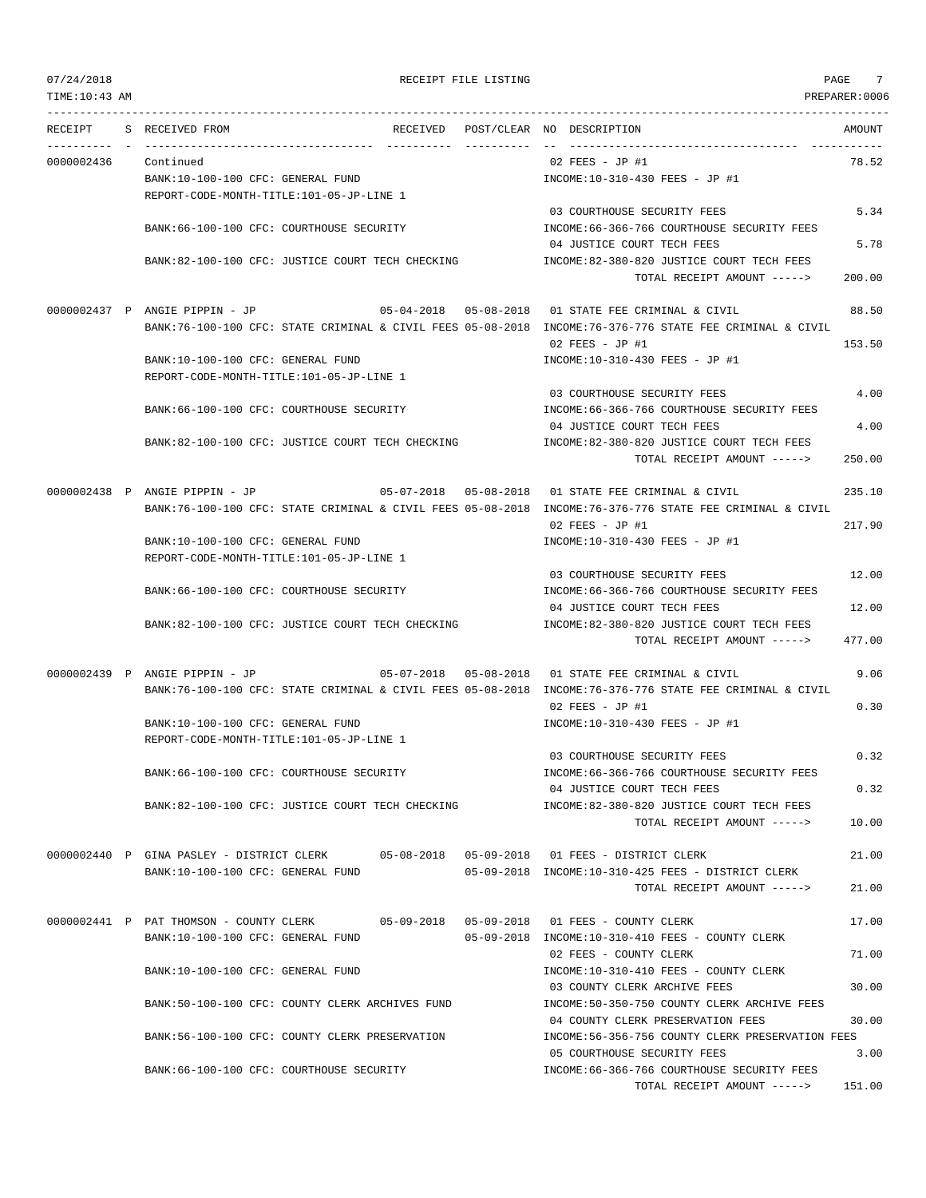| 07/24/2018<br>TIME: 10:43 AM |                                                                                          | RECEIPT FILE LISTING |                                                                                                          | 7<br>PAGE<br>PREPARER:0006 |
|------------------------------|------------------------------------------------------------------------------------------|----------------------|----------------------------------------------------------------------------------------------------------|----------------------------|
| RECEIPT                      | S RECEIVED FROM                                                                          |                      | RECEIVED POST/CLEAR NO DESCRIPTION                                                                       | AMOUNT                     |
| 0000002436                   | Continued                                                                                |                      | 02 FEES - JP #1                                                                                          | 78.52                      |
|                              | BANK:10-100-100 CFC: GENERAL FUND                                                        |                      | INCOME:10-310-430 FEES - JP #1                                                                           |                            |
|                              | REPORT-CODE-MONTH-TITLE:101-05-JP-LINE 1                                                 |                      |                                                                                                          |                            |
|                              |                                                                                          |                      | 03 COURTHOUSE SECURITY FEES                                                                              | 5.34                       |
|                              | BANK:66-100-100 CFC: COURTHOUSE SECURITY                                                 |                      | INCOME: 66-366-766 COURTHOUSE SECURITY FEES<br>04 JUSTICE COURT TECH FEES                                | 5.78                       |
|                              | BANK:82-100-100 CFC: JUSTICE COURT TECH CHECKING                                         |                      | INCOME:82-380-820 JUSTICE COURT TECH FEES<br>TOTAL RECEIPT AMOUNT ----->                                 | 200.00                     |
|                              |                                                                                          |                      |                                                                                                          |                            |
|                              | 0000002437 P ANGIE PIPPIN - JP                                                           |                      | 05-04-2018  05-08-2018  01 STATE FEE CRIMINAL & CIVIL                                                    | 88.50                      |
|                              |                                                                                          |                      | BANK:76-100-100 CFC: STATE CRIMINAL & CIVIL FEES 05-08-2018 INCOME:76-376-776 STATE FEE CRIMINAL & CIVIL |                            |
|                              |                                                                                          |                      | 02 FEES - JP #1                                                                                          | 153.50                     |
|                              | BANK:10-100-100 CFC: GENERAL FUND                                                        |                      | INCOME:10-310-430 FEES - JP #1                                                                           |                            |
|                              | REPORT-CODE-MONTH-TITLE:101-05-JP-LINE 1                                                 |                      |                                                                                                          |                            |
|                              |                                                                                          |                      | 03 COURTHOUSE SECURITY FEES                                                                              | 4.00                       |
|                              | BANK:66-100-100 CFC: COURTHOUSE SECURITY                                                 |                      | INCOME: 66-366-766 COURTHOUSE SECURITY FEES                                                              |                            |
|                              |                                                                                          |                      | 04 JUSTICE COURT TECH FEES                                                                               | 4.00                       |
|                              | BANK:82-100-100 CFC: JUSTICE COURT TECH CHECKING                                         |                      | INCOME:82-380-820 JUSTICE COURT TECH FEES                                                                | 250.00                     |
|                              |                                                                                          |                      | TOTAL RECEIPT AMOUNT ----->                                                                              |                            |
|                              | 0000002438 P ANGIE PIPPIN - JP                                                           |                      | 05-07-2018  05-08-2018  01 STATE FEE CRIMINAL & CIVIL                                                    | 235.10                     |
|                              |                                                                                          |                      | BANK:76-100-100 CFC: STATE CRIMINAL & CIVIL FEES 05-08-2018 INCOME:76-376-776 STATE FEE CRIMINAL & CIVIL |                            |
|                              |                                                                                          |                      | 02 FEES - JP #1                                                                                          | 217.90                     |
|                              | BANK:10-100-100 CFC: GENERAL FUND                                                        |                      | INCOME:10-310-430 FEES - JP #1                                                                           |                            |
|                              | REPORT-CODE-MONTH-TITLE:101-05-JP-LINE 1                                                 |                      |                                                                                                          |                            |
|                              |                                                                                          |                      | 03 COURTHOUSE SECURITY FEES                                                                              | 12.00                      |
|                              | BANK:66-100-100 CFC: COURTHOUSE SECURITY                                                 |                      | INCOME: 66-366-766 COURTHOUSE SECURITY FEES                                                              |                            |
|                              |                                                                                          |                      | 04 JUSTICE COURT TECH FEES                                                                               | 12.00                      |
|                              | BANK:82-100-100 CFC: JUSTICE COURT TECH CHECKING                                         |                      | INCOME:82-380-820 JUSTICE COURT TECH FEES                                                                |                            |
|                              |                                                                                          |                      | TOTAL RECEIPT AMOUNT ----->                                                                              | 477.00                     |
|                              | 0000002439 P ANGIE PIPPIN - JP                                                           |                      | 05-07-2018  05-08-2018  01 STATE FEE CRIMINAL & CIVIL                                                    | 9.06                       |
|                              |                                                                                          |                      | BANK:76-100-100 CFC: STATE CRIMINAL & CIVIL FEES 05-08-2018 INCOME:76-376-776 STATE FEE CRIMINAL & CIVIL |                            |
|                              |                                                                                          |                      | 02 FEES - JP #1                                                                                          | 0.30                       |
|                              | BANK:10-100-100 CFC: GENERAL FUND                                                        |                      | INCOME:10-310-430 FEES - JP #1                                                                           |                            |
|                              | REPORT-CODE-MONTH-TITLE:101-05-JP-LINE 1                                                 |                      |                                                                                                          |                            |
|                              |                                                                                          |                      | 03 COURTHOUSE SECURITY FEES                                                                              | 0.32                       |
|                              | BANK:66-100-100 CFC: COURTHOUSE SECURITY                                                 |                      | INCOME: 66-366-766 COURTHOUSE SECURITY FEES                                                              |                            |
|                              |                                                                                          |                      | 04 JUSTICE COURT TECH FEES                                                                               | 0.32                       |
|                              | BANK:82-100-100 CFC: JUSTICE COURT TECH CHECKING                                         |                      | INCOME:82-380-820 JUSTICE COURT TECH FEES                                                                |                            |
|                              |                                                                                          |                      | TOTAL RECEIPT AMOUNT ----->                                                                              | 10.00                      |
|                              |                                                                                          |                      |                                                                                                          |                            |
|                              | 0000002440 P GINA PASLEY - DISTRICT CLERK 05-08-2018 05-09-2018 01 FEES - DISTRICT CLERK |                      | 05-09-2018 INCOME:10-310-425 FEES - DISTRICT CLERK                                                       | 21.00                      |
|                              | BANK:10-100-100 CFC: GENERAL FUND                                                        |                      | TOTAL RECEIPT AMOUNT ----->                                                                              | 21.00                      |
|                              |                                                                                          |                      |                                                                                                          |                            |
|                              | 0000002441 P PAT THOMSON - COUNTY CLERK                                                  |                      | 05-09-2018  05-09-2018  01 FEES - COUNTY CLERK                                                           | 17.00                      |
|                              | BANK:10-100-100 CFC: GENERAL FUND                                                        |                      | 05-09-2018 INCOME:10-310-410 FEES - COUNTY CLERK                                                         |                            |
|                              |                                                                                          |                      | 02 FEES - COUNTY CLERK                                                                                   | 71.00                      |
|                              | BANK:10-100-100 CFC: GENERAL FUND                                                        |                      | INCOME:10-310-410 FEES - COUNTY CLERK                                                                    |                            |
|                              |                                                                                          |                      | 03 COUNTY CLERK ARCHIVE FEES                                                                             | 30.00                      |
|                              | BANK:50-100-100 CFC: COUNTY CLERK ARCHIVES FUND                                          |                      | INCOME:50-350-750 COUNTY CLERK ARCHIVE FEES                                                              |                            |
|                              |                                                                                          |                      | 04 COUNTY CLERK PRESERVATION FEES                                                                        | 30.00                      |
|                              | BANK:56-100-100 CFC: COUNTY CLERK PRESERVATION                                           |                      | INCOME:56-356-756 COUNTY CLERK PRESERVATION FEES                                                         |                            |
|                              |                                                                                          |                      | 05 COURTHOUSE SECURITY FEES                                                                              | 3.00                       |
|                              | BANK:66-100-100 CFC: COURTHOUSE SECURITY                                                 |                      | INCOME: 66-366-766 COURTHOUSE SECURITY FEES                                                              |                            |
|                              |                                                                                          |                      | TOTAL RECEIPT AMOUNT ----->                                                                              | 151.00                     |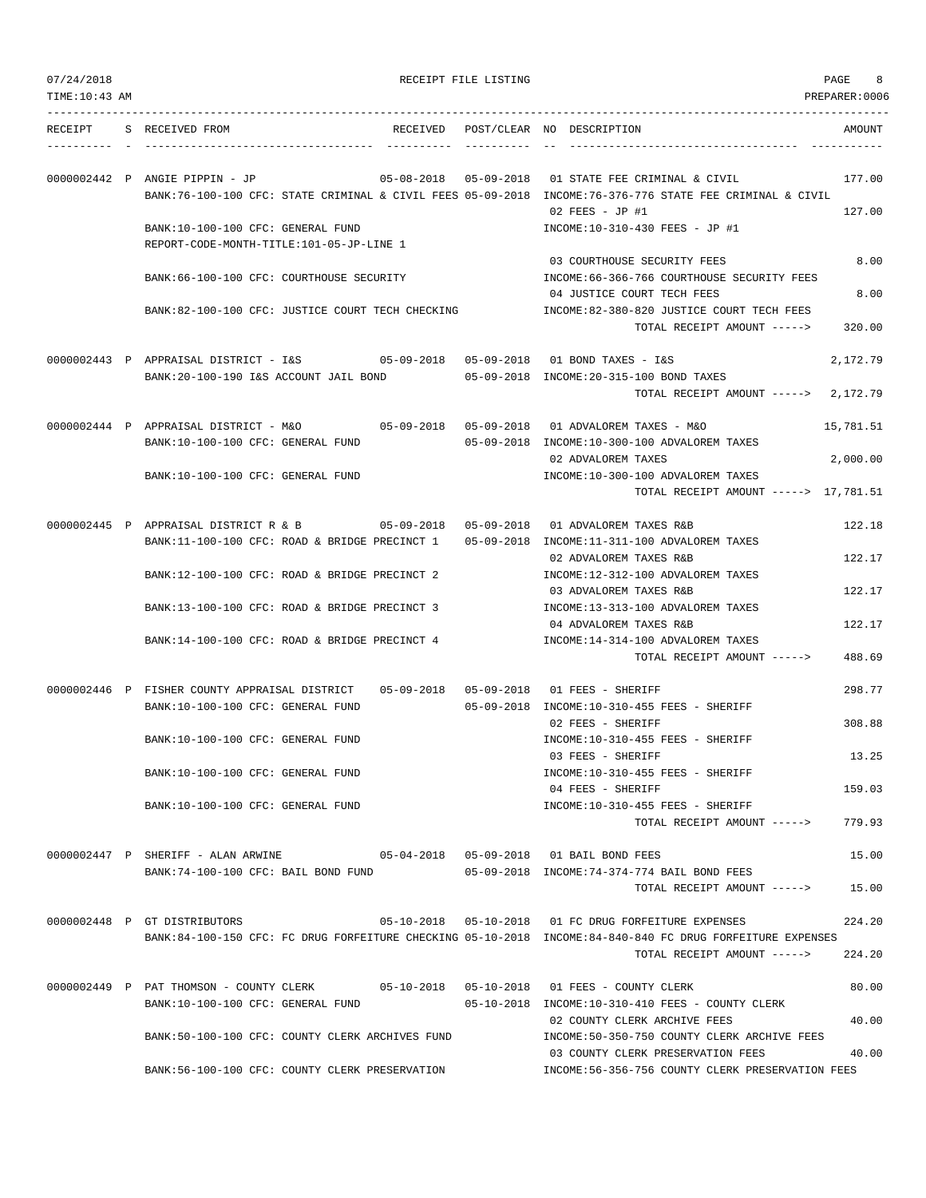| 07/24/2018 |
|------------|
|            |

| 07/24/2018<br>TIME:10:43 AM |                                                                                                                                                                                 | RECEIPT FILE LISTING              |                                                                                                                   | PAGE<br>8<br>PREPARER:0006 |
|-----------------------------|---------------------------------------------------------------------------------------------------------------------------------------------------------------------------------|-----------------------------------|-------------------------------------------------------------------------------------------------------------------|----------------------------|
|                             | RECEIPT S RECEIVED FROM                                                                                                                                                         |                                   | RECEIVED POST/CLEAR NO DESCRIPTION                                                                                | AMOUNT                     |
|                             | 0000002442 P ANGIE PIPPIN - JP<br>BANK:76-100-100 CFC: STATE CRIMINAL & CIVIL FEES 05-09-2018 INCOME:76-376-776 STATE FEE CRIMINAL & CIVIL<br>BANK:10-100-100 CFC: GENERAL FUND | 05-08-2018 05-09-2018             | 01 STATE FEE CRIMINAL & CIVIL<br>$02$ FEES - JP #1<br>INCOME:10-310-430 FEES - JP #1                              | 177.00<br>127.00           |
|                             | REPORT-CODE-MONTH-TITLE:101-05-JP-LINE 1<br>BANK:66-100-100 CFC: COURTHOUSE SECURITY                                                                                            |                                   | 03 COURTHOUSE SECURITY FEES<br>INCOME: 66-366-766 COURTHOUSE SECURITY FEES<br>04 JUSTICE COURT TECH FEES          | 8.00<br>8.00               |
|                             | BANK:82-100-100 CFC: JUSTICE COURT TECH CHECKING                                                                                                                                |                                   | INCOME:82-380-820 JUSTICE COURT TECH FEES<br>TOTAL RECEIPT AMOUNT ----->                                          | 320.00                     |
|                             | 0000002443 P APPRAISAL DISTRICT - I&S 05-09-2018 05-09-2018<br>BANK:20-100-190 I&S ACCOUNT JAIL BOND                                                                            |                                   | 01 BOND TAXES - I&S<br>05-09-2018 INCOME:20-315-100 BOND TAXES<br>TOTAL RECEIPT AMOUNT ----->                     | 2,172.79<br>2,172.79       |
|                             | 0000002444 P APPRAISAL DISTRICT - M&O<br>BANK:10-100-100 CFC: GENERAL FUND                                                                                                      | $05 - 09 - 2018$ $05 - 09 - 2018$ | 01 ADVALOREM TAXES - M&O<br>05-09-2018 INCOME:10-300-100 ADVALOREM TAXES                                          | 15,781.51                  |
|                             | BANK:10-100-100 CFC: GENERAL FUND                                                                                                                                               |                                   | 02 ADVALOREM TAXES<br>INCOME:10-300-100 ADVALOREM TAXES<br>TOTAL RECEIPT AMOUNT -----> 17,781.51                  | 2,000.00                   |
|                             | 0000002445 P APPRAISAL DISTRICT R & B 05-09-2018 05-09-2018<br>BANK:11-100-100 CFC: ROAD & BRIDGE PRECINCT 1 05-09-2018 INCOME:11-311-100 ADVALOREM TAXES                       |                                   | 01 ADVALOREM TAXES R&B                                                                                            | 122.18                     |
|                             | BANK:12-100-100 CFC: ROAD & BRIDGE PRECINCT 2                                                                                                                                   |                                   | 02 ADVALOREM TAXES R&B<br>INCOME:12-312-100 ADVALOREM TAXES                                                       | 122.17                     |
|                             | BANK:13-100-100 CFC: ROAD & BRIDGE PRECINCT 3                                                                                                                                   |                                   | 03 ADVALOREM TAXES R&B<br>INCOME:13-313-100 ADVALOREM TAXES<br>04 ADVALOREM TAXES R&B                             | 122.17<br>122.17           |
|                             | BANK:14-100-100 CFC: ROAD & BRIDGE PRECINCT 4                                                                                                                                   |                                   | INCOME:14-314-100 ADVALOREM TAXES<br>TOTAL RECEIPT AMOUNT ----->                                                  | 488.69                     |
|                             | 0000002446 P FISHER COUNTY APPRAISAL DISTRICT<br>BANK:10-100-100 CFC: GENERAL FUND                                                                                              |                                   | 05-09-2018  05-09-2018  01 FEES - SHERIFF<br>05-09-2018 INCOME:10-310-455 FEES - SHERIFF                          | 298.77                     |
|                             | BANK:10-100-100 CFC: GENERAL FUND                                                                                                                                               |                                   | 02 FEES - SHERIFF<br>INCOME:10-310-455 FEES - SHERIFF<br>03 FEES - SHERIFF                                        | 308.88<br>13.25            |
|                             | BANK:10-100-100 CFC: GENERAL FUND                                                                                                                                               |                                   | INCOME:10-310-455 FEES - SHERIFF<br>04 FEES - SHERIFF                                                             | 159.03                     |
|                             | BANK:10-100-100 CFC: GENERAL FUND                                                                                                                                               |                                   | INCOME:10-310-455 FEES - SHERIFF<br>TOTAL RECEIPT AMOUNT ----->                                                   | 779.93                     |
|                             | 0000002447 P SHERIFF - ALAN ARWINE $05-04-2018$ 05-09-2018 01 BAIL BOND FEES<br>BANK:74-100-100 CFC: BAIL BOND FUND                                                             |                                   | 05-09-2018 INCOME:74-374-774 BAIL BOND FEES<br>TOTAL RECEIPT AMOUNT ----->                                        | 15.00<br>15.00             |
|                             | 0000002448 P GT DISTRIBUTORS<br>BANK:84-100-150 CFC: FC DRUG FORFEITURE CHECKING 05-10-2018 INCOME:84-840-840 FC DRUG FORFEITURE EXPENSES                                       |                                   | 05-10-2018  05-10-2018  01 FC DRUG FORFEITURE EXPENSES<br>TOTAL RECEIPT AMOUNT ----->                             | 224.20<br>224.20           |
|                             | 0000002449 P PAT THOMSON - COUNTY CLERK 05-10-2018 05-10-2018 01 FEES - COUNTY CLERK<br>BANK:10-100-100 CFC: GENERAL FUND                                                       |                                   | 05-10-2018 INCOME:10-310-410 FEES - COUNTY CLERK                                                                  | 80.00                      |
|                             | BANK:50-100-100 CFC: COUNTY CLERK ARCHIVES FUND                                                                                                                                 |                                   | 02 COUNTY CLERK ARCHIVE FEES<br>INCOME: 50-350-750 COUNTY CLERK ARCHIVE FEES<br>03 COUNTY CLERK PRESERVATION FEES | 40.00<br>40.00             |

BANK:56-100-100 CFC: COUNTY CLERK PRESERVATION INCOME:56-356-756 COUNTY CLERK PRESERVATION FEES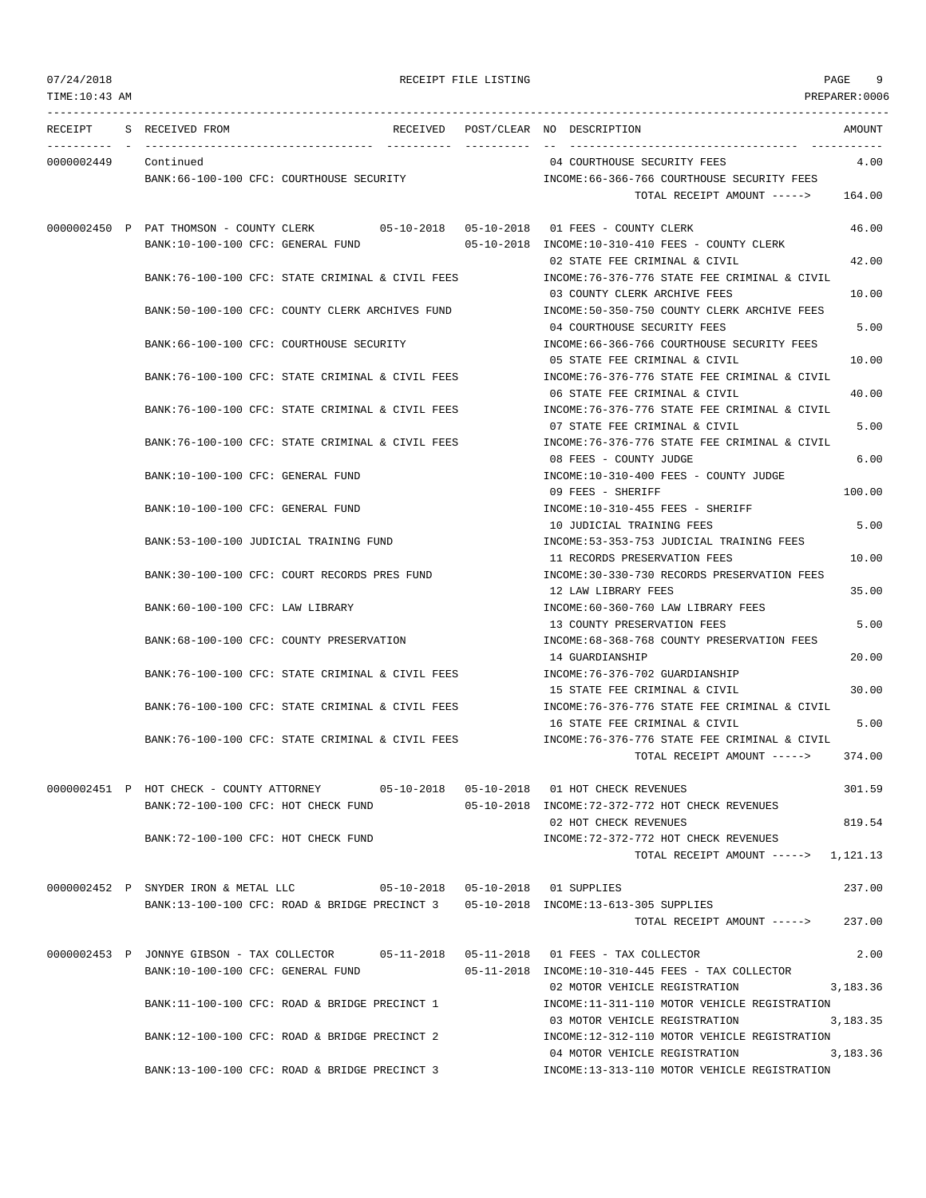TIME:10:43 AM PREPARER:0006 --------------------------------------------------------------------------------------------------------------------------------- RECEIPT S RECEIVED FROM THE RECEIVED POST/CLEAR NO DESCRIPTION THE RECEIVED AMOUNT ---------- - ----------------------------------- ---------- ---------- -- ----------------------------------- ----------- 0000002449 Continued 04 COURTHOUSE SECURITY FEES 4.00 BANK:66-100-100 CFC: COURTHOUSE SECURITY INCOME:66-366-766 COURTHOUSE SECURITY FEES TOTAL RECEIPT AMOUNT -----> 164.00 0000002450 P PAT THOMSON - COUNTY CLERK 05-10-2018 05-10-2018 01 FEES - COUNTY CLERK 46.00 BANK:10-100-100 CFC: GENERAL FUND 05-10-2018 INCOME:10-310-410 FEES - COUNTY CLERK 02 STATE FEE CRIMINAL & CIVIL 42.00 BANK:76-100-100 CFC: STATE CRIMINAL & CIVIL FEES INCOME:76-376-776 STATE FEE CRIMINAL & CIVIL 03 COUNTY CLERK ARCHIVE FEES 10.00 BANK:50-100-100 CFC: COUNTY CLERK ARCHIVES FUND INCOME:50-350-750 COUNTY CLERK ARCHIVE FEES 04 COURTHOUSE SECURITY FEES 5.00 BANK:66-100-100 CFC: COURTHOUSE SECURITY INCOME:66-366-766 COURTHOUSE SECURITY FEES 05 STATE FEE CRIMINAL & CIVIL 10.00 BANK:76-100-100 CFC: STATE CRIMINAL & CIVIL FEES INCOME:76-376-776 STATE FEE CRIMINAL & CIVIL 06 STATE FEE CRIMINAL & CIVIL  $40.00$ BANK:76-100-100 CFC: STATE CRIMINAL & CIVIL FEES **INCOME:76-376-776 STATE FEE CRIMINAL & CIVIL** 07 STATE FEE CRIMINAL & CIVIL 5.00 BANK:76-100-100 CFC: STATE CRIMINAL & CIVIL FEES INCOME:76-376-776 STATE FEE CRIMINAL & CIVIL 08 FEES - COUNTY JUDGE 6.00 BANK:10-100-100 CFC: GENERAL FUND INCOME:10-310-400 FEES - COUNTY JUDGE 09 FEES - SHERIFF 100.00 BANK:10-100-100 CFC: GENERAL FUND INCOME:10-310-455 FEES - SHERIFF 10 JUDICIAL TRAINING FEES 5.00 BANK:53-100-100 JUDICIAL TRAINING FUND INCOME:53-353-753 JUDICIAL TRAINING FEES 11 RECORDS PRESERVATION FEES 10.00 BANK:30-100-100 CFC: COURT RECORDS PRES FUND INCOME:30-330-730 RECORDS PRESERVATION FEES 12 LAW LIBRARY FEES 35.00 BANK:60-100-100 CFC: LAW LIBRARY **INCOME:60-360-760 LAW LIBRARY FEES** 13 COUNTY PRESERVATION FEES 5.00 BANK:68-100-100 CFC: COUNTY PRESERVATION INCOME:68-368-768 COUNTY PRESERVATION FEES 14 GUARDIANSHIP 20.00 BANK:76-100-100 CFC: STATE CRIMINAL & CIVIL FEES INCOME:76-376-702 GUARDIANSHIP 15 STATE FEE CRIMINAL & CIVIL 30.00 BANK:76-100-100 CFC: STATE CRIMINAL & CIVIL FEES INCOME:76-376-776 STATE FEE CRIMINAL & CIVIL 16 STATE FEE CRIMINAL & CIVIL 5.00 BANK:76-100-100 CFC: STATE CRIMINAL & CIVIL FEES INCOME:76-376-776 STATE FEE CRIMINAL & CIVIL TOTAL RECEIPT AMOUNT -----> 374.00 0000002451 P HOT CHECK - COUNTY ATTORNEY 05-10-2018 05-10-2018 01 HOT CHECK REVENUES 301.59 BANK:72-100-100 CFC: HOT CHECK FUND 05-10-2018 INCOME:72-372-772 HOT CHECK REVENUES 02 HOT CHECK REVENUES 819.54 BANK:72-100-100 CFC: HOT CHECK FUND INCOME:72-372-772 HOT CHECK REVENUES TOTAL RECEIPT AMOUNT -----> 1,121.13 0000002452 P SNYDER IRON & METAL LLC 05-10-2018 05-10-2018 01 SUPPLIES 237.00 BANK:13-100-100 CFC: ROAD & BRIDGE PRECINCT 3 05-10-2018 INCOME:13-613-305 SUPPLIES TOTAL RECEIPT AMOUNT -----> 237.00 0000002453 P JONNYE GIBSON - TAX COLLECTOR 05-11-2018 05-11-2018 01 FEES - TAX COLLECTOR 2.00 BANK:10-100-100 CFC: GENERAL FUND 05-11-2018 INCOME:10-310-445 FEES - TAX COLLECTOR 02 MOTOR VEHICLE REGISTRATION 3,183.36 BANK:11-100-100 CFC: ROAD & BRIDGE PRECINCT 1 INCOME:11-311-110 MOTOR VEHICLE REGISTRATION 03 MOTOR VEHICLE REGISTRATION 3,183.35 BANK:12-100-100 CFC: ROAD & BRIDGE PRECINCT 2 INCOME:12-312-110 MOTOR VEHICLE REGISTRATION 04 MOTOR VEHICLE REGISTRATION 3,183.36 BANK:13-100-100 CFC: ROAD & BRIDGE PRECINCT 3 INCOME:13-313-110 MOTOR VEHICLE REGISTRATION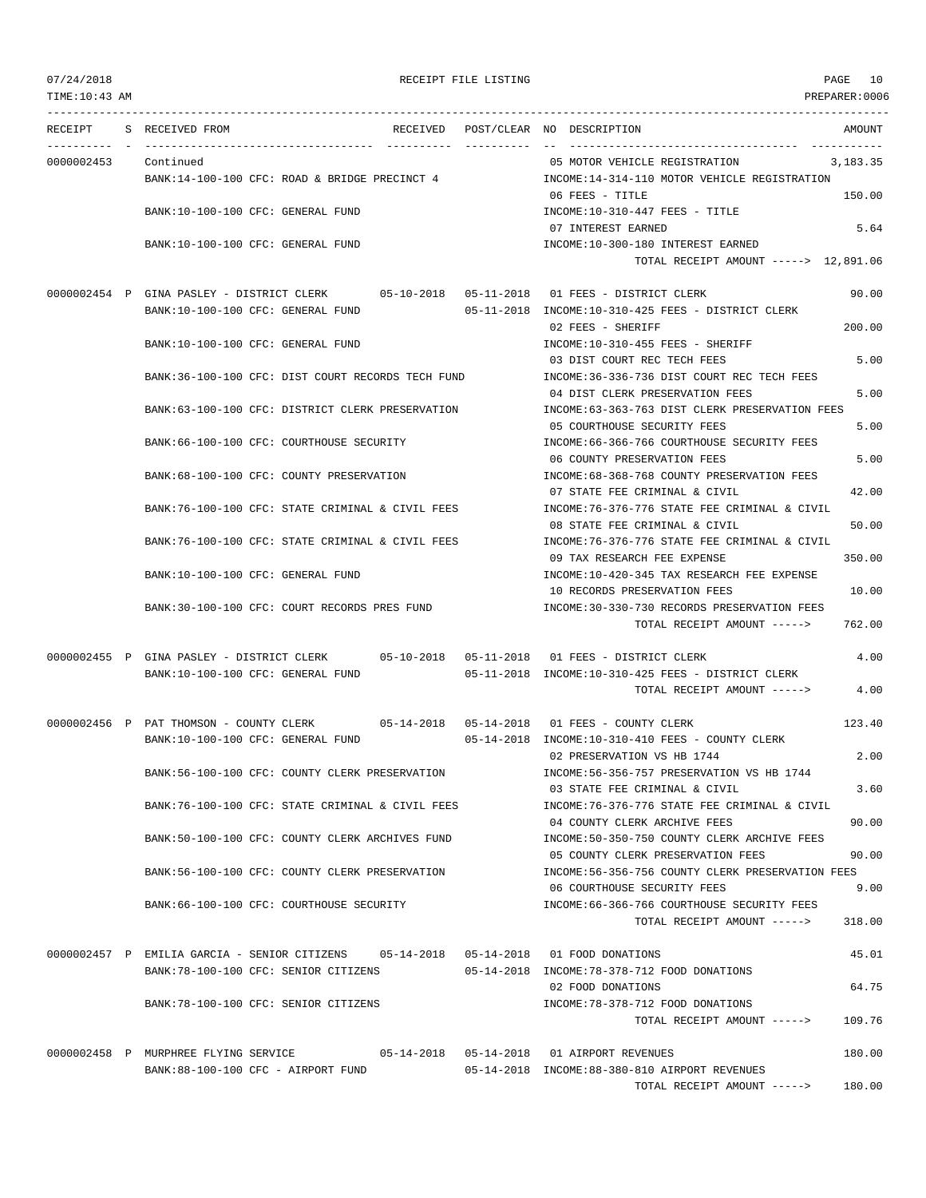| TIME:10:43 AM |                                                                                                                               |             | PREPARER:0006                                                                                                                       |
|---------------|-------------------------------------------------------------------------------------------------------------------------------|-------------|-------------------------------------------------------------------------------------------------------------------------------------|
|               | RECEIPT S RECEIVED FROM                                                                                                       |             | RECEIVED POST/CLEAR NO DESCRIPTION<br>AMOUNT                                                                                        |
| 0000002453    | Continued<br>BANK:14-100-100 CFC: ROAD & BRIDGE PRECINCT 4                                                                    | ----------- | 05 MOTOR VEHICLE REGISTRATION<br>3,183.35<br>INCOME:14-314-110 MOTOR VEHICLE REGISTRATION                                           |
|               | BANK:10-100-100 CFC: GENERAL FUND                                                                                             |             | 06 FEES - TITLE<br>150.00<br>$INCOME: 10-310-447$ FEES - TITLE                                                                      |
|               | BANK:10-100-100 CFC: GENERAL FUND                                                                                             |             | 5.64<br>07 INTEREST EARNED<br>INCOME:10-300-180 INTEREST EARNED                                                                     |
|               |                                                                                                                               |             | TOTAL RECEIPT AMOUNT -----> 12,891.06                                                                                               |
|               | 0000002454 P GINA PASLEY - DISTRICT CLERK 05-10-2018 05-11-2018 01 FEES - DISTRICT CLERK<br>BANK:10-100-100 CFC: GENERAL FUND |             | 90.00<br>05-11-2018 INCOME:10-310-425 FEES - DISTRICT CLERK                                                                         |
|               | BANK:10-100-100 CFC: GENERAL FUND                                                                                             |             | 200.00<br>02 FEES - SHERIFF<br>INCOME:10-310-455 FEES - SHERIFF                                                                     |
|               | BANK:36-100-100 CFC: DIST COURT RECORDS TECH FUND                                                                             |             | 5.00<br>03 DIST COURT REC TECH FEES<br>INCOME: 36-336-736 DIST COURT REC TECH FEES<br>04 DIST CLERK PRESERVATION FEES<br>5.00       |
|               | BANK:63-100-100 CFC: DISTRICT CLERK PRESERVATION                                                                              |             | INCOME:63-363-763 DIST CLERK PRESERVATION FEES<br>5.00<br>05 COURTHOUSE SECURITY FEES                                               |
|               | BANK: 66-100-100 CFC: COURTHOUSE SECURITY                                                                                     |             | INCOME: 66-366-766 COURTHOUSE SECURITY FEES<br>5.00<br>06 COUNTY PRESERVATION FEES                                                  |
|               | BANK:68-100-100 CFC: COUNTY PRESERVATION                                                                                      |             | INCOME: 68-368-768 COUNTY PRESERVATION FEES<br>42.00<br>07 STATE FEE CRIMINAL & CIVIL                                               |
|               | BANK:76-100-100 CFC: STATE CRIMINAL & CIVIL FEES                                                                              |             | INCOME: 76-376-776 STATE FEE CRIMINAL & CIVIL<br>08 STATE FEE CRIMINAL & CIVIL<br>50.00                                             |
|               | BANK:76-100-100 CFC: STATE CRIMINAL & CIVIL FEES                                                                              |             | INCOME: 76-376-776 STATE FEE CRIMINAL & CIVIL<br>09 TAX RESEARCH FEE EXPENSE<br>350.00                                              |
|               | BANK:10-100-100 CFC: GENERAL FUND                                                                                             |             | INCOME:10-420-345 TAX RESEARCH FEE EXPENSE<br>10 RECORDS PRESERVATION FEES<br>10.00                                                 |
|               | BANK:30-100-100 CFC: COURT RECORDS PRES FUND                                                                                  |             | INCOME:30-330-730 RECORDS PRESERVATION FEES<br>762.00<br>TOTAL RECEIPT AMOUNT ----->                                                |
|               | 0000002455 P GINA PASLEY - DISTRICT CLERK 05-10-2018 05-11-2018 01 FEES - DISTRICT CLERK<br>BANK:10-100-100 CFC: GENERAL FUND |             | 4.00<br>05-11-2018 INCOME:10-310-425 FEES - DISTRICT CLERK<br>4.00<br>TOTAL RECEIPT AMOUNT ----->                                   |
|               | 0000002456 P PAT THOMSON - COUNTY CLERK 05-14-2018 05-14-2018 01 FEES - COUNTY CLERK<br>BANK:10-100-100 CFC: GENERAL FUND     |             | 123.40<br>05-14-2018 INCOME:10-310-410 FEES - COUNTY CLERK                                                                          |
|               | BANK:56-100-100 CFC: COUNTY CLERK PRESERVATION                                                                                |             | 2.00<br>02 PRESERVATION VS HB 1744<br>INCOME: 56-356-757 PRESERVATION VS HB 1744                                                    |
|               | BANK:76-100-100 CFC: STATE CRIMINAL & CIVIL FEES                                                                              |             | 03 STATE FEE CRIMINAL & CIVIL<br>3.60<br>INCOME: 76-376-776 STATE FEE CRIMINAL & CIVIL                                              |
|               | BANK:50-100-100 CFC: COUNTY CLERK ARCHIVES FUND                                                                               |             | 04 COUNTY CLERK ARCHIVE FEES<br>90.00<br>INCOME: 50-350-750 COUNTY CLERK ARCHIVE FEES<br>05 COUNTY CLERK PRESERVATION FEES<br>90.00 |
|               | BANK:56-100-100 CFC: COUNTY CLERK PRESERVATION                                                                                |             | INCOME:56-356-756 COUNTY CLERK PRESERVATION FEES<br>9.00<br>06 COURTHOUSE SECURITY FEES                                             |
|               | BANK:66-100-100 CFC: COURTHOUSE SECURITY                                                                                      |             | INCOME: 66-366-766 COURTHOUSE SECURITY FEES<br>TOTAL RECEIPT AMOUNT -----><br>318.00                                                |
|               | 0000002457 P EMILIA GARCIA - SENIOR CITIZENS 05-14-2018 05-14-2018 01 FOOD DONATIONS<br>BANK: 78-100-100 CFC: SENIOR CITIZENS |             | 45.01<br>05-14-2018 INCOME:78-378-712 FOOD DONATIONS                                                                                |
|               | BANK:78-100-100 CFC: SENIOR CITIZENS                                                                                          |             | 64.75<br>02 FOOD DONATIONS<br>INCOME: 78-378-712 FOOD DONATIONS                                                                     |
|               |                                                                                                                               |             | 109.76<br>TOTAL RECEIPT AMOUNT ----->                                                                                               |
|               | 0000002458 P MURPHREE FLYING SERVICE<br>BANK:88-100-100 CFC - AIRPORT FUND                                                    |             | 180.00<br>05-14-2018 INCOME:88-380-810 AIRPORT REVENUES                                                                             |
|               |                                                                                                                               |             | 180.00<br>TOTAL RECEIPT AMOUNT ----->                                                                                               |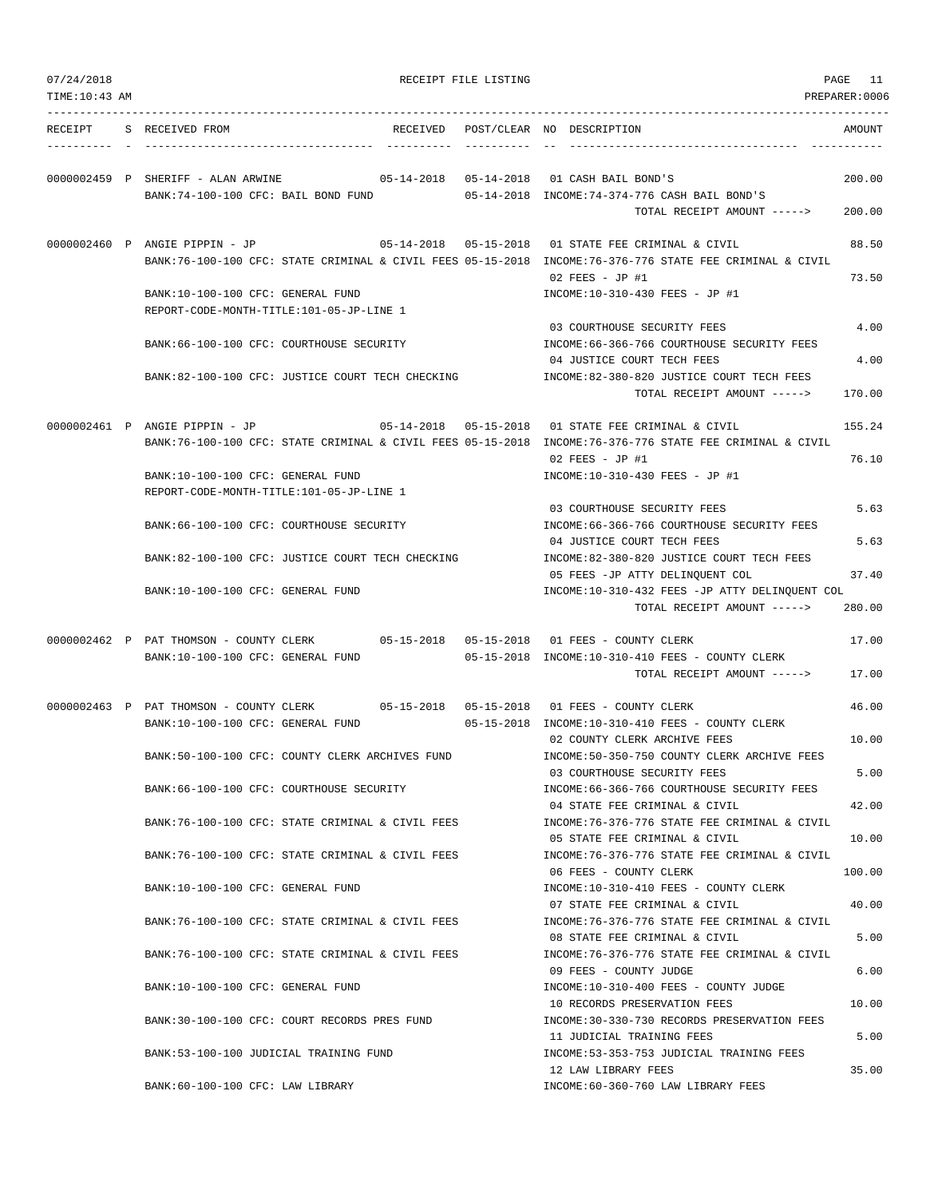| 07/24/2018<br>TIME: 10:43 AM |                                                                                                                           |  | RECEIPT FILE LISTING |                                                                                                                                                                   | PAGE 11<br>PREPARER:0006 |
|------------------------------|---------------------------------------------------------------------------------------------------------------------------|--|----------------------|-------------------------------------------------------------------------------------------------------------------------------------------------------------------|--------------------------|
|                              |                                                                                                                           |  |                      |                                                                                                                                                                   |                          |
| RECEIPT                      | S RECEIVED FROM                                                                                                           |  |                      | RECEIVED POST/CLEAR NO DESCRIPTION                                                                                                                                | AMOUNT                   |
|                              | 0000002459 P SHERIFF - ALAN ARWINE<br>BANK: 74-100-100 CFC: BAIL BOND FUND                                                |  |                      | 05-14-2018  05-14-2018  01 CASH BAIL BOND'S<br>05-14-2018 INCOME:74-374-776 CASH BAIL BOND'S                                                                      | 200.00                   |
|                              |                                                                                                                           |  |                      | TOTAL RECEIPT AMOUNT ----->                                                                                                                                       | 200.00                   |
|                              | 0000002460 P ANGIE PIPPIN - JP                                                                                            |  |                      | 05-14-2018  05-15-2018  01 STATE FEE CRIMINAL & CIVIL<br>BANK:76-100-100 CFC: STATE CRIMINAL & CIVIL FEES 05-15-2018 INCOME:76-376-776 STATE FEE CRIMINAL & CIVIL | 88.50                    |
|                              | BANK:10-100-100 CFC: GENERAL FUND                                                                                         |  |                      | 02 FEES - JP #1<br>INCOME:10-310-430 FEES - JP #1                                                                                                                 | 73.50                    |
|                              | REPORT-CODE-MONTH-TITLE:101-05-JP-LINE 1                                                                                  |  |                      | 03 COURTHOUSE SECURITY FEES                                                                                                                                       | 4.00                     |
|                              | BANK: 66-100-100 CFC: COURTHOUSE SECURITY                                                                                 |  |                      | INCOME: 66-366-766 COURTHOUSE SECURITY FEES<br>04 JUSTICE COURT TECH FEES                                                                                         | 4.00                     |
|                              | BANK:82-100-100 CFC: JUSTICE COURT TECH CHECKING                                                                          |  |                      | INCOME:82-380-820 JUSTICE COURT TECH FEES<br>TOTAL RECEIPT AMOUNT ----->                                                                                          | 170.00                   |
|                              | 0000002461 P ANGIE PIPPIN - JP                                                                                            |  |                      | 05-14-2018  05-15-2018  01 STATE FEE CRIMINAL & CIVIL<br>BANK:76-100-100 CFC: STATE CRIMINAL & CIVIL FEES 05-15-2018 INCOME:76-376-776 STATE FEE CRIMINAL & CIVIL | 155.24                   |
|                              | BANK:10-100-100 CFC: GENERAL FUND<br>REPORT-CODE-MONTH-TITLE:101-05-JP-LINE 1                                             |  |                      | $02$ FEES - JP #1<br>INCOME:10-310-430 FEES - JP #1                                                                                                               | 76.10                    |
|                              | BANK: 66-100-100 CFC: COURTHOUSE SECURITY                                                                                 |  |                      | 03 COURTHOUSE SECURITY FEES<br>INCOME:66-366-766 COURTHOUSE SECURITY FEES                                                                                         | 5.63                     |
|                              | BANK:82-100-100 CFC: JUSTICE COURT TECH CHECKING                                                                          |  |                      | 04 JUSTICE COURT TECH FEES<br>INCOME:82-380-820 JUSTICE COURT TECH FEES<br>05 FEES -JP ATTY DELINQUENT COL                                                        | 5.63<br>37.40            |
|                              | BANK:10-100-100 CFC: GENERAL FUND                                                                                         |  |                      | INCOME:10-310-432 FEES -JP ATTY DELINQUENT COL<br>TOTAL RECEIPT AMOUNT ----->                                                                                     | 280.00                   |
|                              |                                                                                                                           |  |                      |                                                                                                                                                                   |                          |
|                              | 0000002462 P PAT THOMSON - COUNTY CLERK 05-15-2018 05-15-2018 01 FEES - COUNTY CLERK<br>BANK:10-100-100 CFC: GENERAL FUND |  |                      | 05-15-2018 INCOME:10-310-410 FEES - COUNTY CLERK<br>TOTAL RECEIPT AMOUNT ----->                                                                                   | 17.00<br>17.00           |
|                              | 0000002463 P PAT THOMSON - COUNTY CLERK 05-15-2018 05-15-2018 01 FEES - COUNTY CLERK                                      |  |                      |                                                                                                                                                                   | 46.00                    |
|                              | BANK:10-100-100 CFC: GENERAL FUND                                                                                         |  |                      | 05-15-2018 INCOME:10-310-410 FEES - COUNTY CLERK<br>02 COUNTY CLERK ARCHIVE FEES                                                                                  | 10.00                    |
|                              | BANK:50-100-100 CFC: COUNTY CLERK ARCHIVES FUND                                                                           |  |                      | INCOME: 50-350-750 COUNTY CLERK ARCHIVE FEES<br>03 COURTHOUSE SECURITY FEES                                                                                       | 5.00                     |
|                              | BANK:66-100-100 CFC: COURTHOUSE SECURITY                                                                                  |  |                      | INCOME:66-366-766 COURTHOUSE SECURITY FEES<br>04 STATE FEE CRIMINAL & CIVIL                                                                                       | 42.00                    |
|                              | BANK:76-100-100 CFC: STATE CRIMINAL & CIVIL FEES                                                                          |  |                      | INCOME: 76-376-776 STATE FEE CRIMINAL & CIVIL<br>05 STATE FEE CRIMINAL & CIVIL                                                                                    | 10.00                    |
|                              | BANK:76-100-100 CFC: STATE CRIMINAL & CIVIL FEES<br>BANK:10-100-100 CFC: GENERAL FUND                                     |  |                      | INCOME: 76-376-776 STATE FEE CRIMINAL & CIVIL<br>06 FEES - COUNTY CLERK<br>INCOME:10-310-410 FEES - COUNTY CLERK                                                  | 100.00                   |
|                              | BANK: 76-100-100 CFC: STATE CRIMINAL & CIVIL FEES                                                                         |  |                      | 07 STATE FEE CRIMINAL & CIVIL<br>INCOME: 76-376-776 STATE FEE CRIMINAL & CIVIL                                                                                    | 40.00                    |
|                              | BANK:76-100-100 CFC: STATE CRIMINAL & CIVIL FEES                                                                          |  |                      | 08 STATE FEE CRIMINAL & CIVIL<br>INCOME: 76-376-776 STATE FEE CRIMINAL & CIVIL                                                                                    | 5.00                     |
|                              | BANK:10-100-100 CFC: GENERAL FUND                                                                                         |  |                      | 09 FEES - COUNTY JUDGE<br>INCOME:10-310-400 FEES - COUNTY JUDGE                                                                                                   | 6.00                     |
|                              | BANK:30-100-100 CFC: COURT RECORDS PRES FUND                                                                              |  |                      | 10 RECORDS PRESERVATION FEES<br>INCOME: 30-330-730 RECORDS PRESERVATION FEES                                                                                      | 10.00                    |
|                              | BANK: 53-100-100 JUDICIAL TRAINING FUND                                                                                   |  |                      | 11 JUDICIAL TRAINING FEES<br>INCOME: 53-353-753 JUDICIAL TRAINING FEES                                                                                            | 5.00                     |
|                              | BANK:60-100-100 CFC: LAW LIBRARY                                                                                          |  |                      | 12 LAW LIBRARY FEES<br>INCOME: 60-360-760 LAW LIBRARY FEES                                                                                                        | 35.00                    |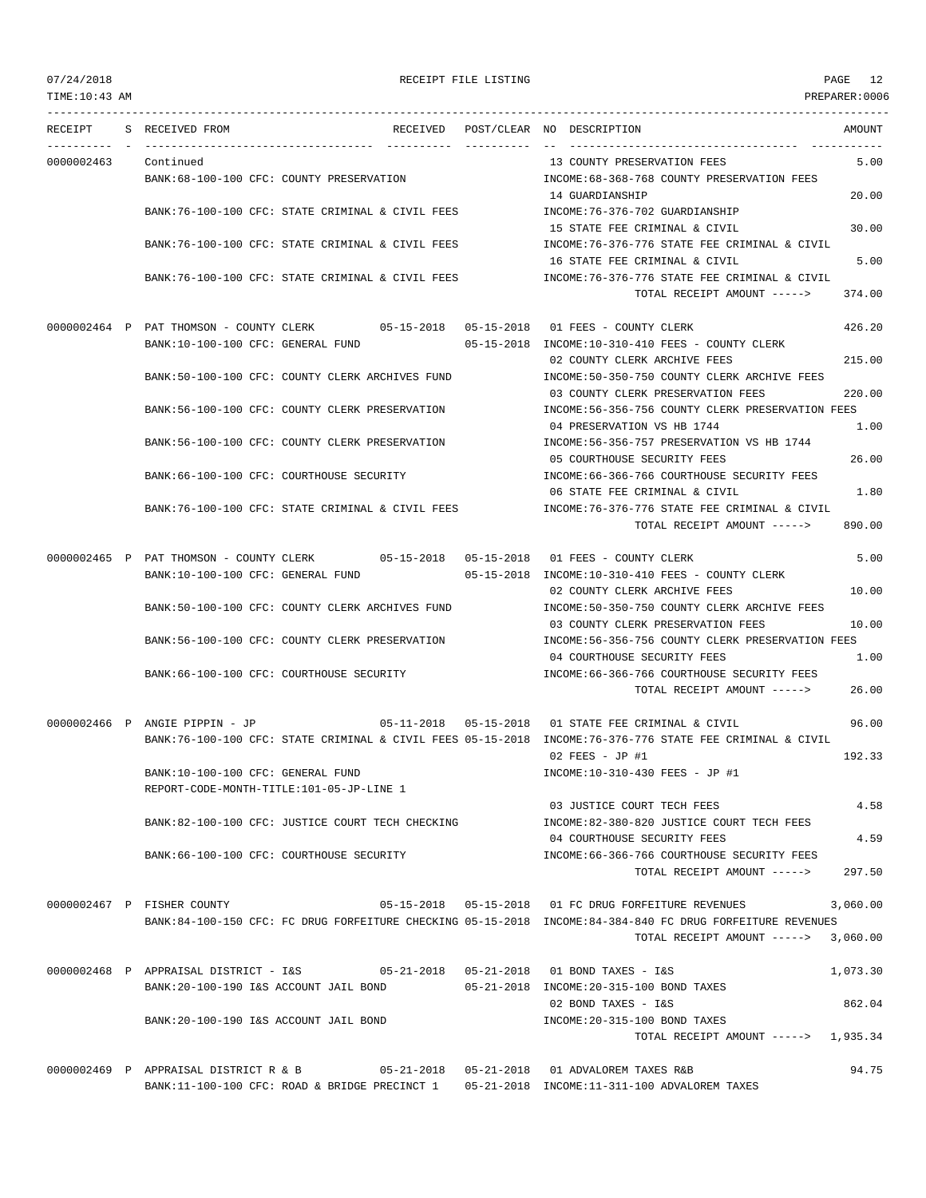| TIME:10:43 AM |                                                                                                                                     |                                                                                                              | PREPARER:0006  |
|---------------|-------------------------------------------------------------------------------------------------------------------------------------|--------------------------------------------------------------------------------------------------------------|----------------|
| RECEIPT       | S RECEIVED FROM                                                                                                                     | RECEIVED POST/CLEAR NO DESCRIPTION                                                                           | AMOUNT         |
| 0000002463    | Continued<br>BANK:68-100-100 CFC: COUNTY PRESERVATION                                                                               | 13 COUNTY PRESERVATION FEES<br>INCOME: 68-368-768 COUNTY PRESERVATION FEES                                   | 5.00           |
|               | BANK:76-100-100 CFC: STATE CRIMINAL & CIVIL FEES                                                                                    | 14 GUARDIANSHIP<br>INCOME:76-376-702 GUARDIANSHIP                                                            | 20.00          |
|               | BANK:76-100-100 CFC: STATE CRIMINAL & CIVIL FEES                                                                                    | 15 STATE FEE CRIMINAL & CIVIL<br>INCOME: 76-376-776 STATE FEE CRIMINAL & CIVIL                               | 30.00          |
|               | BANK:76-100-100 CFC: STATE CRIMINAL & CIVIL FEES                                                                                    | 16 STATE FEE CRIMINAL & CIVIL<br>INCOME:76-376-776 STATE FEE CRIMINAL & CIVIL<br>TOTAL RECEIPT AMOUNT -----> | 5.00<br>374.00 |
|               | 0000002464 P PAT THOMSON - COUNTY CLERK 05-15-2018 05-15-2018 01 FEES - COUNTY CLERK                                                |                                                                                                              | 426.20         |
|               | BANK:10-100-100 CFC: GENERAL FUND                                                                                                   | 05-15-2018 INCOME:10-310-410 FEES - COUNTY CLERK<br>02 COUNTY CLERK ARCHIVE FEES                             | 215.00         |
|               | BANK:50-100-100 CFC: COUNTY CLERK ARCHIVES FUND                                                                                     | INCOME:50-350-750 COUNTY CLERK ARCHIVE FEES<br>03 COUNTY CLERK PRESERVATION FEES                             | 220.00         |
|               | BANK:56-100-100 CFC: COUNTY CLERK PRESERVATION                                                                                      | INCOME:56-356-756 COUNTY CLERK PRESERVATION FEES<br>04 PRESERVATION VS HB 1744                               | 1.00           |
|               | BANK:56-100-100 CFC: COUNTY CLERK PRESERVATION                                                                                      | INCOME: 56-356-757 PRESERVATION VS HB 1744<br>05 COURTHOUSE SECURITY FEES                                    | 26.00          |
|               | BANK:66-100-100 CFC: COURTHOUSE SECURITY                                                                                            | INCOME: 66-366-766 COURTHOUSE SECURITY FEES<br>06 STATE FEE CRIMINAL & CIVIL                                 | 1.80           |
|               | BANK: 76-100-100 CFC: STATE CRIMINAL & CIVIL FEES                                                                                   | INCOME:76-376-776 STATE FEE CRIMINAL & CIVIL<br>TOTAL RECEIPT AMOUNT ----->                                  | 890.00         |
|               | 0000002465 P PAT THOMSON - COUNTY CLERK 05-15-2018 05-15-2018 01 FEES - COUNTY CLERK<br>BANK:10-100-100 CFC: GENERAL FUND           | 05-15-2018 INCOME:10-310-410 FEES - COUNTY CLERK                                                             | 5.00           |
|               | BANK:50-100-100 CFC: COUNTY CLERK ARCHIVES FUND                                                                                     | 02 COUNTY CLERK ARCHIVE FEES<br>INCOME:50-350-750 COUNTY CLERK ARCHIVE FEES                                  | 10.00          |
|               | BANK:56-100-100 CFC: COUNTY CLERK PRESERVATION                                                                                      | 03 COUNTY CLERK PRESERVATION FEES<br>INCOME:56-356-756 COUNTY CLERK PRESERVATION FEES                        | 10.00          |
|               | BANK:66-100-100 CFC: COURTHOUSE SECURITY                                                                                            | 04 COURTHOUSE SECURITY FEES<br>INCOME:66-366-766 COURTHOUSE SECURITY FEES<br>TOTAL RECEIPT AMOUNT ----->     | 1.00<br>26.00  |
|               |                                                                                                                                     | 05-11-2018  05-15-2018  01 STATE FEE CRIMINAL & CIVIL                                                        |                |
|               | 0000002466 P ANGIE PIPPIN - JP                                                                                                      | BANK:76-100-100 CFC: STATE CRIMINAL & CIVIL FEES 05-15-2018 INCOME:76-376-776 STATE FEE CRIMINAL & CIVIL     | 96.00          |
|               | BANK:10-100-100 CFC: GENERAL FUND<br>REPORT-CODE-MONTH-TITLE:101-05-JP-LINE 1                                                       | $02$ FEES - JP #1<br>INCOME:10-310-430 FEES - JP #1                                                          | 192.33         |
|               | BANK:82-100-100 CFC: JUSTICE COURT TECH CHECKING                                                                                    | 03 JUSTICE COURT TECH FEES<br>INCOME:82-380-820 JUSTICE COURT TECH FEES                                      | 4.58           |
|               | BANK:66-100-100 CFC: COURTHOUSE SECURITY                                                                                            | 04 COURTHOUSE SECURITY FEES<br>INCOME: 66-366-766 COURTHOUSE SECURITY FEES                                   | 4.59           |
|               |                                                                                                                                     | TOTAL RECEIPT AMOUNT ----->                                                                                  | 297.50         |
|               | 0000002467 P FISHER COUNTY                                                                                                          | BANK:84-100-150 CFC: FC DRUG FORFEITURE CHECKING 05-15-2018 INCOME:84-384-840 FC DRUG FORFEITURE REVENUES    | 3,060.00       |
|               |                                                                                                                                     | TOTAL RECEIPT AMOUNT $--- $ 3,060.00                                                                         |                |
|               | 0000002468 P APPRAISAL DISTRICT - I&S<br>BANK:20-100-190 I&S ACCOUNT JAIL BOND                                                      | 05-21-2018  05-21-2018  01  BOND TAXES - I&S<br>05-21-2018 INCOME: 20-315-100 BOND TAXES                     | 1,073.30       |
|               | BANK: 20-100-190 I&S ACCOUNT JAIL BOND                                                                                              | 02 BOND TAXES - I&S<br>INCOME: 20-315-100 BOND TAXES                                                         | 862.04         |
|               |                                                                                                                                     | TOTAL RECEIPT AMOUNT -----> 1,935.34                                                                         |                |
|               | 0000002469 P APPRAISAL DISTRICT R & B<br>BANK:11-100-100 CFC: ROAD & BRIDGE PRECINCT 1 05-21-2018 INCOME:11-311-100 ADVALOREM TAXES | 05-21-2018  05-21-2018  01 ADVALOREM TAXES R&B                                                               | 94.75          |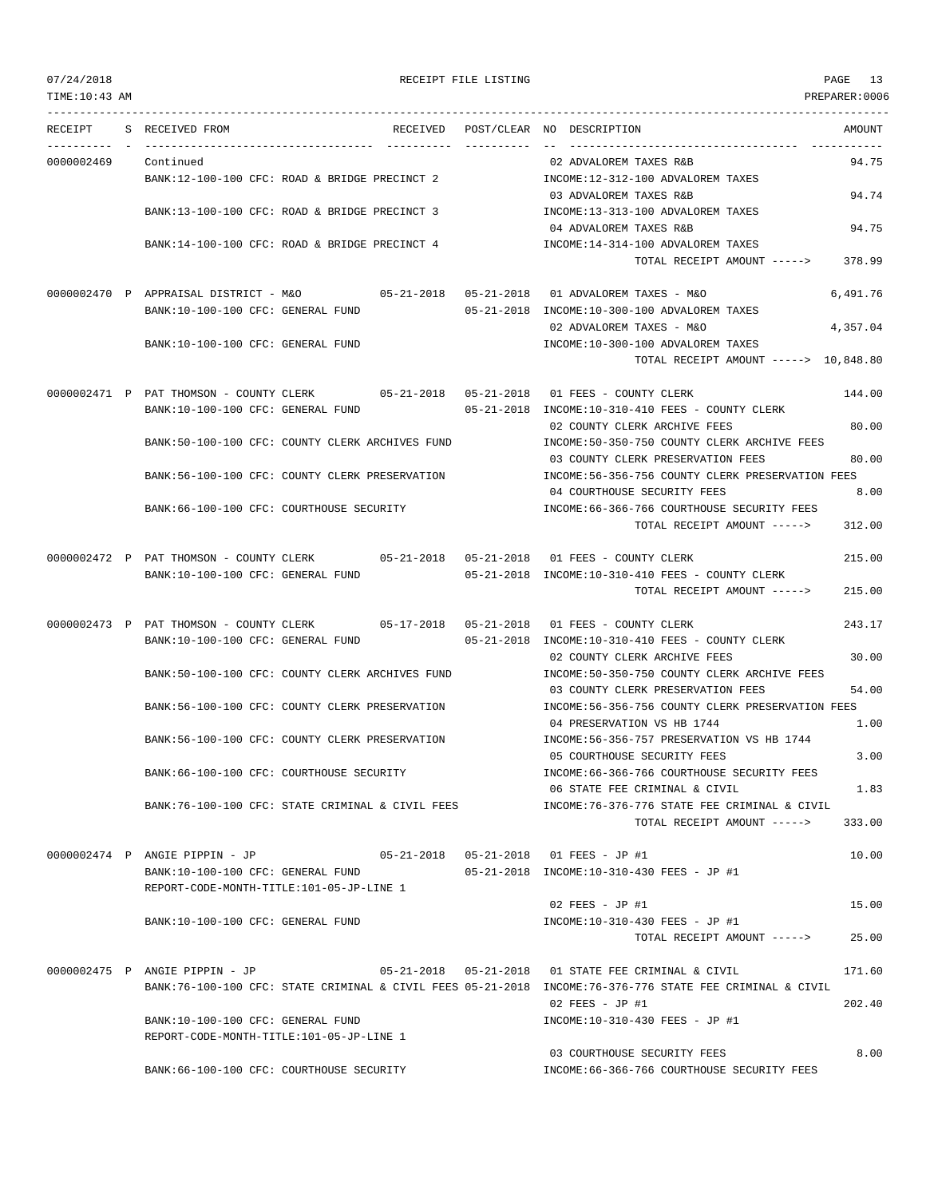--------------------------------------------------------------------------------------------------------------------------------- RECEIPT S RECEIVED FROM THE RECEIVED POST/CLEAR NO DESCRIPTION THE SECRET AMOUNT ---------- - ----------------------------------- ---------- ---------- -- ----------------------------------- ----------- 0000002469 Continued 02 ADVALOREM TAXES R&B 94.75 BANK:12-100-100 CFC: ROAD & BRIDGE PRECINCT 2 INCOME:12-312-100 ADVALOREM TAXES 03 ADVALOREM TAXES R&B 94.74 BANK:13-100-100 CFC: ROAD & BRIDGE PRECINCT 3 INCOME:13-313-100 ADVALOREM TAXES 04 ADVALOREM TAXES R&B 94.75 BANK:14-100-100 CFC: ROAD & BRIDGE PRECINCT 4 INCOME:14-314-100 ADVALOREM TAXES TOTAL RECEIPT AMOUNT -----> 378.99 0000002470 P APPRAISAL DISTRICT - M&O 05-21-2018 05-21-2018 01 ADVALOREM TAXES - M&O 6,491.76 BANK:10-100-100 CFC: GENERAL FUND 05-21-2018 INCOME:10-300-100 ADVALOREM TAXES 02 ADVALOREM TAXES - M&O 4,357.04 BANK:10-100-100 CFC: GENERAL FUND INCOME:10-300-100 ADVALOREM TAXES TOTAL RECEIPT AMOUNT -----> 10,848.80 0000002471 P PAT THOMSON - COUNTY CLERK 05-21-2018 05-21-2018 01 FEES - COUNTY CLERK 144.00 BANK:10-100-100 CFC: GENERAL FUND 05-21-2018 INCOME:10-310-410 FEES - COUNTY CLERK 02 COUNTY CLERK ARCHIVE FEES 80.00 BANK:50-100-100 CFC: COUNTY CLERK ARCHIVES FUND INCOME:50-350-750 COUNTY CLERK ARCHIVE FEES 03 COUNTY CLERK PRESERVATION FEES 80.00 BANK:56-100-100 CFC: COUNTY CLERK PRESERVATION INCOME:56-356-756 COUNTY CLERK PRESERVATION FEES 04 COURTHOUSE SECURITY FEES 8.00 BANK:66-100-100 CFC: COURTHOUSE SECURITY INCOME:66-366-766 COURTHOUSE SECURITY FEES TOTAL RECEIPT AMOUNT -----> 312.00 0000002472 P PAT THOMSON - COUNTY CLERK 05-21-2018 05-21-2018 01 FEES - COUNTY CLERK 215.00 BANK:10-100-100 CFC: GENERAL FUND 05-21-2018 INCOME:10-310-410 FEES - COUNTY CLERK TOTAL RECEIPT AMOUNT -----> 215.00 0000002473 P PAT THOMSON - COUNTY CLERK 05-17-2018 05-21-2018 01 FEES - COUNTY CLERK 243.17 BANK:10-100-100 CFC: GENERAL FUND 05-21-2018 INCOME:10-310-410 FEES - COUNTY CLERK 02 COUNTY CLERK ARCHIVE FEES 30.00 BANK:50-100-100 CFC: COUNTY CLERK ARCHIVES FUND INCOME:50-350-750 COUNTY CLERK ARCHIVE FEES 03 COUNTY CLERK PRESERVATION FEES 54.00 BANK:56-100-100 CFC: COUNTY CLERK PRESERVATION INCOME:56-356-756 COUNTY CLERK PRESERVATION FEES 04 PRESERVATION VS HB 1744 1.00 BANK:56-100-100 CFC: COUNTY CLERK PRESERVATION INCOME:56-356-757 PRESERVATION VS HB 1744 05 COURTHOUSE SECURITY FEES 3.00 BANK:66-100-100 CFC: COURTHOUSE SECURITY INCOME:66-366-766 COURTHOUSE SECURITY FEES 06 STATE FEE CRIMINAL & CIVIL 1.83 BANK:76-100-100 CFC: STATE CRIMINAL & CIVIL FEES INCOME:76-376-776 STATE FEE CRIMINAL & CIVIL TOTAL RECEIPT AMOUNT -----> 333.00 0000002474 P ANGIE PIPPIN - JP 05-21-2018 05-21-2018 01 FEES - JP #1 10.00 BANK:10-100-100 CFC: GENERAL FUND 05-21-2018 INCOME:10-310-430 FEES - JP #1 REPORT-CODE-MONTH-TITLE:101-05-JP-LINE 1 02 FEES - JP #1 15.00 BANK:10-100-100 CFC: GENERAL FUND INCOME:10-310-430 FEES - JP #1 TOTAL RECEIPT AMOUNT -----> 25.00 0000002475 P ANGIE PIPPIN - JP 05-21-2018 05-21-2018 01 STATE FEE CRIMINAL & CIVIL 171.60 BANK:76-100-100 CFC: STATE CRIMINAL & CIVIL FEES 05-21-2018 INCOME:76-376-776 STATE FEE CRIMINAL & CIVIL  $0.2$  FEES - JP #1 202.40 BANK:10-100-100 CFC: GENERAL FUND INCOME:10-310-430 FEES - JP #1 REPORT-CODE-MONTH-TITLE:101-05-JP-LINE 1 03 COURTHOUSE SECURITY FEES 8.00 BANK:66-100-100 CFC: COURTHOUSE SECURITY INCOME:66-366-766 COURTHOUSE SECURITY FEES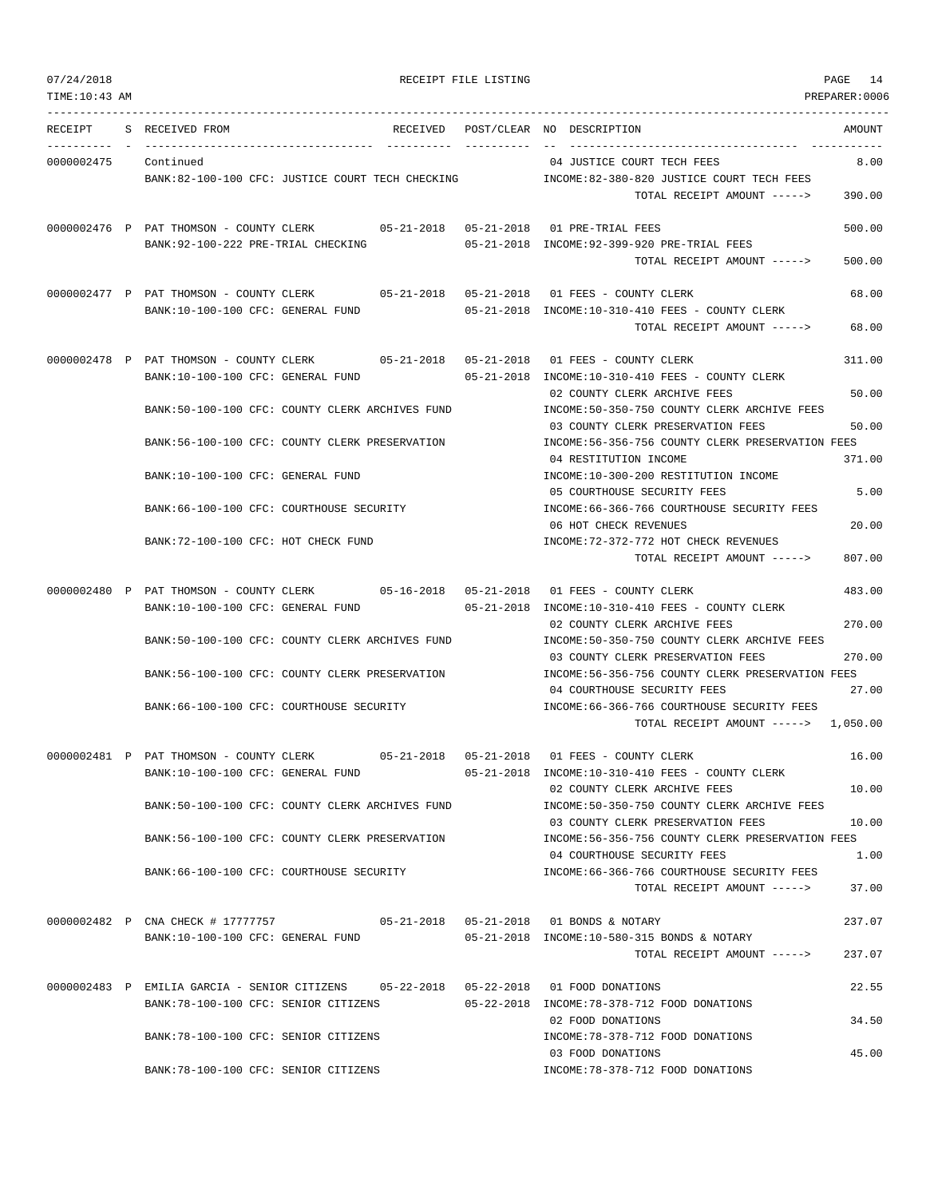| RECEIPT    | S RECEIVED FROM<br>RECEIVED                                                                                                  | ---------- | POST/CLEAR NO DESCRIPTION<br>AMOUNT                                                                                                           |
|------------|------------------------------------------------------------------------------------------------------------------------------|------------|-----------------------------------------------------------------------------------------------------------------------------------------------|
| 0000002475 | Continued<br>BANK:82-100-100 CFC: JUSTICE COURT TECH CHECKING TO TOOME:82-380-820 JUSTICE COURT TECH FEES                    |            | 04 JUSTICE COURT TECH FEES<br>8.00<br>390.00<br>TOTAL RECEIPT AMOUNT ----->                                                                   |
|            | 0000002476 P PAT THOMSON - COUNTY CLERK 05-21-2018 05-21-2018 01 PRE-TRIAL FEES<br>BANK: 92-100-222 PRE-TRIAL CHECKING       |            | 500.00<br>05-21-2018 INCOME:92-399-920 PRE-TRIAL FEES<br>500.00<br>TOTAL RECEIPT AMOUNT ----->                                                |
|            | 0000002477 P PAT THOMSON - COUNTY CLERK 05-21-2018 05-21-2018 01 FEES - COUNTY CLERK<br>BANK:10-100-100 CFC: GENERAL FUND    |            | 68.00<br>05-21-2018 INCOME:10-310-410 FEES - COUNTY CLERK<br>TOTAL RECEIPT AMOUNT -----><br>68.00                                             |
|            | 0000002478 P PAT THOMSON - COUNTY CLERK 05-21-2018 05-21-2018 01 FEES - COUNTY CLERK<br>BANK:10-100-100 CFC: GENERAL FUND    |            | 311.00<br>05-21-2018 INCOME:10-310-410 FEES - COUNTY CLERK<br>02 COUNTY CLERK ARCHIVE FEES<br>50.00                                           |
|            | BANK:50-100-100 CFC: COUNTY CLERK ARCHIVES FUND<br>BANK:56-100-100 CFC: COUNTY CLERK PRESERVATION                            |            | INCOME:50-350-750 COUNTY CLERK ARCHIVE FEES<br>50.00<br>03 COUNTY CLERK PRESERVATION FEES<br>INCOME:56-356-756 COUNTY CLERK PRESERVATION FEES |
|            | BANK:10-100-100 CFC: GENERAL FUND                                                                                            |            | 371.00<br>04 RESTITUTION INCOME<br>INCOME:10-300-200 RESTITUTION INCOME                                                                       |
|            | BANK:66-100-100 CFC: COURTHOUSE SECURITY                                                                                     |            | 5.00<br>05 COURTHOUSE SECURITY FEES<br>INCOME: 66-366-766 COURTHOUSE SECURITY FEES<br>06 HOT CHECK REVENUES<br>20.00                          |
|            | BANK:72-100-100 CFC: HOT CHECK FUND                                                                                          |            | INCOME: 72-372-772 HOT CHECK REVENUES<br>807.00<br>TOTAL RECEIPT AMOUNT ----->                                                                |
|            | 0000002480 P PAT THOMSON - COUNTY CLERK 05-16-2018 05-21-2018 01 FEES - COUNTY CLERK<br>BANK:10-100-100 CFC: GENERAL FUND    |            | 483.00<br>05-21-2018 INCOME:10-310-410 FEES - COUNTY CLERK                                                                                    |
|            | BANK:50-100-100 CFC: COUNTY CLERK ARCHIVES FUND                                                                              |            | 270.00<br>02 COUNTY CLERK ARCHIVE FEES<br>INCOME:50-350-750 COUNTY CLERK ARCHIVE FEES<br>270.00<br>03 COUNTY CLERK PRESERVATION FEES          |
|            | BANK:56-100-100 CFC: COUNTY CLERK PRESERVATION                                                                               |            | INCOME:56-356-756 COUNTY CLERK PRESERVATION FEES<br>27.00<br>04 COURTHOUSE SECURITY FEES                                                      |
|            | BANK:66-100-100 CFC: COURTHOUSE SECURITY                                                                                     |            | INCOME:66-366-766 COURTHOUSE SECURITY FEES<br>TOTAL RECEIPT AMOUNT $---2$ 1,050.00                                                            |
|            | 0000002481 P PAT THOMSON - COUNTY CLERK<br>BANK:10-100-100 CFC: GENERAL FUND                                                 |            | 16.00<br>05-21-2018 INCOME:10-310-410 FEES - COUNTY CLERK                                                                                     |
|            | BANK:50-100-100 CFC: COUNTY CLERK ARCHIVES FUND                                                                              |            | 10.00<br>02 COUNTY CLERK ARCHIVE FEES<br>INCOME:50-350-750 COUNTY CLERK ARCHIVE FEES<br>03 COUNTY CLERK PRESERVATION FEES<br>10.00            |
|            | BANK:56-100-100 CFC: COUNTY CLERK PRESERVATION                                                                               |            | INCOME: 56-356-756 COUNTY CLERK PRESERVATION FEES<br>04 COURTHOUSE SECURITY FEES<br>1.00                                                      |
|            | BANK:66-100-100 CFC: COURTHOUSE SECURITY                                                                                     |            | INCOME: 66-366-766 COURTHOUSE SECURITY FEES<br>37.00<br>TOTAL RECEIPT AMOUNT ----->                                                           |
|            | 0000002482 P CNA CHECK # 17777757 05-21-2018 05-21-2018 01 BONDS & NOTARY<br>BANK:10-100-100 CFC: GENERAL FUND               |            | 237.07<br>05-21-2018 INCOME:10-580-315 BONDS & NOTARY<br>237.07<br>TOTAL RECEIPT AMOUNT ----->                                                |
|            | 0000002483 P EMILIA GARCIA - SENIOR CITIZENS 05-22-2018 05-22-2018 01 FOOD DONATIONS<br>BANK:78-100-100 CFC: SENIOR CITIZENS |            | 22.55<br>05-22-2018 INCOME:78-378-712 FOOD DONATIONS                                                                                          |
|            | BANK: 78-100-100 CFC: SENIOR CITIZENS                                                                                        |            | 02 FOOD DONATIONS<br>34.50<br>INCOME: 78-378-712 FOOD DONATIONS                                                                               |
|            | BANK: 78-100-100 CFC: SENIOR CITIZENS                                                                                        |            | 45.00<br>03 FOOD DONATIONS<br>INCOME: 78-378-712 FOOD DONATIONS                                                                               |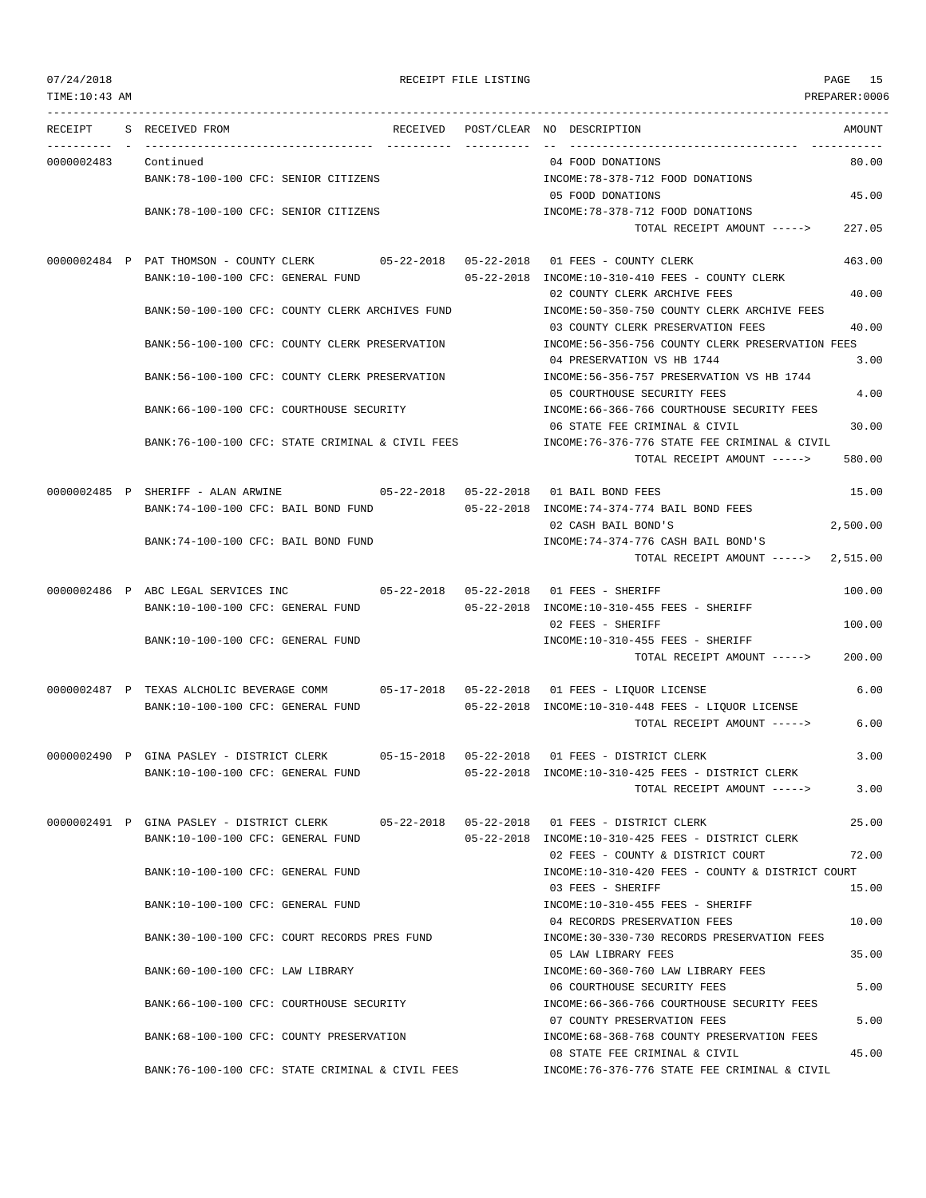| 07/24/2018<br>TIME: 10:43 AM |                                                                                                                               | RECEIPT FILE LISTING |                                                                                                            | PAGE 15<br>PREPARER:0006 |
|------------------------------|-------------------------------------------------------------------------------------------------------------------------------|----------------------|------------------------------------------------------------------------------------------------------------|--------------------------|
| RECEIPT                      | S RECEIVED FROM                                                                                                               |                      | RECEIVED POST/CLEAR NO DESCRIPTION                                                                         | AMOUNT                   |
| 0000002483                   | Continued                                                                                                                     |                      | 04 FOOD DONATIONS                                                                                          | 80.00                    |
|                              | BANK: 78-100-100 CFC: SENIOR CITIZENS                                                                                         |                      | INCOME: 78-378-712 FOOD DONATIONS<br>05 FOOD DONATIONS                                                     | 45.00                    |
|                              | BANK: 78-100-100 CFC: SENIOR CITIZENS                                                                                         |                      | INCOME: 78-378-712 FOOD DONATIONS<br>TOTAL RECEIPT AMOUNT ----->                                           | 227.05                   |
|                              | 0000002484 P PAT THOMSON - COUNTY CLERK 05-22-2018 05-22-2018 01 FEES - COUNTY CLERK<br>BANK:10-100-100 CFC: GENERAL FUND     |                      | 05-22-2018 INCOME:10-310-410 FEES - COUNTY CLERK                                                           | 463.00                   |
|                              | BANK:50-100-100 CFC: COUNTY CLERK ARCHIVES FUND                                                                               |                      | 02 COUNTY CLERK ARCHIVE FEES<br>INCOME:50-350-750 COUNTY CLERK ARCHIVE FEES                                | 40.00                    |
|                              | BANK:56-100-100 CFC: COUNTY CLERK PRESERVATION                                                                                |                      | 03 COUNTY CLERK PRESERVATION FEES<br>INCOME:56-356-756 COUNTY CLERK PRESERVATION FEES                      | 40.00                    |
|                              | BANK: 56-100-100 CFC: COUNTY CLERK PRESERVATION                                                                               |                      | 04 PRESERVATION VS HB 1744<br>INCOME: 56-356-757 PRESERVATION VS HB 1744                                   | 3.00                     |
|                              | BANK:66-100-100 CFC: COURTHOUSE SECURITY                                                                                      |                      | 05 COURTHOUSE SECURITY FEES<br>INCOME: 66-366-766 COURTHOUSE SECURITY FEES                                 | 4.00                     |
|                              | BANK:76-100-100 CFC: STATE CRIMINAL & CIVIL FEES                                                                              |                      | 06 STATE FEE CRIMINAL & CIVIL<br>INCOME:76-376-776 STATE FEE CRIMINAL & CIVIL                              | 30.00                    |
|                              |                                                                                                                               |                      | TOTAL RECEIPT AMOUNT ----->                                                                                | 580.00                   |
|                              | 0000002485 P SHERIFF - ALAN ARWINE $05-22-2018$ 05-22-2018 01 BAIL BOND FEES<br>BANK:74-100-100 CFC: BAIL BOND FUND           |                      | 05-22-2018 INCOME:74-374-774 BAIL BOND FEES                                                                | 15.00                    |
|                              | BANK:74-100-100 CFC: BAIL BOND FUND                                                                                           |                      | 02 CASH BAIL BOND'S<br>INCOME: 74-374-776 CASH BAIL BOND'S                                                 | 2,500.00                 |
|                              |                                                                                                                               |                      | TOTAL RECEIPT AMOUNT ----->                                                                                | 2,515.00                 |
|                              | 0000002486 P ABC LEGAL SERVICES INC<br>05-22-2018  05-22-2018  01 FEES - SHERIFF<br>BANK:10-100-100 CFC: GENERAL FUND         |                      | 05-22-2018 INCOME:10-310-455 FEES - SHERIFF                                                                | 100.00                   |
|                              | BANK:10-100-100 CFC: GENERAL FUND                                                                                             |                      | 02 FEES - SHERIFF<br>INCOME:10-310-455 FEES - SHERIFF                                                      | 100.00                   |
|                              |                                                                                                                               |                      | TOTAL RECEIPT AMOUNT ----->                                                                                | 200.00                   |
|                              | 0000002487 P TEXAS ALCHOLIC BEVERAGE COMM 05-17-2018 05-22-2018 01 FEES - LIQUOR LICENSE<br>BANK:10-100-100 CFC: GENERAL FUND |                      | $05-22-2018$ INCOME:10-310-448 FEES - LIQUOR LICENSE                                                       | 6.00                     |
|                              |                                                                                                                               |                      | TOTAL RECEIPT AMOUNT ----->                                                                                | 6.00                     |
|                              | 0000002490 P GINA PASLEY - DISTRICT CLERK<br>BANK:10-100-100 CFC: GENERAL FUND                                                |                      | 05-22-2018 INCOME:10-310-425 FEES - DISTRICT CLERK                                                         | 3.00                     |
|                              |                                                                                                                               |                      | TOTAL RECEIPT AMOUNT ----->                                                                                | 3.00                     |
|                              | 0000002491 P GINA PASLEY - DISTRICT CLERK<br>BANK:10-100-100 CFC: GENERAL FUND                                                |                      | 05-22-2018  05-22-2018  01 FEES - DISTRICT CLERK<br>05-22-2018 INCOME:10-310-425 FEES - DISTRICT CLERK     | 25.00                    |
|                              | BANK:10-100-100 CFC: GENERAL FUND                                                                                             |                      | 02 FEES - COUNTY & DISTRICT COURT<br>INCOME:10-310-420 FEES - COUNTY & DISTRICT COURT                      | 72.00                    |
|                              | BANK:10-100-100 CFC: GENERAL FUND                                                                                             |                      | 03 FEES - SHERIFF<br>INCOME:10-310-455 FEES - SHERIFF                                                      | 15.00                    |
|                              | BANK:30-100-100 CFC: COURT RECORDS PRES FUND                                                                                  |                      | 04 RECORDS PRESERVATION FEES<br>INCOME: 30-330-730 RECORDS PRESERVATION FEES                               | 10.00                    |
|                              | BANK:60-100-100 CFC: LAW LIBRARY                                                                                              |                      | 05 LAW LIBRARY FEES<br>INCOME: 60-360-760 LAW LIBRARY FEES                                                 | 35.00                    |
|                              | BANK:66-100-100 CFC: COURTHOUSE SECURITY                                                                                      |                      | 06 COURTHOUSE SECURITY FEES<br>INCOME:66-366-766 COURTHOUSE SECURITY FEES                                  | 5.00                     |
|                              | BANK:68-100-100 CFC: COUNTY PRESERVATION                                                                                      |                      | 07 COUNTY PRESERVATION FEES<br>INCOME:68-368-768 COUNTY PRESERVATION FEES<br>08 STATE FEE CRIMINAL & CIVIL | 5.00<br>45.00            |
|                              | BANK:76-100-100 CFC: STATE CRIMINAL & CIVIL FEES                                                                              |                      | INCOME: 76-376-776 STATE FEE CRIMINAL & CIVIL                                                              |                          |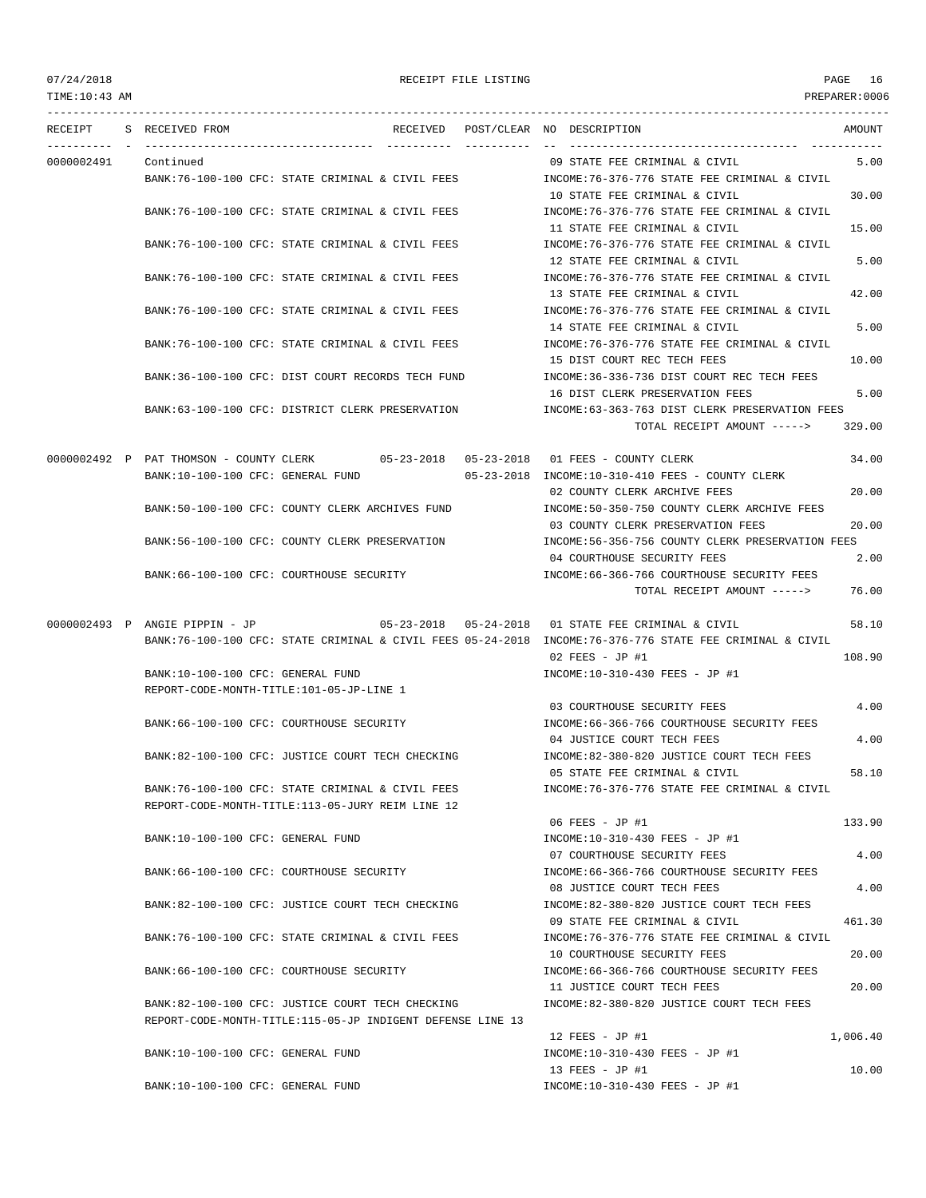TIME:10:43 AM PREPARER:0006 --------------------------------------------------------------------------------------------------------------------------------- RECEIPT S RECEIVED FROM THE RECEIVED POST/CLEAR NO DESCRIPTION THE SECRET AMOUNT ---------- - ----------------------------------- ---------- ---------- -- ----------------------------------- ----------- 0000002491 Continued 09 STATE FEE CRIMINAL & CIVIL 5.00 BANK:76-100-100 CFC: STATE CRIMINAL & CIVIL FEES INCOME:76-376-776 STATE FEE CRIMINAL & CIVIL 10 STATE FEE CRIMINAL & CIVIL 30.00 BANK:76-100-100 CFC: STATE CRIMINAL & CIVIL FEES INCOME:76-376-776 STATE FEE CRIMINAL & CIVIL 11 STATE FEE CRIMINAL & CIVIL 15.00 BANK:76-100-100 CFC: STATE CRIMINAL & CIVIL FEES INCOME:76-376-776 STATE FEE CRIMINAL & CIVIL 12 STATE FEE CRIMINAL & CIVIL 5.00 BANK:76-100-100 CFC: STATE CRIMINAL & CIVIL FEES INCOME:76-376-776 STATE FEE CRIMINAL & CIVIL 13 STATE FEE CRIMINAL & CIVIL 42.00 BANK:76-100-100 CFC: STATE CRIMINAL & CIVIL FEES INCOME:76-376-776 STATE FEE CRIMINAL & CIVIL 14 STATE FEE CRIMINAL & CIVIL 5.00 BANK:76-100-100 CFC: STATE CRIMINAL & CIVIL FEES INCOME:76-376-776 STATE FEE CRIMINAL & CIVIL 15 DIST COURT REC TECH FEES 10.00 BANK:36-100-100 CFC: DIST COURT RECORDS TECH FUND **INCOME:36-336-736 DIST COURT REC TECH FEES** 16 DIST CLERK PRESERVATION FEES 5.00 BANK:63-100-100 CFC: DISTRICT CLERK PRESERVATION INCOME:63-363-763 DIST CLERK PRESERVATION FEES TOTAL RECEIPT AMOUNT -----> 329.00 0000002492 P PAT THOMSON - COUNTY CLERK 05-23-2018 05-23-2018 01 FEES - COUNTY CLERK 34.00 BANK:10-100-100 CFC: GENERAL FUND 05-23-2018 INCOME:10-310-410 FEES - COUNTY CLERK 02 COUNTY CLERK ARCHIVE FEES 20.00 BANK:50-100-100 CFC: COUNTY CLERK ARCHIVES FUND INCOME:50-350-750 COUNTY CLERK ARCHIVE FEES 03 COUNTY CLERK PRESERVATION FEES 20.00 BANK:56-100-100 CFC: COUNTY CLERK PRESERVATION INCOME:56-356-756 COUNTY CLERK PRESERVATION FEES 04 COURTHOUSE SECURITY FEES 2.00 BANK:66-100-100 CFC: COURTHOUSE SECURITY INCOME:66-366-766 COURTHOUSE SECURITY FEES TOTAL RECEIPT AMOUNT -----> 76.00 0000002493 P ANGIE PIPPIN - JP 05-23-2018 05-24-2018 01 STATE FEE CRIMINAL & CIVIL 58.10 BANK:76-100-100 CFC: STATE CRIMINAL & CIVIL FEES 05-24-2018 INCOME:76-376-776 STATE FEE CRIMINAL & CIVIL 02 FEES - JP #1 108.90 BANK:10-100-100 CFC: GENERAL FUND INCOME:10-310-430 FEES - JP #1 REPORT-CODE-MONTH-TITLE:101-05-JP-LINE 1 03 COURTHOUSE SECURITY FEES 4.00 BANK:66-100-100 CFC: COURTHOUSE SECURITY INCOME:66-366-766 COURTHOUSE SECURITY FEES 04 JUSTICE COURT TECH FEES 4.00 BANK:82-100-100 CFC: JUSTICE COURT TECH CHECKING INCOME:82-380-820 JUSTICE COURT TECH FEES 05 STATE FEE CRIMINAL & CIVIL 58.10 BANK:76-100-100 CFC: STATE CRIMINAL & CIVIL FEES INCOME:76-376-776 STATE FEE CRIMINAL & CIVIL REPORT-CODE-MONTH-TITLE:113-05-JURY REIM LINE 12 06 FEES - JP #1 133.90 BANK:10-100-100 CFC: GENERAL FUND INCOME:10-310-430 FEES - JP #1 07 COURTHOUSE SECURITY FEES 4.00 BANK:66-100-100 CFC: COURTHOUSE SECURITY INCOME:66-366-766 COURTHOUSE SECURITY FEES 08 JUSTICE COURT TECH FEES 4.00 BANK:82-100-100 CFC: JUSTICE COURT TECH CHECKING INCOME:82-380-820 JUSTICE COURT TECH FEES 09 STATE FEE CRIMINAL & CIVIL 461.30 BANK:76-100-100 CFC: STATE CRIMINAL & CIVIL FEES INCOME:76-376-776 STATE FEE CRIMINAL & CIVIL 10 COURTHOUSE SECURITY FEES 20.00 BANK:66-100-100 CFC: COURTHOUSE SECURITY INCOME:66-366-766 COURTHOUSE SECURITY FEES 11 JUSTICE COURT TECH FEES 20.00 BANK:82-100-100 CFC: JUSTICE COURT TECH CHECKING INCOME:82-380-820 JUSTICE COURT TECH FEES REPORT-CODE-MONTH-TITLE:115-05-JP INDIGENT DEFENSE LINE 13 12 FEES - JP #1 1,006.40 BANK:10-100-100 CFC: GENERAL FUND INCOME:10-310-430 FEES - JP #1 13 FEES - JP #1 10.00 BANK:10-100-100 CFC: GENERAL FUND INCOME:10-310-430 FEES - JP #1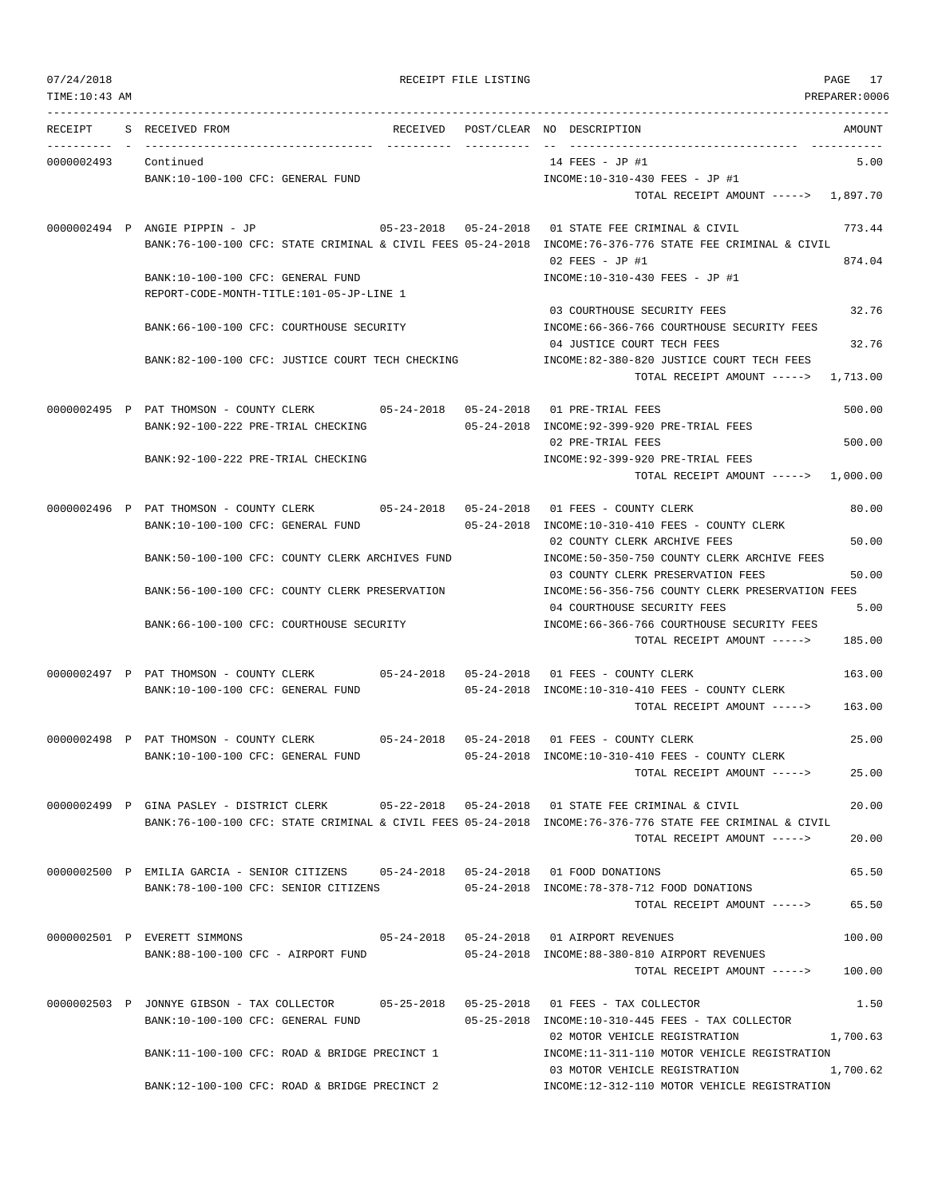TIME:10:43 AM PREPARER:0006 --------------------------------------------------------------------------------------------------------------------------------- RECEIPT S RECEIVED FROM THE RECEIVED POST/CLEAR NO DESCRIPTION THE SECRET AMOUNT ---------- - ----------------------------------- ---------- ---------- -- ----------------------------------- ----------- 0000002493 Continued 14 FEES - JP #1 5.00 BANK:10-100-100 CFC: GENERAL FUND INCOME:10-310-430 FEES - JP #1 TOTAL RECEIPT AMOUNT -----> 1,897.70 0000002494 P ANGIE PIPPIN - JP 05-23-2018 05-24-2018 01 STATE FEE CRIMINAL & CIVIL 773.44 BANK:76-100-100 CFC: STATE CRIMINAL & CIVIL FEES 05-24-2018 INCOME:76-376-776 STATE FEE CRIMINAL & CIVIL  $02$  FEES - JP #1 874.04 BANK:10-100-100 CFC: GENERAL FUND INCOME:10-310-430 FEES - JP #1 REPORT-CODE-MONTH-TITLE:101-05-JP-LINE 1 03 COURTHOUSE SECURITY FEES 32.76 BANK:66-100-100 CFC: COURTHOUSE SECURITY INCOME:66-366-766 COURTHOUSE SECURITY FEES 04 JUSTICE COURT TECH FEES 32.76 BANK:82-100-100 CFC: JUSTICE COURT TECH CHECKING INCOME:82-380-820 JUSTICE COURT TECH FEES TOTAL RECEIPT AMOUNT -----> 1,713.00 0000002495 P PAT THOMSON - COUNTY CLERK 05-24-2018 05-24-2018 01 PRE-TRIAL FEES 500.00 BANK:92-100-222 PRE-TRIAL CHECKING 05-24-2018 INCOME:92-399-920 PRE-TRIAL FEES 02 PRE-TRIAL FEES 500.00 BANK:92-100-222 PRE-TRIAL CHECKING INCOME:92-399-920 PRE-TRIAL FEES TOTAL RECEIPT AMOUNT -----> 1,000.00 0000002496 P PAT THOMSON - COUNTY CLERK 05-24-2018 05-24-2018 01 FEES - COUNTY CLERK 80.00 BANK:10-100-100 CFC: GENERAL FUND 05-24-2018 INCOME:10-310-410 FEES - COUNTY CLERK 02 COUNTY CLERK ARCHIVE FEES 50.00 BANK:50-100-100 CFC: COUNTY CLERK ARCHIVES FUND INCOME:50-350-750 COUNTY CLERK ARCHIVE FEES 03 COUNTY CLERK PRESERVATION FEES 50.00 BANK:56-100-100 CFC: COUNTY CLERK PRESERVATION INCOME:56-356-756 COUNTY CLERK PRESERVATION FEES 04 COURTHOUSE SECURITY FEES 5.00 BANK:66-100-100 CFC: COURTHOUSE SECURITY INCOME:66-366-766 COURTHOUSE SECURITY FEES TOTAL RECEIPT AMOUNT -----> 185.00 0000002497 P PAT THOMSON - COUNTY CLERK 05-24-2018 05-24-2018 01 FEES - COUNTY CLERK 163.00 BANK:10-100-100 CFC: GENERAL FUND 05-24-2018 INCOME:10-310-410 FEES - COUNTY CLERK TOTAL RECEIPT AMOUNT -----> 163.00 0000002498 P PAT THOMSON - COUNTY CLERK 05-24-2018 05-24-2018 01 FEES - COUNTY CLERK 25.00 BANK:10-100-100 CFC: GENERAL FUND 05-24-2018 INCOME:10-310-410 FEES - COUNTY CLERK TOTAL RECEIPT AMOUNT -----> 25.00 0000002499 P GINA PASLEY - DISTRICT CLERK 05-22-2018 05-24-2018 01 STATE FEE CRIMINAL & CIVIL 20.00 BANK:76-100-100 CFC: STATE CRIMINAL & CIVIL FEES 05-24-2018 INCOME:76-376-776 STATE FEE CRIMINAL & CIVIL TOTAL RECEIPT AMOUNT -----> 20.00 0000002500 P EMILIA GARCIA - SENIOR CITIZENS 05-24-2018 05-24-2018 01 FOOD DONATIONS 65.50 BANK:78-100-100 CFC: SENIOR CITIZENS 05-24-2018 INCOME:78-378-712 FOOD DONATIONS TOTAL RECEIPT AMOUNT -----> 65.50 0000002501 P EVERETT SIMMONS 05-24-2018 05-24-2018 01 AIRPORT REVENUES 100.00 BANK:88-100-100 CFC - AIRPORT FUND 05-24-2018 INCOME:88-380-810 AIRPORT REVENUES TOTAL RECEIPT AMOUNT -----> 100.00 0000002503 P JONNYE GIBSON - TAX COLLECTOR 05-25-2018 05-25-2018 01 FEES - TAX COLLECTOR 1.50 BANK:10-100-100 CFC: GENERAL FUND 05-25-2018 INCOME:10-310-445 FEES - TAX COLLECTOR 02 MOTOR VEHICLE REGISTRATION 1,700.63 BANK:11-100-100 CFC: ROAD & BRIDGE PRECINCT 1 INCOME:11-311-110 MOTOR VEHICLE REGISTRATION 03 MOTOR VEHICLE REGISTRATION 1,700.62 BANK:12-100-100 CFC: ROAD & BRIDGE PRECINCT 2 INCOME:12-312-110 MOTOR VEHICLE REGISTRATION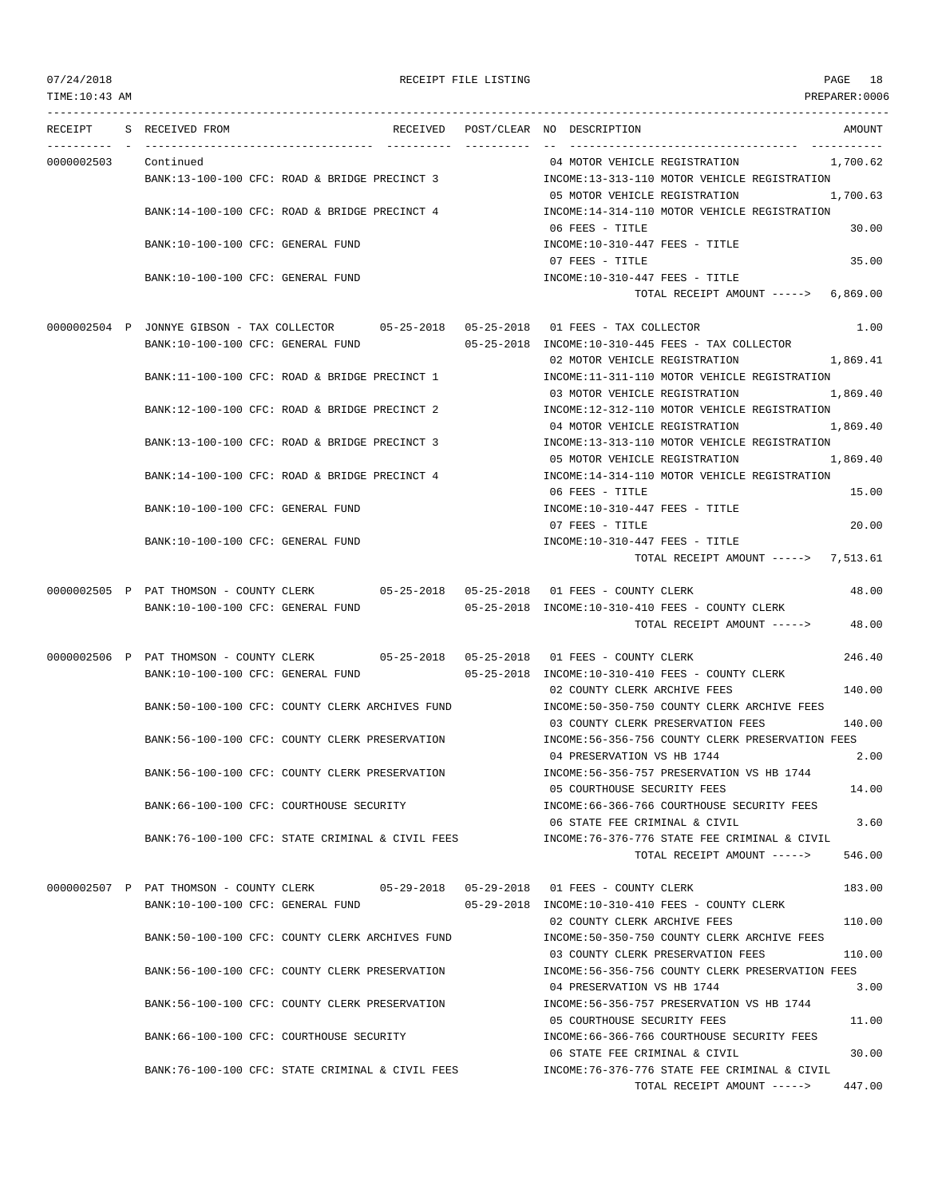TIME:10:43 AM PREPARER:0006 --------------------------------------------------------------------------------------------------------------------------------- RECEIPT S RECEIVED FROM THE RECEIVED POST/CLEAR NO DESCRIPTION THE SECRET AMOUNT ---------- - ----------------------------------- ---------- ---------- -- ----------------------------------- ----------- 0000002503 Continued 04 MOTOR VEHICLE REGISTRATION 1,700.62 BANK:13-100-100 CFC: ROAD & BRIDGE PRECINCT 3 INCOME:13-313-110 MOTOR VEHICLE REGISTRATION 05 MOTOR VEHICLE REGISTRATION 1,700.63 BANK:14-100-100 CFC: ROAD & BRIDGE PRECINCT 4 INCOME:14-314-110 MOTOR VEHICLE REGISTRATION 06 FEES - TITLE 30.00 BANK:10-100-100 CFC: GENERAL FUND INCOME:10-310-447 FEES - TITLE 07 FEES - TITLE 35.00 BANK:10-100-100 CFC: GENERAL FUND INCOME:10-310-447 FEES - TITLE TOTAL RECEIPT AMOUNT -----> 6,869.00 0000002504 P JONNYE GIBSON - TAX COLLECTOR 05-25-2018 05-25-2018 01 FEES - TAX COLLECTOR 1.00 BANK:10-100-100 CFC: GENERAL FUND 05-25-2018 INCOME:10-310-445 FEES - TAX COLLECTOR 02 MOTOR VEHICLE REGISTRATION 1,869.41 BANK:11-100-100 CFC: ROAD & BRIDGE PRECINCT 1 INCOME:11-311-110 MOTOR VEHICLE REGISTRATION 03 MOTOR VEHICLE REGISTRATION 1,869.40 BANK:12-100-100 CFC: ROAD & BRIDGE PRECINCT 2 INCOME:12-312-110 MOTOR VEHICLE REGISTRATION 04 MOTOR VEHICLE REGISTRATION 1,869.40 BANK:13-100-100 CFC: ROAD & BRIDGE PRECINCT 3 INCOME:13-313-110 MOTOR VEHICLE REGISTRATION 05 MOTOR VEHICLE REGISTRATION 1,869.40 BANK:14-100-100 CFC: ROAD & BRIDGE PRECINCT 4 INCOME:14-314-110 MOTOR VEHICLE REGISTRATION 06 FEES - TITLE 15.00 BANK:10-100-100 CFC: GENERAL FUND INCOME:10-310-447 FEES - TITLE 07 FEES - TITLE 20.00 BANK:10-100-100 CFC: GENERAL FUND **INCOME:10-310-447 FEES** - TITLE TOTAL RECEIPT AMOUNT -----> 7,513.61 0000002505 P PAT THOMSON - COUNTY CLERK 05-25-2018 05-25-2018 01 FEES - COUNTY CLERK 48.00 BANK:10-100-100 CFC: GENERAL FUND 05-25-2018 INCOME:10-310-410 FEES - COUNTY CLERK TOTAL RECEIPT AMOUNT -----> 48.00 0000002506 P PAT THOMSON - COUNTY CLERK 05-25-2018 05-25-2018 01 FEES - COUNTY CLERK 246.40 BANK:10-100-100 CFC: GENERAL FUND 05-25-2018 INCOME:10-310-410 FEES - COUNTY CLERK 02 COUNTY CLERK ARCHIVE FEES 140.00 BANK:50-100-100 CFC: COUNTY CLERK ARCHIVES FUND INCOME:50-350-750 COUNTY CLERK ARCHIVE FEES 03 COUNTY CLERK PRESERVATION FEES 140.00 BANK:56-100-100 CFC: COUNTY CLERK PRESERVATION INCOME:56-356-756 COUNTY CLERK PRESERVATION FEES 04 PRESERVATION VS HB 1744 2.00 BANK:56-100-100 CFC: COUNTY CLERK PRESERVATION INCOME:56-356-757 PRESERVATION VS HB 1744 05 COURTHOUSE SECURITY FEES 14.00 BANK:66-100-100 CFC: COURTHOUSE SECURITY INCOME:66-366-766 COURTHOUSE SECURITY FEES 06 STATE FEE CRIMINAL & CIVIL 3.60 BANK:76-100-100 CFC: STATE CRIMINAL & CIVIL FEES INCOME:76-376-776 STATE FEE CRIMINAL & CIVIL TOTAL RECEIPT AMOUNT -----> 546.00 0000002507 P PAT THOMSON - COUNTY CLERK 05-29-2018 05-29-2018 01 FEES - COUNTY CLERK 183.00 BANK:10-100-100 CFC: GENERAL FUND 05-29-2018 INCOME:10-310-410 FEES - COUNTY CLERK 02 COUNTY CLERK ARCHIVE FEES 110.00 BANK:50-100-100 CFC: COUNTY CLERK ARCHIVES FUND INCOME:50-350-750 COUNTY CLERK ARCHIVE FEES 03 COUNTY CLERK PRESERVATION FEES 110.00 BANK:56-100-100 CFC: COUNTY CLERK PRESERVATION INCOME:56-356-756 COUNTY CLERK PRESERVATION FEES 04 PRESERVATION VS HB 1744 3.00 BANK:56-100-100 CFC: COUNTY CLERK PRESERVATION INCOME:56-356-757 PRESERVATION VS HB 1744 05 COURTHOUSE SECURITY FEES 11.00 BANK:66-100-100 CFC: COURTHOUSE SECURITY INCOME:66-366-766 COURTHOUSE SECURITY FEES 06 STATE FEE CRIMINAL & CIVIL 30.00 BANK:76-100-100 CFC: STATE CRIMINAL & CIVIL FEES INCOME:76-376-776 STATE FEE CRIMINAL & CIVIL TOTAL RECEIPT AMOUNT -----> 447.00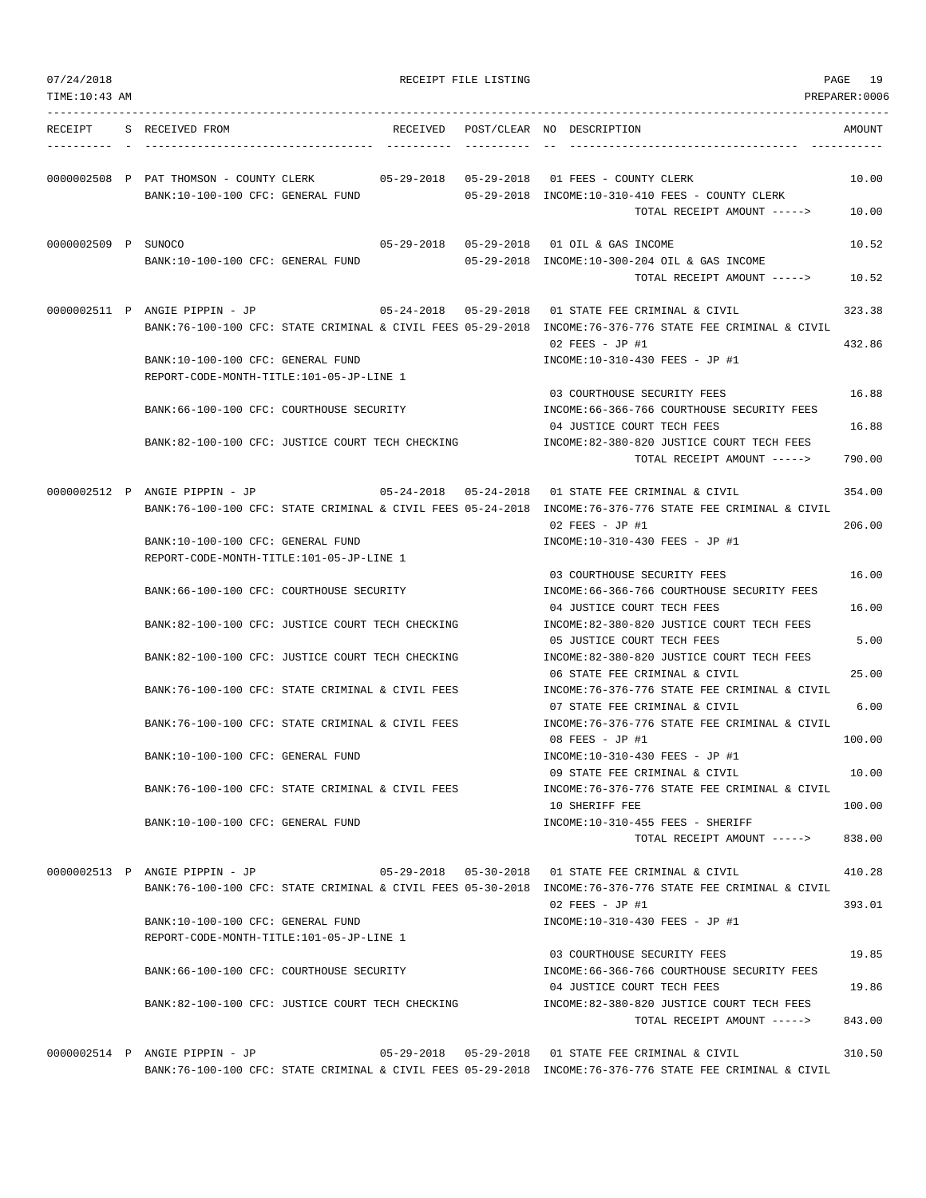| TIME: 10:43 AM      |                                                                               |  |                                                                                                                                                                                            | PREPARER:0006    |
|---------------------|-------------------------------------------------------------------------------|--|--------------------------------------------------------------------------------------------------------------------------------------------------------------------------------------------|------------------|
| RECEIPT             | S RECEIVED FROM                                                               |  | RECEIVED POST/CLEAR NO DESCRIPTION                                                                                                                                                         | AMOUNT           |
|                     | 0000002508 P PAT THOMSON - COUNTY CLERK<br>BANK:10-100-100 CFC: GENERAL FUND  |  | 05-29-2018 INCOME:10-310-410 FEES - COUNTY CLERK                                                                                                                                           | 10.00            |
|                     |                                                                               |  | TOTAL RECEIPT AMOUNT ----->                                                                                                                                                                | 10.00            |
| 0000002509 P SUNOCO | BANK:10-100-100 CFC: GENERAL FUND                                             |  | 05-29-2018  05-29-2018  01 OIL & GAS INCOME<br>05-29-2018 INCOME:10-300-204 OIL & GAS INCOME                                                                                               | 10.52            |
|                     |                                                                               |  | TOTAL RECEIPT AMOUNT ----->                                                                                                                                                                | 10.52            |
|                     | 0000002511 P ANGIE PIPPIN - JP                                                |  | 05-24-2018    05-29-2018    01 STATE FEE CRIMINAL & CIVIL<br>BANK:76-100-100 CFC: STATE CRIMINAL & CIVIL FEES 05-29-2018 INCOME:76-376-776 STATE FEE CRIMINAL & CIVIL<br>$02$ FEES - JP #1 | 323.38<br>432.86 |
|                     | BANK:10-100-100 CFC: GENERAL FUND<br>REPORT-CODE-MONTH-TITLE:101-05-JP-LINE 1 |  | INCOME:10-310-430 FEES - JP #1                                                                                                                                                             |                  |
|                     |                                                                               |  | 03 COURTHOUSE SECURITY FEES                                                                                                                                                                | 16.88            |
|                     | BANK:66-100-100 CFC: COURTHOUSE SECURITY                                      |  | INCOME: 66-366-766 COURTHOUSE SECURITY FEES<br>04 JUSTICE COURT TECH FEES                                                                                                                  | 16.88            |
|                     | BANK:82-100-100 CFC: JUSTICE COURT TECH CHECKING                              |  | INCOME:82-380-820 JUSTICE COURT TECH FEES<br>TOTAL RECEIPT AMOUNT ----->                                                                                                                   | 790.00           |
|                     | 0000002512 P ANGIE PIPPIN - JP                                                |  | 05-24-2018  05-24-2018  01 STATE FEE CRIMINAL & CIVIL                                                                                                                                      | 354.00           |
|                     |                                                                               |  | BANK:76-100-100 CFC: STATE CRIMINAL & CIVIL FEES 05-24-2018 INCOME:76-376-776 STATE FEE CRIMINAL & CIVIL<br>$02$ FEES - JP #1                                                              | 206.00           |
|                     | BANK:10-100-100 CFC: GENERAL FUND                                             |  | INCOME:10-310-430 FEES - JP #1                                                                                                                                                             |                  |
|                     | REPORT-CODE-MONTH-TITLE:101-05-JP-LINE 1                                      |  | 03 COURTHOUSE SECURITY FEES                                                                                                                                                                | 16.00            |
|                     | BANK:66-100-100 CFC: COURTHOUSE SECURITY                                      |  | INCOME: 66-366-766 COURTHOUSE SECURITY FEES<br>04 JUSTICE COURT TECH FEES                                                                                                                  | 16.00            |
|                     | BANK:82-100-100 CFC: JUSTICE COURT TECH CHECKING                              |  | INCOME:82-380-820 JUSTICE COURT TECH FEES<br>05 JUSTICE COURT TECH FEES                                                                                                                    | 5.00             |
|                     | BANK:82-100-100 CFC: JUSTICE COURT TECH CHECKING                              |  | INCOME:82-380-820 JUSTICE COURT TECH FEES<br>06 STATE FEE CRIMINAL & CIVIL                                                                                                                 | 25.00            |
|                     | BANK:76-100-100 CFC: STATE CRIMINAL & CIVIL FEES                              |  | INCOME: 76-376-776 STATE FEE CRIMINAL & CIVIL<br>07 STATE FEE CRIMINAL & CIVIL                                                                                                             | 6.00             |
|                     | BANK:76-100-100 CFC: STATE CRIMINAL & CIVIL FEES                              |  | INCOME: 76-376-776 STATE FEE CRIMINAL & CIVIL<br>08 FEES - JP #1                                                                                                                           | 100.00           |
|                     | BANK:10-100-100 CFC: GENERAL FUND                                             |  | INCOME:10-310-430 FEES - JP #1                                                                                                                                                             |                  |
|                     | BANK:76-100-100 CFC: STATE CRIMINAL & CIVIL FEES                              |  | 09 STATE FEE CRIMINAL & CIVIL<br>INCOME:76-376-776 STATE FEE CRIMINAL & CIVIL                                                                                                              | 10.00<br>100.00  |
|                     | BANK:10-100-100 CFC: GENERAL FUND                                             |  | 10 SHERIFF FEE<br>INCOME:10-310-455 FEES - SHERIFF                                                                                                                                         |                  |
|                     |                                                                               |  | TOTAL RECEIPT AMOUNT ----->                                                                                                                                                                | 838.00           |
|                     | 0000002513 P ANGIE PIPPIN - JP                                                |  | 05-29-2018  05-30-2018  01 STATE FEE CRIMINAL & CIVIL<br>BANK:76-100-100 CFC: STATE CRIMINAL & CIVIL FEES 05-30-2018 INCOME:76-376-776 STATE FEE CRIMINAL & CIVIL                          | 410.28           |
|                     | BANK:10-100-100 CFC: GENERAL FUND                                             |  | $02$ FEES - JP #1<br>INCOME:10-310-430 FEES - JP #1                                                                                                                                        | 393.01           |
|                     | REPORT-CODE-MONTH-TITLE:101-05-JP-LINE 1                                      |  |                                                                                                                                                                                            |                  |
|                     | BANK: 66-100-100 CFC: COURTHOUSE SECURITY                                     |  | 03 COURTHOUSE SECURITY FEES<br>INCOME: 66-366-766 COURTHOUSE SECURITY FEES                                                                                                                 | 19.85<br>19.86   |
|                     | BANK:82-100-100 CFC: JUSTICE COURT TECH CHECKING                              |  | 04 JUSTICE COURT TECH FEES<br>INCOME:82-380-820 JUSTICE COURT TECH FEES                                                                                                                    |                  |
|                     |                                                                               |  | TOTAL RECEIPT AMOUNT ----->                                                                                                                                                                | 843.00           |
|                     | 0000002514 P ANGIE PIPPIN - JP                                                |  | 05-29-2018  05-29-2018  01 STATE FEE CRIMINAL & CIVIL<br>BANK:76-100-100 CFC: STATE CRIMINAL & CIVIL FEES 05-29-2018 INCOME:76-376-776 STATE FEE CRIMINAL & CIVIL                          | 310.50           |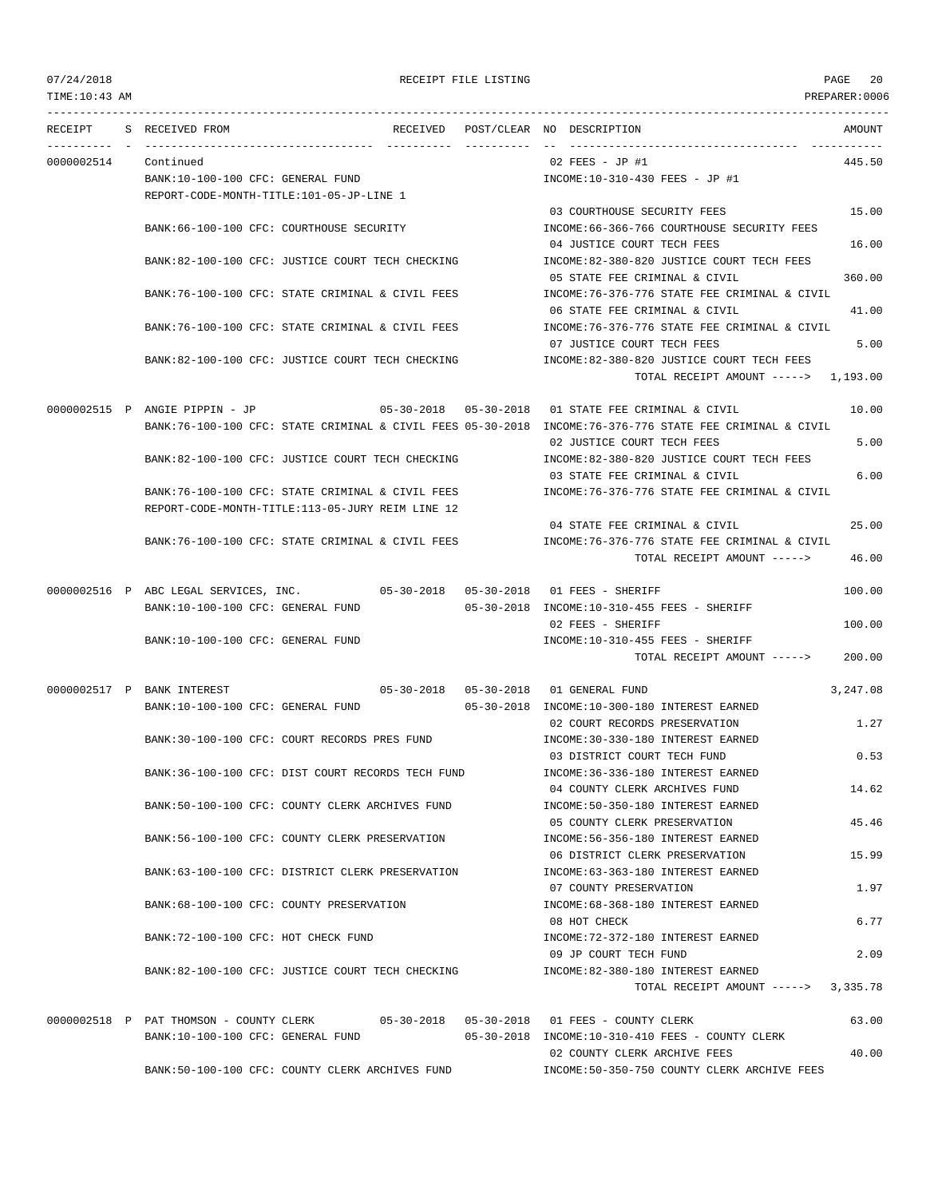## 07/24/2018 RECEIPT FILE LISTING PAGE 20

--------------------------------------------------------------------------------------------------------------------------------- RECEIPT S RECEIVED FROM THE RECEIVED POST/CLEAR NO DESCRIPTION THE RECEIVED AMOUNT ---------- - ----------------------------------- ---------- ---------- -- ----------------------------------- ----------- 0000002514 Continued 02 FEES - JP #1 445.50 BANK:10-100-100 CFC: GENERAL FUND INCOME:10-310-430 FEES - JP #1 REPORT-CODE-MONTH-TITLE:101-05-JP-LINE 1 03 COURTHOUSE SECURITY FEES 15.00 BANK:66-100-100 CFC: COURTHOUSE SECURITY INCOME:66-366-766 COURTHOUSE SECURITY FEES 04 JUSTICE COURT TECH FEES 16.00 BANK:82-100-100 CFC: JUSTICE COURT TECH CHECKING INCOME:82-380-820 JUSTICE COURT TECH FEES 05 STATE FEE CRIMINAL & CIVIL 360.00 BANK:76-100-100 CFC: STATE CRIMINAL & CIVIL FEES INCOME:76-376-776 STATE FEE CRIMINAL & CIVIL 06 STATE FEE CRIMINAL & CIVIL 41.00 BANK:76-100-100 CFC: STATE CRIMINAL & CIVIL FEES INCOME:76-376-776 STATE FEE CRIMINAL & CIVIL 07 JUSTICE COURT TECH FEES 5.00 BANK:82-100-100 CFC: JUSTICE COURT TECH CHECKING INCOME:82-380-820 JUSTICE COURT TECH FEES TOTAL RECEIPT AMOUNT -----> 1,193.00 0000002515 P ANGIE PIPPIN - JP 05-30-2018 05-30-2018 01 STATE FEE CRIMINAL & CIVIL 10.00 BANK:76-100-100 CFC: STATE CRIMINAL & CIVIL FEES 05-30-2018 INCOME:76-376-776 STATE FEE CRIMINAL & CIVIL 02 JUSTICE COURT TECH FEES 5.00 BANK:82-100-100 CFC: JUSTICE COURT TECH CHECKING INCOME:82-380-820 JUSTICE COURT TECH FEES 03 STATE FEE CRIMINAL & CIVIL 6.00 BANK:76-100-100 CFC: STATE CRIMINAL & CIVIL FEES INCOME:76-376-776 STATE FEE CRIMINAL & CIVIL REPORT-CODE-MONTH-TITLE:113-05-JURY REIM LINE 12 04 STATE FEE CRIMINAL & CIVIL 25.00 BANK:76-100-100 CFC: STATE CRIMINAL & CIVIL FEES INCOME:76-376-776 STATE FEE CRIMINAL & CIVIL TOTAL RECEIPT AMOUNT -----> 46.00 0000002516 P ABC LEGAL SERVICES, INC. 05-30-2018 05-30-2018 01 FEES - SHERIFF 100.00 BANK:10-100-100 CFC: GENERAL FUND 05-30-2018 INCOME:10-310-455 FEES - SHERIFF 02 FEES - SHERIFF 100.00 BANK:10-100-100 CFC: GENERAL FUND INCOME:10-310-455 FEES - SHERIFF TOTAL RECEIPT AMOUNT -----> 200.00 0000002517 P BANK INTEREST 05-30-2018 05-30-2018 01 GENERAL FUND 3,247.08 BANK:10-100-100 CFC: GENERAL FUND 05-30-2018 INCOME:10-300-180 INTEREST EARNED 02 COURT RECORDS PRESERVATION 1.27 BANK:30-100-100 CFC: COURT RECORDS PRES FUND INCOME:30-330-180 INTEREST EARNED 03 DISTRICT COURT TECH FUND 0.53 BANK:36-100-100 CFC: DIST COURT RECORDS TECH FUND INCOME:36-336-180 INTEREST EARNED 04 COUNTY CLERK ARCHIVES FUND 14.62 BANK:50-100-100 CFC: COUNTY CLERK ARCHIVES FUND INCOME:50-350-180 INTEREST EARNED 05 COUNTY CLERK PRESERVATION 45.46 BANK:56-100-100 CFC: COUNTY CLERK PRESERVATION INCOME:56-356-180 INTEREST EARNED 06 DISTRICT CLERK PRESERVATION 15.99 BANK:63-100-100 CFC: DISTRICT CLERK PRESERVATION INCOME:63-363-180 INTEREST EARNED 07 COUNTY PRESERVATION 1 97 BANK:68-100-100 CFC: COUNTY PRESERVATION  $N = 68-368-180$  INTEREST EARNED 08 HOT CHECK 6.77 BANK:72-100-100 CFC: HOT CHECK FUND INCOME:72-372-180 INTEREST EARNED 09 JP COURT TECH FUND 2.09 BANK:82-100-100 CFC: JUSTICE COURT TECH CHECKING INCOME:82-380-180 INTEREST EARNED TOTAL RECEIPT AMOUNT -----> 3,335.78 0000002518 P PAT THOMSON - COUNTY CLERK 05-30-2018 05-30-2018 01 FEES - COUNTY CLERK 63.00 BANK:10-100-100 CFC: GENERAL FUND 05-30-2018 INCOME:10-310-410 FEES - COUNTY CLERK 02 COUNTY CLERK ARCHIVE FEES 40.00 BANK:50-100-100 CFC: COUNTY CLERK ARCHIVES FUND INCOME:50-350-750 COUNTY CLERK ARCHIVE FEES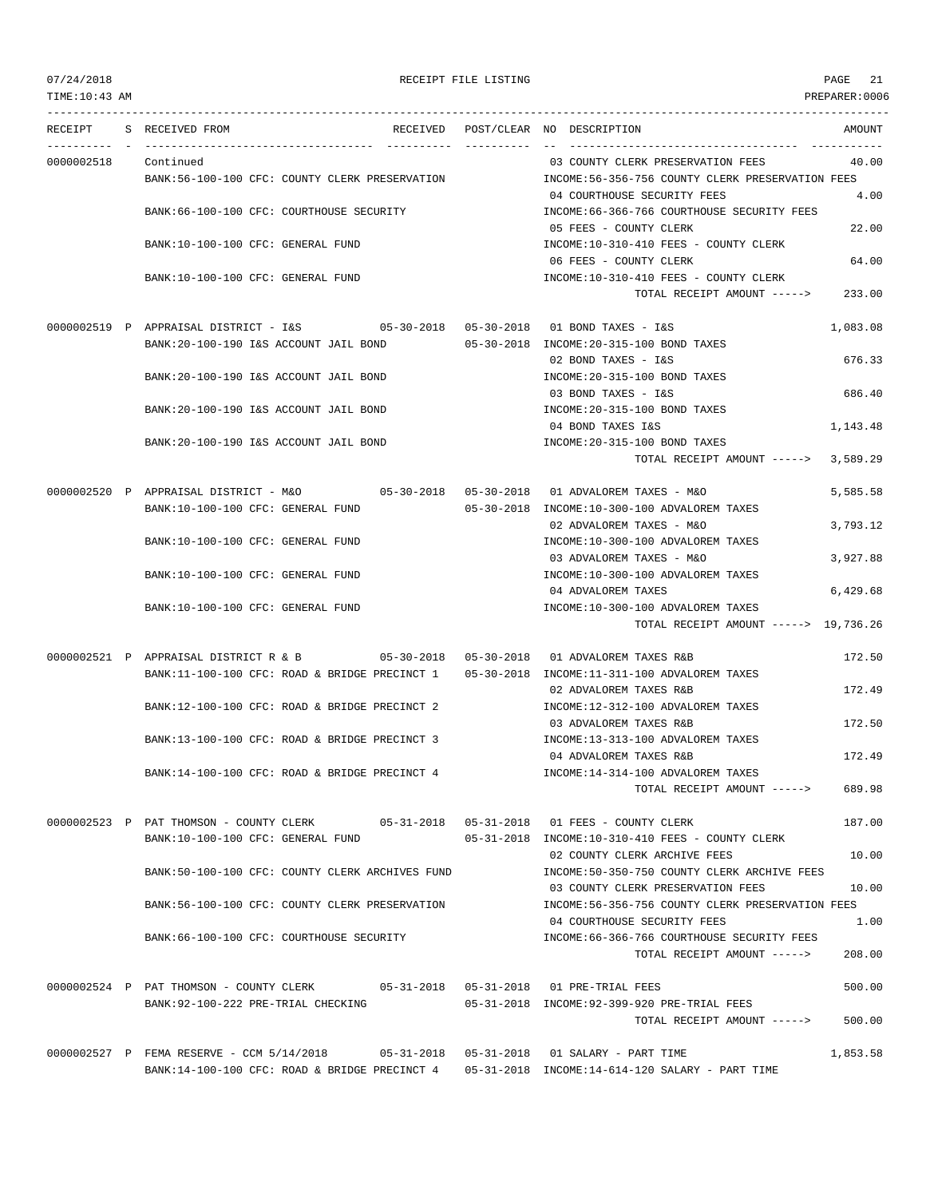| 07/24/2018<br>TIME: 10:43 AM           |                                                                                                                                                                                        | RECEIPT FILE LISTING |                                                                                                | PAGE<br>21<br>PREPARER: 0006 |
|----------------------------------------|----------------------------------------------------------------------------------------------------------------------------------------------------------------------------------------|----------------------|------------------------------------------------------------------------------------------------|------------------------------|
| . _ _ _ _ _ _ _ _ _ _ _ _ _<br>RECEIPT | S RECEIVED FROM                                                                                                                                                                        |                      | RECEIVED POST/CLEAR NO DESCRIPTION                                                             | AMOUNT                       |
| 0000002518                             | Continued<br>BANK:56-100-100 CFC: COUNTY CLERK PRESERVATION                                                                                                                            |                      | 03 COUNTY CLERK PRESERVATION FEES<br>INCOME:56-356-756 COUNTY CLERK PRESERVATION FEES          | 40.00                        |
|                                        | BANK:66-100-100 CFC: COURTHOUSE SECURITY                                                                                                                                               |                      | 04 COURTHOUSE SECURITY FEES<br>INCOME: 66-366-766 COURTHOUSE SECURITY FEES                     | 4.00                         |
|                                        | BANK:10-100-100 CFC: GENERAL FUND                                                                                                                                                      |                      | 05 FEES - COUNTY CLERK<br>INCOME:10-310-410 FEES - COUNTY CLERK                                | 22.00                        |
|                                        | BANK:10-100-100 CFC: GENERAL FUND                                                                                                                                                      |                      | 06 FEES - COUNTY CLERK<br>INCOME:10-310-410 FEES - COUNTY CLERK<br>TOTAL RECEIPT AMOUNT -----> | 64.00<br>233.00              |
|                                        |                                                                                                                                                                                        |                      |                                                                                                |                              |
|                                        | 0000002519 P APPRAISAL DISTRICT - I&S<br>BANK: 20-100-190 I&S ACCOUNT JAIL BOND                                                                                                        |                      | 05-30-2018 INCOME: 20-315-100 BOND TAXES                                                       | 1,083.08                     |
|                                        | BANK: 20-100-190 I&S ACCOUNT JAIL BOND                                                                                                                                                 |                      | 02 BOND TAXES - I&S<br>INCOME: 20-315-100 BOND TAXES                                           | 676.33                       |
|                                        | BANK: 20-100-190 I&S ACCOUNT JAIL BOND                                                                                                                                                 |                      | 03 BOND TAXES - I&S<br>INCOME: 20-315-100 BOND TAXES                                           | 686.40                       |
|                                        | BANK: 20-100-190 I&S ACCOUNT JAIL BOND                                                                                                                                                 |                      | 04 BOND TAXES I&S<br>INCOME: 20-315-100 BOND TAXES                                             | 1,143.48                     |
|                                        |                                                                                                                                                                                        |                      | TOTAL RECEIPT AMOUNT -----> 3,589.29                                                           |                              |
|                                        | 0000002520 P APPRAISAL DISTRICT - M&O<br>BANK:10-100-100 CFC: GENERAL FUND                                                                                                             |                      | 05-30-2018 INCOME:10-300-100 ADVALOREM TAXES                                                   | 5,585.58                     |
|                                        | BANK:10-100-100 CFC: GENERAL FUND                                                                                                                                                      |                      | 02 ADVALOREM TAXES - M&O<br>INCOME:10-300-100 ADVALOREM TAXES                                  | 3,793.12                     |
|                                        |                                                                                                                                                                                        |                      | 03 ADVALOREM TAXES - M&O                                                                       | 3,927.88                     |
|                                        | BANK:10-100-100 CFC: GENERAL FUND                                                                                                                                                      |                      | INCOME:10-300-100 ADVALOREM TAXES<br>04 ADVALOREM TAXES                                        | 6,429.68                     |
|                                        | BANK:10-100-100 CFC: GENERAL FUND                                                                                                                                                      |                      | INCOME:10-300-100 ADVALOREM TAXES<br>TOTAL RECEIPT AMOUNT -----> 19,736.26                     |                              |
|                                        | 0000002521 P APPRAISAL DISTRICT R & B<br>$05-30-2018$ $05-30-2018$                                                                                                                     |                      | 01 ADVALOREM TAXES R&B                                                                         | 172.50                       |
|                                        | BANK:11-100-100 CFC: ROAD & BRIDGE PRECINCT 1                                                                                                                                          |                      | 05-30-2018 INCOME:11-311-100 ADVALOREM TAXES<br>02 ADVALOREM TAXES R&B                         | 172.49                       |
|                                        | BANK:12-100-100 CFC: ROAD & BRIDGE PRECINCT 2                                                                                                                                          |                      | INCOME:12-312-100 ADVALOREM TAXES<br>03 ADVALOREM TAXES R&B                                    | 172.50                       |
|                                        | BANK:13-100-100 CFC: ROAD & BRIDGE PRECINCT 3                                                                                                                                          |                      | INCOME:13-313-100 ADVALOREM TAXES<br>04 ADVALOREM TAXES R&B                                    | 172.49                       |
|                                        | BANK:14-100-100 CFC: ROAD & BRIDGE PRECINCT 4                                                                                                                                          |                      | INCOME:14-314-100 ADVALOREM TAXES<br>TOTAL RECEIPT AMOUNT ----->                               | 689.98                       |
|                                        | 0000002523 P PAT THOMSON - COUNTY CLERK 05-31-2018 05-31-2018 01 FEES - COUNTY CLERK                                                                                                   |                      |                                                                                                | 187.00                       |
|                                        | BANK:10-100-100 CFC: GENERAL FUND                                                                                                                                                      |                      | 05-31-2018 INCOME:10-310-410 FEES - COUNTY CLERK                                               |                              |
|                                        | BANK:50-100-100 CFC: COUNTY CLERK ARCHIVES FUND                                                                                                                                        |                      | 02 COUNTY CLERK ARCHIVE FEES<br>INCOME:50-350-750 COUNTY CLERK ARCHIVE FEES                    | 10.00                        |
|                                        | BANK:56-100-100 CFC: COUNTY CLERK PRESERVATION                                                                                                                                         |                      | 03 COUNTY CLERK PRESERVATION FEES<br>INCOME:56-356-756 COUNTY CLERK PRESERVATION FEES          | 10.00                        |
|                                        | BANK:66-100-100 CFC: COURTHOUSE SECURITY                                                                                                                                               |                      | 04 COURTHOUSE SECURITY FEES<br>INCOME: 66-366-766 COURTHOUSE SECURITY FEES                     | 1.00                         |
|                                        |                                                                                                                                                                                        |                      | TOTAL RECEIPT AMOUNT ----->                                                                    | 208.00                       |
|                                        | 0000002524 P PAT THOMSON - COUNTY CLERK 05-31-2018 05-31-2018 01 PRE-TRIAL FEES                                                                                                        |                      |                                                                                                | 500.00                       |
|                                        | BANK:92-100-222 PRE-TRIAL CHECKING                                                                                                                                                     |                      | 05-31-2018 INCOME: 92-399-920 PRE-TRIAL FEES<br>TOTAL RECEIPT AMOUNT -----> 500.00             |                              |
|                                        | 0000002527 P FEMA RESERVE - CCM 5/14/2018 05-31-2018 05-31-2018 01 SALARY - PART TIME<br>BANK:14-100-100 CFC: ROAD & BRIDGE PRECINCT 4 05-31-2018 INCOME:14-614-120 SALARY - PART TIME |                      |                                                                                                | 1,853.58                     |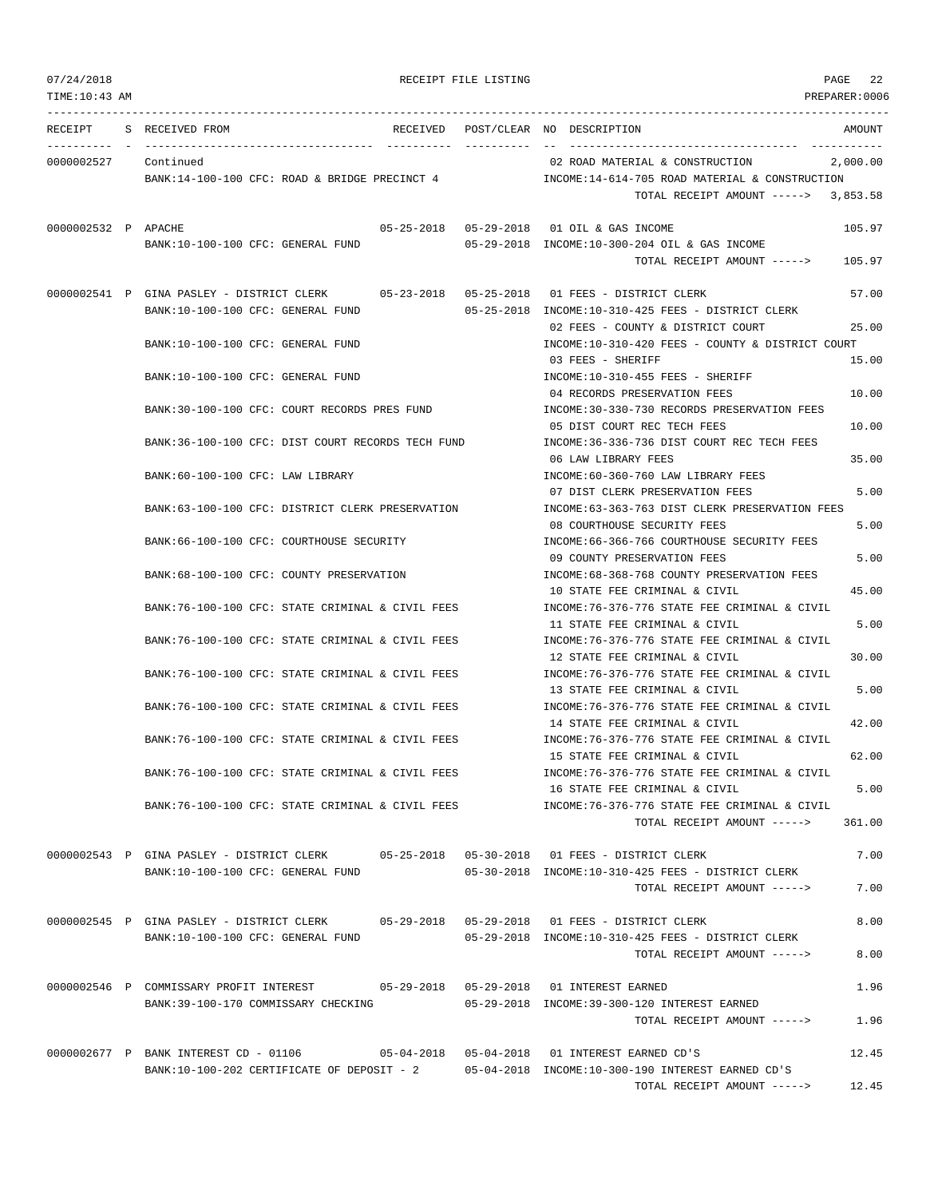| TIME:10:43 AM       |                                                                                                                               |                                                                                                                               | PREPARER:0006    |
|---------------------|-------------------------------------------------------------------------------------------------------------------------------|-------------------------------------------------------------------------------------------------------------------------------|------------------|
| RECEIPT             | S RECEIVED FROM                                                                                                               | RECEIVED POST/CLEAR NO DESCRIPTION<br>__________________________________                                                      | AMOUNT           |
| 0000002527          | -------- - ----------------<br>Continued<br>BANK:14-100-100 CFC: ROAD & BRIDGE PRECINCT 4                                     | 02 ROAD MATERIAL & CONSTRUCTION<br>INCOME:14-614-705 ROAD MATERIAL & CONSTRUCTION<br>TOTAL RECEIPT AMOUNT -----> 3,853.58     | 2,000.00         |
| 0000002532 P APACHE | BANK:10-100-100 CFC: GENERAL FUND                                                                                             | 05-25-2018  05-29-2018  01 OIL & GAS INCOME<br>05-29-2018 INCOME:10-300-204 OIL & GAS INCOME<br>TOTAL RECEIPT AMOUNT ----->   | 105.97<br>105.97 |
|                     | 0000002541 P GINA PASLEY - DISTRICT CLERK 05-23-2018 05-25-2018 01 FEES - DISTRICT CLERK<br>BANK:10-100-100 CFC: GENERAL FUND | 05-25-2018 INCOME:10-310-425 FEES - DISTRICT CLERK                                                                            | 57.00            |
|                     | BANK:10-100-100 CFC: GENERAL FUND                                                                                             | 02 FEES - COUNTY & DISTRICT COURT<br>INCOME:10-310-420 FEES - COUNTY & DISTRICT COURT                                         | 25.00            |
|                     | BANK:10-100-100 CFC: GENERAL FUND                                                                                             | 03 FEES - SHERIFF<br>INCOME:10-310-455 FEES - SHERIFF                                                                         | 15.00            |
|                     | BANK:30-100-100 CFC: COURT RECORDS PRES FUND                                                                                  | 04 RECORDS PRESERVATION FEES<br>INCOME: 30-330-730 RECORDS PRESERVATION FEES                                                  | 10.00            |
|                     | BANK:36-100-100 CFC: DIST COURT RECORDS TECH FUND                                                                             | 05 DIST COURT REC TECH FEES<br>INCOME: 36-336-736 DIST COURT REC TECH FEES<br>06 LAW LIBRARY FEES                             | 10.00<br>35.00   |
|                     | BANK:60-100-100 CFC: LAW LIBRARY                                                                                              | INCOME:60-360-760 LAW LIBRARY FEES<br>07 DIST CLERK PRESERVATION FEES                                                         | 5.00             |
|                     | BANK:63-100-100 CFC: DISTRICT CLERK PRESERVATION                                                                              | INCOME:63-363-763 DIST CLERK PRESERVATION FEES<br>08 COURTHOUSE SECURITY FEES                                                 | 5.00             |
|                     | BANK:66-100-100 CFC: COURTHOUSE SECURITY                                                                                      | INCOME: 66-366-766 COURTHOUSE SECURITY FEES<br>09 COUNTY PRESERVATION FEES                                                    | 5.00             |
|                     | BANK:68-100-100 CFC: COUNTY PRESERVATION                                                                                      | INCOME:68-368-768 COUNTY PRESERVATION FEES<br>10 STATE FEE CRIMINAL & CIVIL                                                   | 45.00            |
|                     | BANK:76-100-100 CFC: STATE CRIMINAL & CIVIL FEES                                                                              | INCOME:76-376-776 STATE FEE CRIMINAL & CIVIL<br>11 STATE FEE CRIMINAL & CIVIL                                                 | 5.00             |
|                     | BANK:76-100-100 CFC: STATE CRIMINAL & CIVIL FEES<br>BANK:76-100-100 CFC: STATE CRIMINAL & CIVIL FEES                          | INCOME:76-376-776 STATE FEE CRIMINAL & CIVIL<br>12 STATE FEE CRIMINAL & CIVIL<br>INCOME:76-376-776 STATE FEE CRIMINAL & CIVIL | 30.00            |
|                     | BANK:76-100-100 CFC: STATE CRIMINAL & CIVIL FEES                                                                              | 13 STATE FEE CRIMINAL & CIVIL<br>INCOME:76-376-776 STATE FEE CRIMINAL & CIVIL                                                 | 5.00             |
|                     | BANK:76-100-100 CFC: STATE CRIMINAL & CIVIL FEES                                                                              | 14 STATE FEE CRIMINAL & CIVIL<br>INCOME:76-376-776 STATE FEE CRIMINAL & CIVIL                                                 | 42.00            |
|                     | BANK:76-100-100 CFC: STATE CRIMINAL & CIVIL FEES                                                                              | 15 STATE FEE CRIMINAL & CIVIL<br>INCOME: 76-376-776 STATE FEE CRIMINAL & CIVIL                                                | 62.00            |
|                     | BANK:76-100-100 CFC: STATE CRIMINAL & CIVIL FEES                                                                              | 16 STATE FEE CRIMINAL & CIVIL<br>INCOME: 76-376-776 STATE FEE CRIMINAL & CIVIL                                                | 5.00             |
|                     | 0000002543 P GINA PASLEY - DISTRICT CLERK 05-25-2018 05-30-2018 01 FEES - DISTRICT CLERK                                      | TOTAL RECEIPT AMOUNT ----->                                                                                                   | 361.00<br>7.00   |
|                     | BANK:10-100-100 CFC: GENERAL FUND                                                                                             | 05-30-2018 INCOME:10-310-425 FEES - DISTRICT CLERK<br>TOTAL RECEIPT AMOUNT ----->                                             | 7.00             |
|                     | 0000002545 P GINA PASLEY - DISTRICT CLERK 05-29-2018 05-29-2018 01 FEES - DISTRICT CLERK                                      |                                                                                                                               | 8.00             |
|                     | BANK:10-100-100 CFC: GENERAL FUND                                                                                             | 05-29-2018 INCOME:10-310-425 FEES - DISTRICT CLERK<br>TOTAL RECEIPT AMOUNT ----->                                             | 8.00             |
|                     | 0000002546 P COMMISSARY PROFIT INTEREST<br>BANK:39-100-170 COMMISSARY CHECKING                                                | 05-29-2018 INCOME:39-300-120 INTEREST EARNED                                                                                  | 1.96             |
|                     |                                                                                                                               | TOTAL RECEIPT AMOUNT ----->                                                                                                   | 1.96             |
|                     | 0000002677 P BANK INTEREST CD - 01106<br>BANK:10-100-202 CERTIFICATE OF DEPOSIT - 2                                           | 05-04-2018 INCOME:10-300-190 INTEREST EARNED CD'S                                                                             | 12.45            |
|                     |                                                                                                                               | TOTAL RECEIPT AMOUNT ----->                                                                                                   | 12.45            |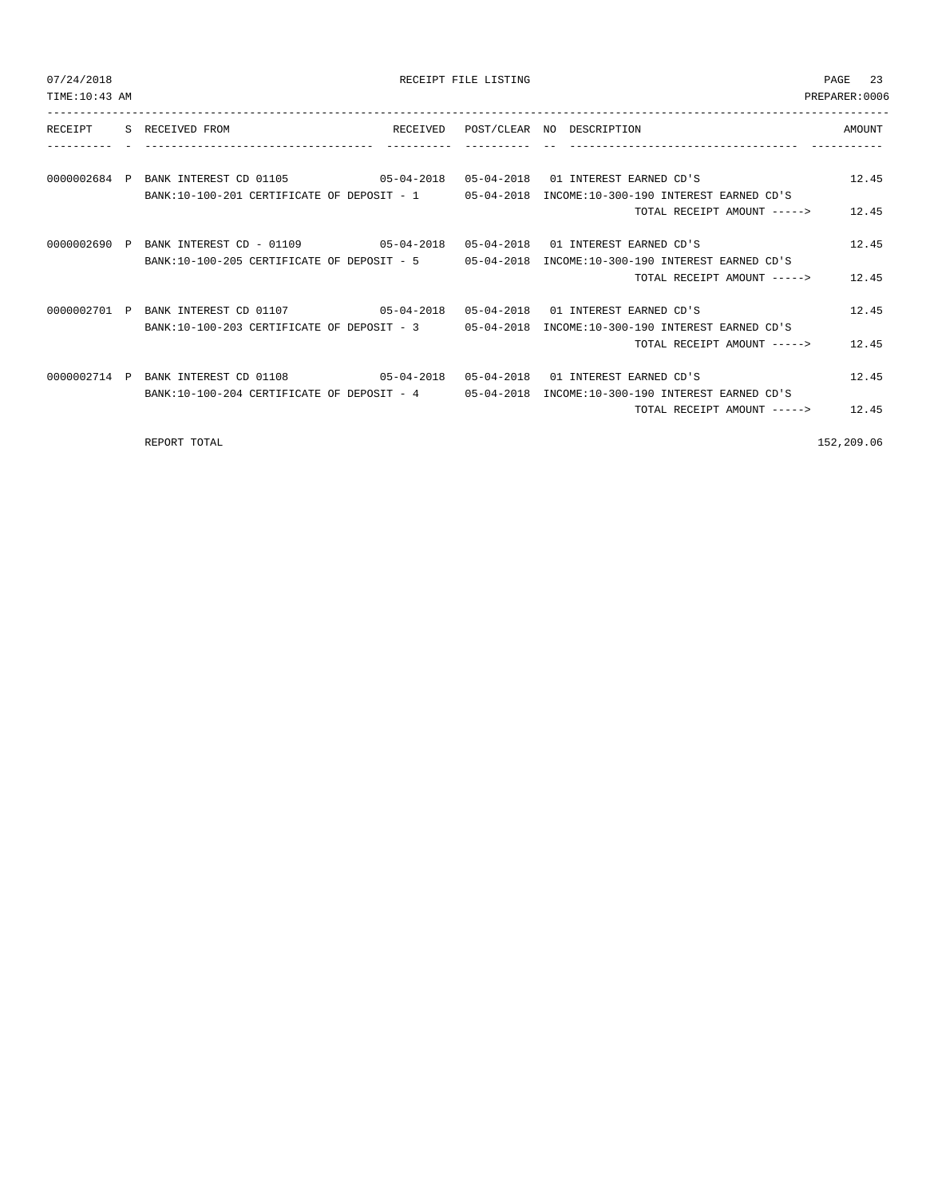| 07/24/2018<br>TIME: 10:43 AM |                                                                                       | RECEIPT FILE LISTING |                                                                                              | 23<br><b>PAGE</b><br>PREPARER: 0006 |
|------------------------------|---------------------------------------------------------------------------------------|----------------------|----------------------------------------------------------------------------------------------|-------------------------------------|
| RECEIPT                      | S RECEIVED FROM                                                                       |                      | RECEIVED POST/CLEAR NO DESCRIPTION                                                           | AMOUNT                              |
|                              |                                                                                       |                      |                                                                                              |                                     |
|                              | 0000002684 P BANK INTEREST CD 01105 05-04-2018 05-04-2018 01 INTEREST EARNED CD'S     |                      |                                                                                              | 12.45                               |
|                              |                                                                                       |                      | BANK:10-100-201 CERTIFICATE OF DEPOSIT - 1 05-04-2018 INCOME:10-300-190 INTEREST EARNED CD'S |                                     |
|                              |                                                                                       |                      | TOTAL RECEIPT AMOUNT -----> 12.45                                                            |                                     |
|                              | 0.000002690 P BANK INTEREST CD - 0.1109 05-04-2018 05-04-2018 01 INTEREST EARNED CD'S |                      |                                                                                              | 12.45                               |
|                              |                                                                                       |                      | BANK:10-100-205 CERTIFICATE OF DEPOSIT - 5 05-04-2018 INCOME:10-300-190 INTEREST EARNED CD'S |                                     |
|                              |                                                                                       |                      | TOTAL RECEIPT AMOUNT ----->                                                                  | 12.45                               |
|                              | 0000002701 P BANK INTEREST CD 01107 05-04-2018 05-04-2018 01 INTEREST EARNED CD'S     |                      |                                                                                              | 12.45                               |
|                              |                                                                                       |                      | BANK:10-100-203 CERTIFICATE OF DEPOSIT - 3 05-04-2018 INCOME:10-300-190 INTEREST EARNED CD'S |                                     |
|                              |                                                                                       |                      | TOTAL RECEIPT AMOUNT ----->                                                                  | 12.45                               |
|                              | 0000002714 P BANK INTEREST CD 01108 05-04-2018 05-04-2018 01 INTEREST EARNED CD'S     |                      |                                                                                              | 12.45                               |
|                              |                                                                                       |                      | BANK:10-100-204 CERTIFICATE OF DEPOSIT - 4 05-04-2018 INCOME:10-300-190 INTEREST EARNED CD'S |                                     |
|                              |                                                                                       |                      | TOTAL RECEIPT AMOUNT -----> 12.45                                                            |                                     |
|                              | REPORT TOTAL                                                                          |                      |                                                                                              | 152,209.06                          |